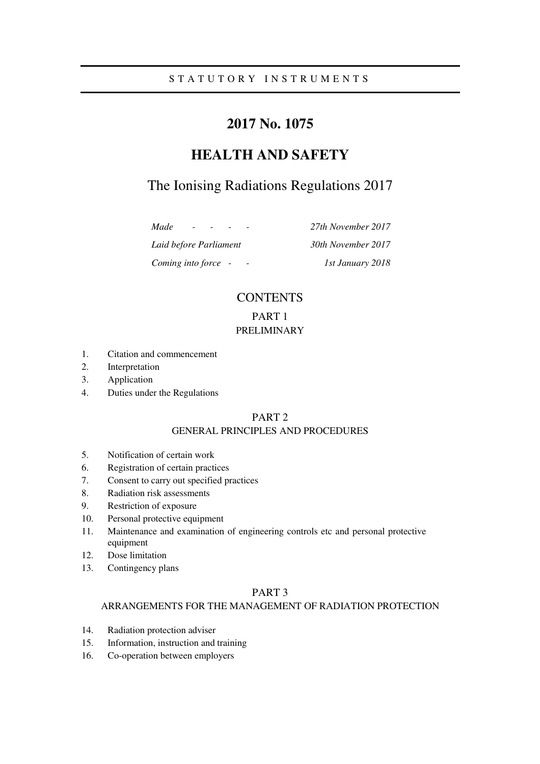# **2017 No. 1075**

# **HEALTH AND SAFETY**

# The Ionising Radiations Regulations 2017

*Made - - - - 27th November 2017 Laid before Parliament 30th November 2017 Coming into force - - 1st January 2018* 

# **CONTENTS**

PART 1

# PRELIMINARY

- 1. Citation and commencement
- 2. Interpretation
- 3. Application
- 4. Duties under the Regulations

# PART 2

# GENERAL PRINCIPLES AND PROCEDURES

- 5. Notification of certain work
- 6. Registration of certain practices
- 7. Consent to carry out specified practices
- 8. Radiation risk assessments
- 9. Restriction of exposure
- 10. Personal protective equipment
- 11. Maintenance and examination of engineering controls etc and personal protective equipment
- 12. Dose limitation
- 13. Contingency plans

# PART 3

#### ARRANGEMENTS FOR THE MANAGEMENT OF RADIATION PROTECTION

- 14. Radiation protection adviser
- 15. Information, instruction and training
- 16. Co-operation between employers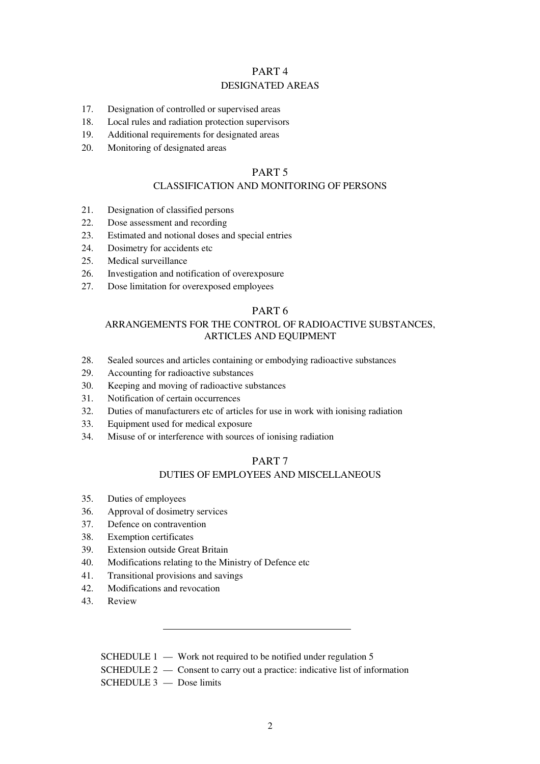## PART 4 DESIGNATED AREAS

- 17. Designation of controlled or supervised areas
- 18. Local rules and radiation protection supervisors
- 19. Additional requirements for designated areas
- 20. Monitoring of designated areas

## PART 5

## CLASSIFICATION AND MONITORING OF PERSONS

- 21. Designation of classified persons
- 22. Dose assessment and recording
- 23. Estimated and notional doses and special entries
- 24. Dosimetry for accidents etc
- 25. Medical surveillance
- 26. Investigation and notification of overexposure
- 27. Dose limitation for overexposed employees

#### PART 6

# ARRANGEMENTS FOR THE CONTROL OF RADIOACTIVE SUBSTANCES, ARTICLES AND EQUIPMENT

- 28. Sealed sources and articles containing or embodying radioactive substances
- 29. Accounting for radioactive substances
- 30. Keeping and moving of radioactive substances
- 31. Notification of certain occurrences
- 32. Duties of manufacturers etc of articles for use in work with ionising radiation
- 33. Equipment used for medical exposure
- 34. Misuse of or interference with sources of ionising radiation

## PART 7

# DUTIES OF EMPLOYEES AND MISCELLANEOUS

- 35. Duties of employees
- 36. Approval of dosimetry services
- 37. Defence on contravention
- 38. Exemption certificates
- 39. Extension outside Great Britain
- 40. Modifications relating to the Ministry of Defence etc
- 41. Transitional provisions and savings
- 42. Modifications and revocation
- 43. Review

| SCHEDULE $1 -$ Work not required to be notified under regulation 5             |
|--------------------------------------------------------------------------------|
| SCHEDULE $2$ — Consent to carry out a practice: indicative list of information |
| $SCHEDULE 3$ — Dose limits                                                     |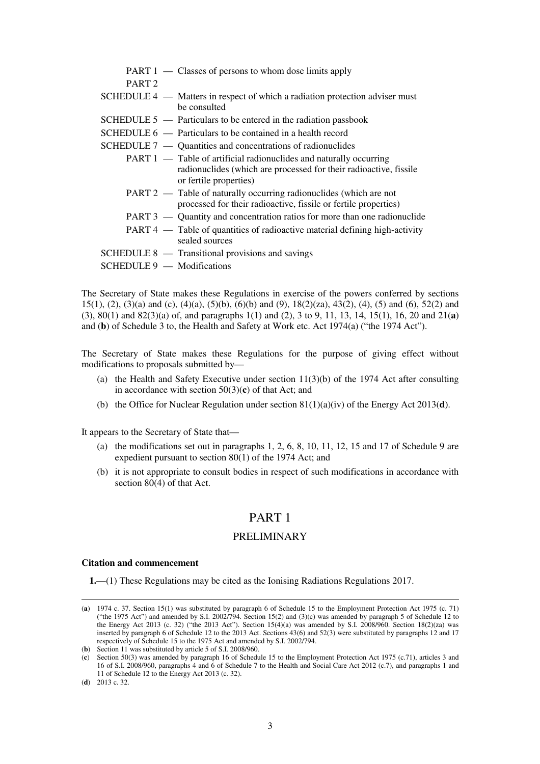|                              | PART 1 — Classes of persons to whom dose limits apply                                                                                                                    |
|------------------------------|--------------------------------------------------------------------------------------------------------------------------------------------------------------------------|
| PART <sub>2</sub>            |                                                                                                                                                                          |
|                              | SCHEDULE 4 — Matters in respect of which a radiation protection adviser must<br>be consulted                                                                             |
|                              | SCHEDULE $5$ — Particulars to be entered in the radiation passbook                                                                                                       |
|                              | $SCHEDULE 6$ — Particulars to be contained in a health record                                                                                                            |
|                              | SCHEDULE $7 -$ Quantities and concentrations of radionuclides                                                                                                            |
|                              | <b>PART 1</b> — Table of artificial radionuclides and naturally occurring<br>radionuclides (which are processed for their radioactive, fissile<br>or fertile properties) |
|                              | PART 2 — Table of naturally occurring radionuclides (which are not<br>processed for their radioactive, fissile or fertile properties)                                    |
|                              | PART 3 — Quantity and concentration ratios for more than one radionuclide                                                                                                |
|                              | PART 4 — Table of quantities of radioactive material defining high-activity<br>sealed sources                                                                            |
|                              | SCHEDULE 8 — Transitional provisions and savings                                                                                                                         |
| $SCHEDULE 9$ — Modifications |                                                                                                                                                                          |

The Secretary of State makes these Regulations in exercise of the powers conferred by sections 15(1), (2), (3)(a) and (c), (4)(a), (5)(b), (6)(b) and (9), 18(2)(za), 43(2), (4), (5) and (6), 52(2) and (3), 80(1) and 82(3)(a) of, and paragraphs 1(1) and (2), 3 to 9, 11, 13, 14, 15(1), 16, 20 and 21(**a**) and (**b**) of Schedule 3 to, the Health and Safety at Work etc. Act 1974(a) ("the 1974 Act").

The Secretary of State makes these Regulations for the purpose of giving effect without modifications to proposals submitted by—

- (a) the Health and Safety Executive under section  $11(3)(b)$  of the 1974 Act after consulting in accordance with section 50(3)(**c**) of that Act; and
- (b) the Office for Nuclear Regulation under section 81(1)(a)(iv) of the Energy Act 2013(**d**).

It appears to the Secretary of State that—

- (a) the modifications set out in paragraphs  $1, 2, 6, 8, 10, 11, 12, 15$  and  $17$  of Schedule 9 are expedient pursuant to section 80(1) of the 1974 Act; and
- (b) it is not appropriate to consult bodies in respect of such modifications in accordance with section 80(4) of that Act.

# PART 1

#### PRELIMINARY

#### **Citation and commencement**

**1.**—(1) These Regulations may be cited as the Ionising Radiations Regulations 2017.

<sup>(</sup>**a**) 1974 c. 37. Section 15(1) was substituted by paragraph 6 of Schedule 15 to the Employment Protection Act 1975 (c. 71) ("the 1975 Act") and amended by S.I. 2002/794. Section 15(2) and (3)(c) was amended by paragraph 5 of Schedule 12 to the Energy Act 2013 (c. 32) ("the 2013 Act"). Section 15(4)(a) was amended by S.I. 2008/960. Section 18(2)(za) was inserted by paragraph 6 of Schedule 12 to the 2013 Act. Sections 43(6) and 52(3) were substituted by paragraphs 12 and 17 respectively of Schedule 15 to the 1975 Act and amended by S.I. 2002/794.

<sup>(</sup>**b**) Section 11 was substituted by article 5 of S.I. 2008/960.

<sup>(</sup>**c**) Section 50(3) was amended by paragraph 16 of Schedule 15 to the Employment Protection Act 1975 (c.71), articles 3 and 16 of S.I. 2008/960, paragraphs 4 and 6 of Schedule 7 to the Health and Social Care Act 2012 (c.7), and paragraphs 1 and 11 of Schedule 12 to the Energy Act 2013 (c. 32).

<sup>(</sup>**d**) 2013 c. 32.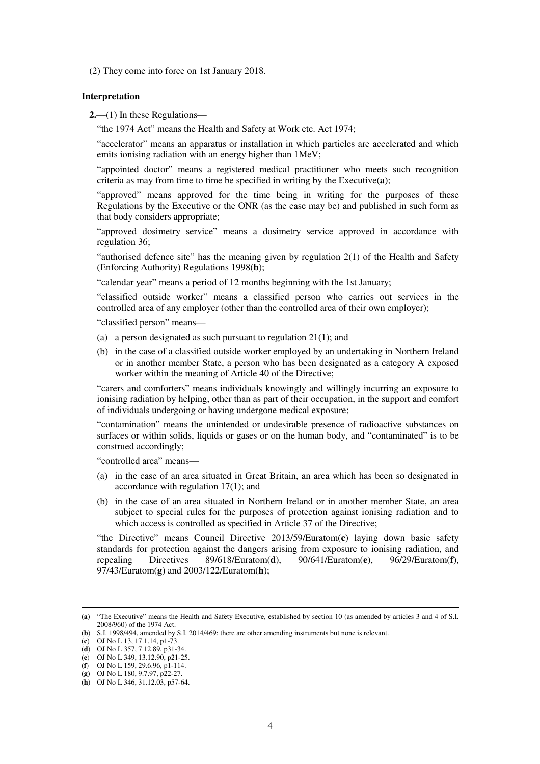(2) They come into force on 1st January 2018.

#### **Interpretation**

**2.**—(1) In these Regulations—

"the 1974 Act" means the Health and Safety at Work etc. Act 1974;

"accelerator" means an apparatus or installation in which particles are accelerated and which emits ionising radiation with an energy higher than 1MeV;

"appointed doctor" means a registered medical practitioner who meets such recognition criteria as may from time to time be specified in writing by the Executive(**a**);

"approved" means approved for the time being in writing for the purposes of these Regulations by the Executive or the ONR (as the case may be) and published in such form as that body considers appropriate;

"approved dosimetry service" means a dosimetry service approved in accordance with regulation 36;

"authorised defence site" has the meaning given by regulation 2(1) of the Health and Safety (Enforcing Authority) Regulations 1998(**b**);

"calendar year" means a period of 12 months beginning with the 1st January;

"classified outside worker" means a classified person who carries out services in the controlled area of any employer (other than the controlled area of their own employer);

"classified person" means—

- (a) a person designated as such pursuant to regulation 21(1); and
- (b) in the case of a classified outside worker employed by an undertaking in Northern Ireland or in another member State, a person who has been designated as a category A exposed worker within the meaning of Article 40 of the Directive;

"carers and comforters" means individuals knowingly and willingly incurring an exposure to ionising radiation by helping, other than as part of their occupation, in the support and comfort of individuals undergoing or having undergone medical exposure;

"contamination" means the unintended or undesirable presence of radioactive substances on surfaces or within solids, liquids or gases or on the human body, and "contaminated" is to be construed accordingly;

"controlled area" means—

- (a) in the case of an area situated in Great Britain, an area which has been so designated in accordance with regulation 17(1); and
- (b) in the case of an area situated in Northern Ireland or in another member State, an area subject to special rules for the purposes of protection against ionising radiation and to which access is controlled as specified in Article 37 of the Directive;

"the Directive" means Council Directive 2013/59/Euratom(**c**) laying down basic safety standards for protection against the dangers arising from exposure to ionising radiation, and repealing Directives 89/618/Euratom(**d**), 90/641/Euratom(**e**), 96/29/Euratom(**f**), 97/43/Euratom(**g**) and 2003/122/Euratom(**h**);

<sup>(</sup>**a**) "The Executive" means the Health and Safety Executive, established by section 10 (as amended by articles 3 and 4 of S.I. 2008/960) of the 1974 Act.

<sup>(</sup>**b**) S.I. 1998/494, amended by S.I. 2014/469; there are other amending instruments but none is relevant.

<sup>(</sup>**c**) OJ No L 13, 17.1.14, p1-73.

<sup>(</sup>**d**) OJ No L 357, 7.12.89, p31-34.

<sup>(</sup>**e**) OJ No L 349, 13.12.90, p21-25.

<sup>(</sup>**f**) OJ No L 159, 29.6.96, p1-114. (**g**) OJ No L 180, 9.7.97, p22-27.

<sup>(</sup>**h**) OJ No L 346, 31.12.03, p57-64.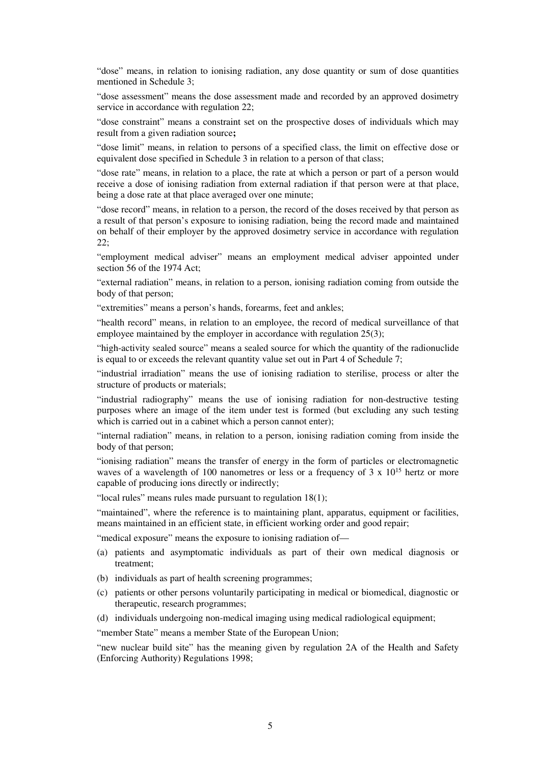"dose" means, in relation to ionising radiation, any dose quantity or sum of dose quantities mentioned in Schedule 3;

"dose assessment" means the dose assessment made and recorded by an approved dosimetry service in accordance with regulation 22;

"dose constraint" means a constraint set on the prospective doses of individuals which may result from a given radiation source**;**

"dose limit" means, in relation to persons of a specified class, the limit on effective dose or equivalent dose specified in Schedule 3 in relation to a person of that class;

"dose rate" means, in relation to a place, the rate at which a person or part of a person would receive a dose of ionising radiation from external radiation if that person were at that place, being a dose rate at that place averaged over one minute;

"dose record" means, in relation to a person, the record of the doses received by that person as a result of that person's exposure to ionising radiation, being the record made and maintained on behalf of their employer by the approved dosimetry service in accordance with regulation 22;

"employment medical adviser" means an employment medical adviser appointed under section 56 of the 1974 Act;

"external radiation" means, in relation to a person, ionising radiation coming from outside the body of that person;

"extremities" means a person's hands, forearms, feet and ankles;

"health record" means, in relation to an employee, the record of medical surveillance of that employee maintained by the employer in accordance with regulation 25(3);

"high-activity sealed source" means a sealed source for which the quantity of the radionuclide is equal to or exceeds the relevant quantity value set out in Part 4 of Schedule 7;

"industrial irradiation" means the use of ionising radiation to sterilise, process or alter the structure of products or materials;

"industrial radiography" means the use of ionising radiation for non-destructive testing purposes where an image of the item under test is formed (but excluding any such testing which is carried out in a cabinet which a person cannot enter);

"internal radiation" means, in relation to a person, ionising radiation coming from inside the body of that person;

"ionising radiation" means the transfer of energy in the form of particles or electromagnetic waves of a wavelength of 100 nanometres or less or a frequency of 3 x  $10^{15}$  hertz or more capable of producing ions directly or indirectly;

"local rules" means rules made pursuant to regulation 18(1);

"maintained", where the reference is to maintaining plant, apparatus, equipment or facilities, means maintained in an efficient state, in efficient working order and good repair;

"medical exposure" means the exposure to ionising radiation of—

- (a) patients and asymptomatic individuals as part of their own medical diagnosis or treatment;
- (b) individuals as part of health screening programmes;
- (c) patients or other persons voluntarily participating in medical or biomedical, diagnostic or therapeutic, research programmes;
- (d) individuals undergoing non-medical imaging using medical radiological equipment;

"member State" means a member State of the European Union;

"new nuclear build site" has the meaning given by regulation 2A of the Health and Safety (Enforcing Authority) Regulations 1998;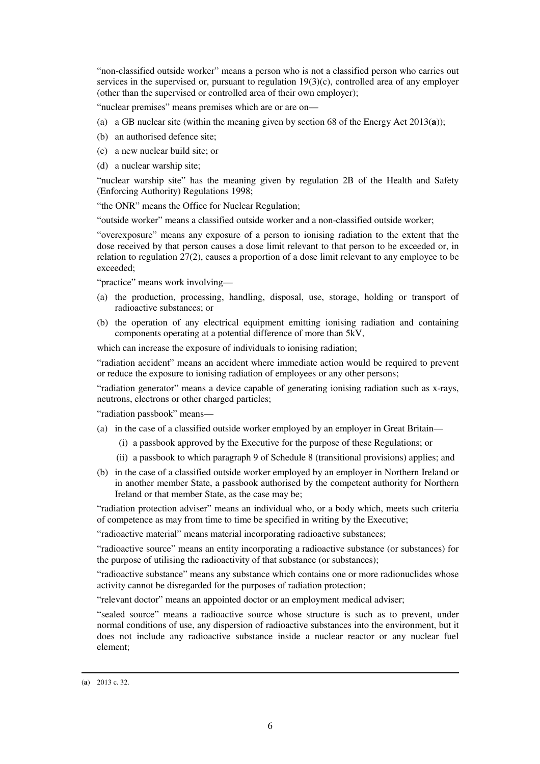"non-classified outside worker" means a person who is not a classified person who carries out services in the supervised or, pursuant to regulation  $19(3)(c)$ , controlled area of any employer (other than the supervised or controlled area of their own employer);

"nuclear premises" means premises which are or are on—

- (a) a GB nuclear site (within the meaning given by section 68 of the Energy Act 2013(**a**));
- (b) an authorised defence site;
- (c) a new nuclear build site; or
- (d) a nuclear warship site;

"nuclear warship site" has the meaning given by regulation 2B of the Health and Safety (Enforcing Authority) Regulations 1998;

"the ONR" means the Office for Nuclear Regulation;

"outside worker" means a classified outside worker and a non-classified outside worker;

"overexposure" means any exposure of a person to ionising radiation to the extent that the dose received by that person causes a dose limit relevant to that person to be exceeded or, in relation to regulation 27(2), causes a proportion of a dose limit relevant to any employee to be exceeded;

"practice" means work involving—

- (a) the production, processing, handling, disposal, use, storage, holding or transport of radioactive substances; or
- (b) the operation of any electrical equipment emitting ionising radiation and containing components operating at a potential difference of more than 5kV,

which can increase the exposure of individuals to ionising radiation;

"radiation accident" means an accident where immediate action would be required to prevent or reduce the exposure to ionising radiation of employees or any other persons;

"radiation generator" means a device capable of generating ionising radiation such as x-rays, neutrons, electrons or other charged particles;

"radiation passbook" means—

- (a) in the case of a classified outside worker employed by an employer in Great Britain—
	- (i) a passbook approved by the Executive for the purpose of these Regulations; or
	- (ii) a passbook to which paragraph 9 of Schedule 8 (transitional provisions) applies; and
- (b) in the case of a classified outside worker employed by an employer in Northern Ireland or in another member State, a passbook authorised by the competent authority for Northern Ireland or that member State, as the case may be;

"radiation protection adviser" means an individual who, or a body which, meets such criteria of competence as may from time to time be specified in writing by the Executive;

"radioactive material" means material incorporating radioactive substances;

"radioactive source" means an entity incorporating a radioactive substance (or substances) for the purpose of utilising the radioactivity of that substance (or substances);

"radioactive substance" means any substance which contains one or more radionuclides whose activity cannot be disregarded for the purposes of radiation protection;

"relevant doctor" means an appointed doctor or an employment medical adviser;

"sealed source" means a radioactive source whose structure is such as to prevent, under normal conditions of use, any dispersion of radioactive substances into the environment, but it does not include any radioactive substance inside a nuclear reactor or any nuclear fuel element;

<sup>(</sup>**a**) 2013 c. 32.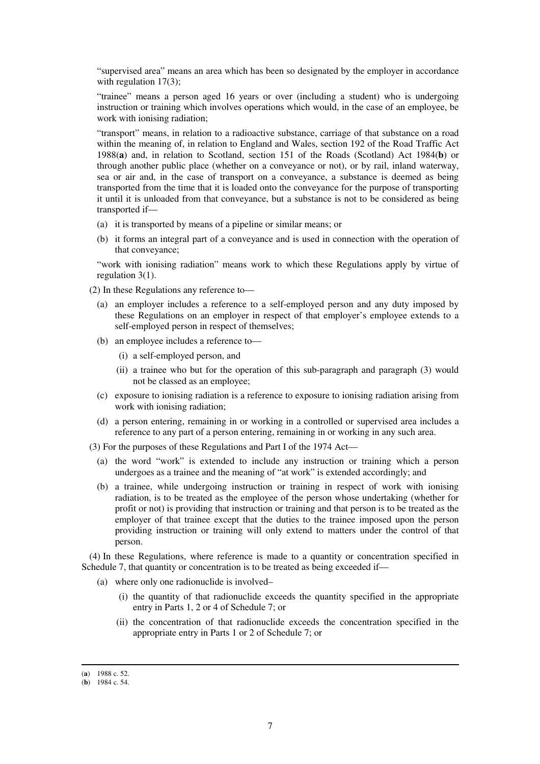"supervised area" means an area which has been so designated by the employer in accordance with regulation 17(3);

"trainee" means a person aged 16 years or over (including a student) who is undergoing instruction or training which involves operations which would, in the case of an employee, be work with ionising radiation;

"transport" means, in relation to a radioactive substance, carriage of that substance on a road within the meaning of, in relation to England and Wales, section 192 of the Road Traffic Act 1988(**a**) and, in relation to Scotland, section 151 of the Roads (Scotland) Act 1984(**b**) or through another public place (whether on a conveyance or not), or by rail, inland waterway, sea or air and, in the case of transport on a conveyance, a substance is deemed as being transported from the time that it is loaded onto the conveyance for the purpose of transporting it until it is unloaded from that conveyance, but a substance is not to be considered as being transported if—

- (a) it is transported by means of a pipeline or similar means; or
- (b) it forms an integral part of a conveyance and is used in connection with the operation of that conveyance;

"work with ionising radiation" means work to which these Regulations apply by virtue of regulation 3(1).

(2) In these Regulations any reference to—

- (a) an employer includes a reference to a self-employed person and any duty imposed by these Regulations on an employer in respect of that employer's employee extends to a self-employed person in respect of themselves;
- (b) an employee includes a reference to—
	- (i) a self-employed person, and
	- (ii) a trainee who but for the operation of this sub-paragraph and paragraph (3) would not be classed as an employee;
- (c) exposure to ionising radiation is a reference to exposure to ionising radiation arising from work with ionising radiation;
- (d) a person entering, remaining in or working in a controlled or supervised area includes a reference to any part of a person entering, remaining in or working in any such area.

(3) For the purposes of these Regulations and Part I of the 1974 Act—

- (a) the word "work" is extended to include any instruction or training which a person undergoes as a trainee and the meaning of "at work" is extended accordingly; and
- (b) a trainee, while undergoing instruction or training in respect of work with ionising radiation, is to be treated as the employee of the person whose undertaking (whether for profit or not) is providing that instruction or training and that person is to be treated as the employer of that trainee except that the duties to the trainee imposed upon the person providing instruction or training will only extend to matters under the control of that person.

(4) In these Regulations, where reference is made to a quantity or concentration specified in Schedule 7, that quantity or concentration is to be treated as being exceeded if—

- (a) where only one radionuclide is involved–
	- (i) the quantity of that radionuclide exceeds the quantity specified in the appropriate entry in Parts 1, 2 or 4 of Schedule 7; or
	- (ii) the concentration of that radionuclide exceeds the concentration specified in the appropriate entry in Parts 1 or 2 of Schedule 7; or

<sup>(</sup>**a**) 1988 c. 52.

<sup>(</sup>**b**) 1984 c. 54.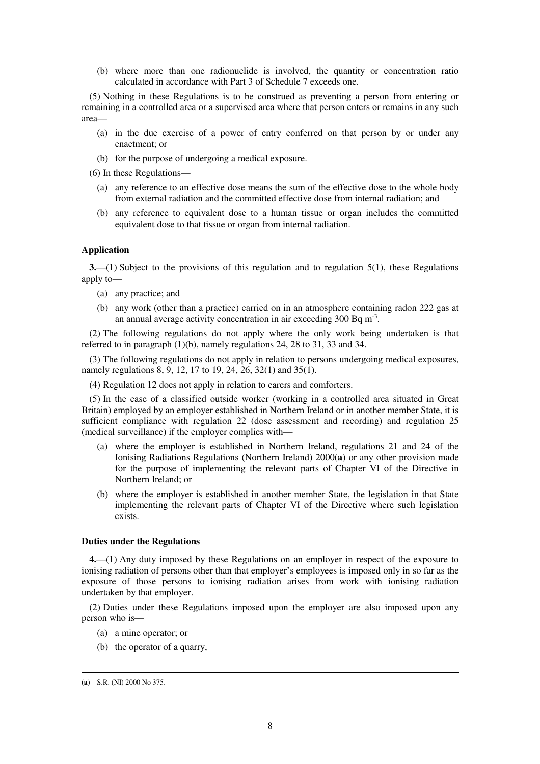(b) where more than one radionuclide is involved, the quantity or concentration ratio calculated in accordance with Part 3 of Schedule 7 exceeds one.

(5) Nothing in these Regulations is to be construed as preventing a person from entering or remaining in a controlled area or a supervised area where that person enters or remains in any such area—

- (a) in the due exercise of a power of entry conferred on that person by or under any enactment; or
- (b) for the purpose of undergoing a medical exposure.
- (6) In these Regulations—
	- (a) any reference to an effective dose means the sum of the effective dose to the whole body from external radiation and the committed effective dose from internal radiation; and
	- (b) any reference to equivalent dose to a human tissue or organ includes the committed equivalent dose to that tissue or organ from internal radiation.

#### **Application**

**3.**—(1) Subject to the provisions of this regulation and to regulation 5(1), these Regulations apply to—

- (a) any practice; and
- (b) any work (other than a practice) carried on in an atmosphere containing radon 222 gas at an annual average activity concentration in air exceeding  $300$  Bq m<sup>-3</sup>.

(2) The following regulations do not apply where the only work being undertaken is that referred to in paragraph (1)(b), namely regulations 24, 28 to 31, 33 and 34.

(3) The following regulations do not apply in relation to persons undergoing medical exposures, namely regulations 8, 9, 12, 17 to 19, 24, 26, 32(1) and 35(1).

(4) Regulation 12 does not apply in relation to carers and comforters.

(5) In the case of a classified outside worker (working in a controlled area situated in Great Britain) employed by an employer established in Northern Ireland or in another member State, it is sufficient compliance with regulation 22 (dose assessment and recording) and regulation 25 (medical surveillance) if the employer complies with—

- (a) where the employer is established in Northern Ireland, regulations 21 and 24 of the Ionising Radiations Regulations (Northern Ireland) 2000(**a**) or any other provision made for the purpose of implementing the relevant parts of Chapter VI of the Directive in Northern Ireland; or
- (b) where the employer is established in another member State, the legislation in that State implementing the relevant parts of Chapter VI of the Directive where such legislation exists.

#### **Duties under the Regulations**

**4.**—(1) Any duty imposed by these Regulations on an employer in respect of the exposure to ionising radiation of persons other than that employer's employees is imposed only in so far as the exposure of those persons to ionising radiation arises from work with ionising radiation undertaken by that employer.

(2) Duties under these Regulations imposed upon the employer are also imposed upon any person who is—

- (a) a mine operator; or
- (b) the operator of a quarry,

<sup>(</sup>**a**) S.R. (NI) 2000 No 375.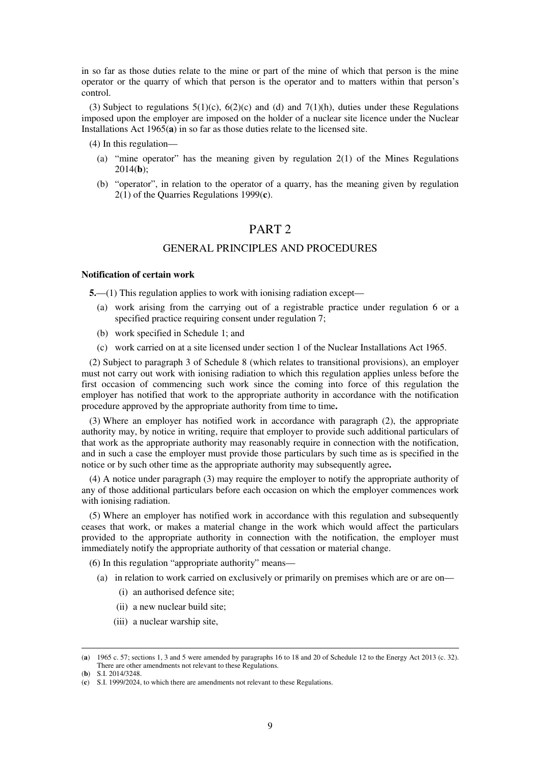in so far as those duties relate to the mine or part of the mine of which that person is the mine operator or the quarry of which that person is the operator and to matters within that person's control.

(3) Subject to regulations  $5(1)(c)$ ,  $6(2)(c)$  and (d) and  $7(1)(h)$ , duties under these Regulations imposed upon the employer are imposed on the holder of a nuclear site licence under the Nuclear Installations Act 1965(**a**) in so far as those duties relate to the licensed site.

(4) In this regulation—

- (a) "mine operator" has the meaning given by regulation 2(1) of the Mines Regulations 2014(**b**);
- (b) "operator", in relation to the operator of a quarry, has the meaning given by regulation 2(1) of the Quarries Regulations 1999(**c**).

# PART 2

# GENERAL PRINCIPLES AND PROCEDURES

#### **Notification of certain work**

**5.**—(1) This regulation applies to work with ionising radiation except—

- (a) work arising from the carrying out of a registrable practice under regulation 6 or a specified practice requiring consent under regulation 7;
- (b) work specified in Schedule 1; and
- (c) work carried on at a site licensed under section 1 of the Nuclear Installations Act 1965.

(2) Subject to paragraph 3 of Schedule 8 (which relates to transitional provisions), an employer must not carry out work with ionising radiation to which this regulation applies unless before the first occasion of commencing such work since the coming into force of this regulation the employer has notified that work to the appropriate authority in accordance with the notification procedure approved by the appropriate authority from time to time**.** 

(3) Where an employer has notified work in accordance with paragraph (2), the appropriate authority may, by notice in writing, require that employer to provide such additional particulars of that work as the appropriate authority may reasonably require in connection with the notification, and in such a case the employer must provide those particulars by such time as is specified in the notice or by such other time as the appropriate authority may subsequently agree**.** 

(4) A notice under paragraph (3) may require the employer to notify the appropriate authority of any of those additional particulars before each occasion on which the employer commences work with ionising radiation.

(5) Where an employer has notified work in accordance with this regulation and subsequently ceases that work, or makes a material change in the work which would affect the particulars provided to the appropriate authority in connection with the notification, the employer must immediately notify the appropriate authority of that cessation or material change.

(6) In this regulation "appropriate authority" means—

- (a) in relation to work carried on exclusively or primarily on premises which are or are on—
	- (i) an authorised defence site;
	- (ii) a new nuclear build site;
	- (iii) a nuclear warship site,

<sup>(</sup>**a**) 1965 c. 57; sections 1, 3 and 5 were amended by paragraphs 16 to 18 and 20 of Schedule 12 to the Energy Act 2013 (c. 32). There are other amendments not relevant to these Regulations.

<sup>(</sup>**b**) S.I. 2014/3248.

<sup>(</sup>**c**) S.I. 1999/2024, to which there are amendments not relevant to these Regulations.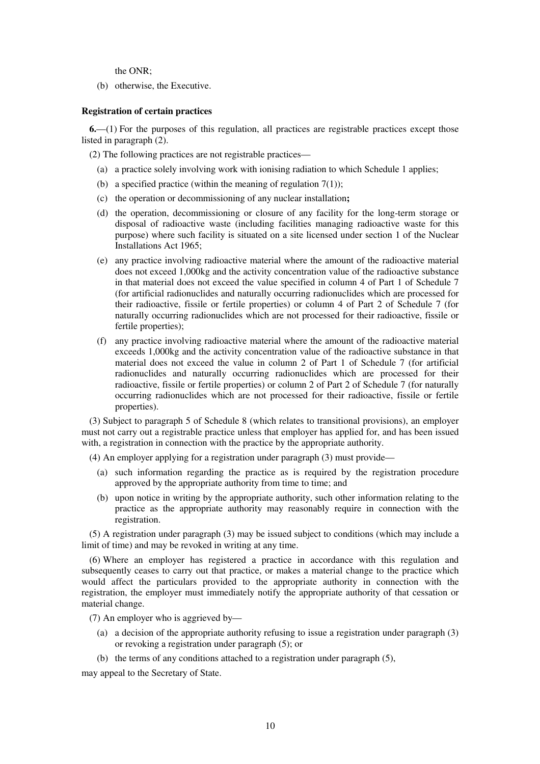the ONR;

(b) otherwise, the Executive.

#### **Registration of certain practices**

**6.**—(1) For the purposes of this regulation, all practices are registrable practices except those listed in paragraph (2).

(2) The following practices are not registrable practices—

- (a) a practice solely involving work with ionising radiation to which Schedule 1 applies;
- (b) a specified practice (within the meaning of regulation  $7(1)$ );
- (c) the operation or decommissioning of any nuclear installation**;**
- (d) the operation, decommissioning or closure of any facility for the long-term storage or disposal of radioactive waste (including facilities managing radioactive waste for this purpose) where such facility is situated on a site licensed under section 1 of the Nuclear Installations Act 1965;
- (e) any practice involving radioactive material where the amount of the radioactive material does not exceed 1,000kg and the activity concentration value of the radioactive substance in that material does not exceed the value specified in column 4 of Part 1 of Schedule 7 (for artificial radionuclides and naturally occurring radionuclides which are processed for their radioactive, fissile or fertile properties) or column 4 of Part 2 of Schedule 7 (for naturally occurring radionuclides which are not processed for their radioactive, fissile or fertile properties);
- (f) any practice involving radioactive material where the amount of the radioactive material exceeds 1,000kg and the activity concentration value of the radioactive substance in that material does not exceed the value in column 2 of Part 1 of Schedule 7 (for artificial radionuclides and naturally occurring radionuclides which are processed for their radioactive, fissile or fertile properties) or column 2 of Part 2 of Schedule 7 (for naturally occurring radionuclides which are not processed for their radioactive, fissile or fertile properties).

(3) Subject to paragraph 5 of Schedule 8 (which relates to transitional provisions), an employer must not carry out a registrable practice unless that employer has applied for, and has been issued with, a registration in connection with the practice by the appropriate authority.

(4) An employer applying for a registration under paragraph (3) must provide—

- (a) such information regarding the practice as is required by the registration procedure approved by the appropriate authority from time to time; and
- (b) upon notice in writing by the appropriate authority, such other information relating to the practice as the appropriate authority may reasonably require in connection with the registration.

(5) A registration under paragraph (3) may be issued subject to conditions (which may include a limit of time) and may be revoked in writing at any time.

(6) Where an employer has registered a practice in accordance with this regulation and subsequently ceases to carry out that practice, or makes a material change to the practice which would affect the particulars provided to the appropriate authority in connection with the registration, the employer must immediately notify the appropriate authority of that cessation or material change.

(7) An employer who is aggrieved by—

- (a) a decision of the appropriate authority refusing to issue a registration under paragraph (3) or revoking a registration under paragraph (5); or
- (b) the terms of any conditions attached to a registration under paragraph (5),

may appeal to the Secretary of State.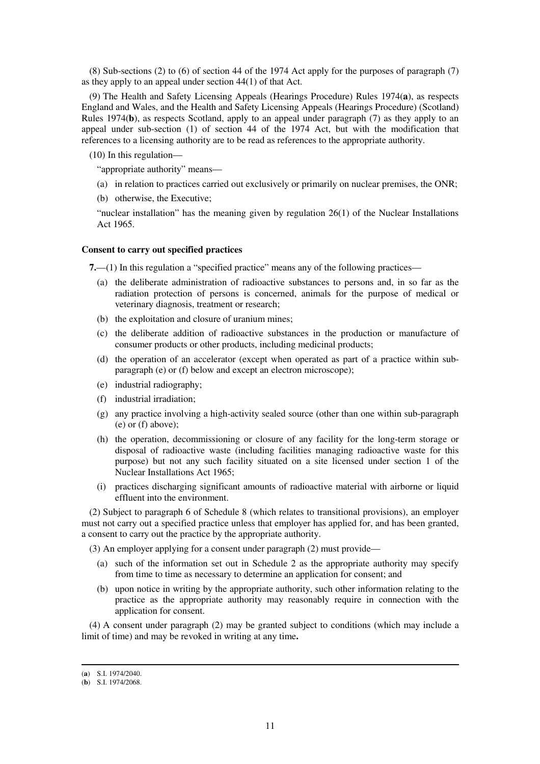(8) Sub-sections (2) to (6) of section 44 of the 1974 Act apply for the purposes of paragraph (7) as they apply to an appeal under section 44(1) of that Act.

(9) The Health and Safety Licensing Appeals (Hearings Procedure) Rules 1974(**a**), as respects England and Wales, and the Health and Safety Licensing Appeals (Hearings Procedure) (Scotland) Rules 1974(**b**), as respects Scotland, apply to an appeal under paragraph (7) as they apply to an appeal under sub-section (1) of section 44 of the 1974 Act, but with the modification that references to a licensing authority are to be read as references to the appropriate authority.

(10) In this regulation—

"appropriate authority" means—

- (a) in relation to practices carried out exclusively or primarily on nuclear premises, the ONR;
- (b) otherwise, the Executive;

"nuclear installation" has the meaning given by regulation 26(1) of the Nuclear Installations Act 1965.

#### **Consent to carry out specified practices**

**7.**—(1) In this regulation a "specified practice" means any of the following practices—

- (a) the deliberate administration of radioactive substances to persons and, in so far as the radiation protection of persons is concerned, animals for the purpose of medical or veterinary diagnosis, treatment or research;
- (b) the exploitation and closure of uranium mines;
- (c) the deliberate addition of radioactive substances in the production or manufacture of consumer products or other products, including medicinal products;
- (d) the operation of an accelerator (except when operated as part of a practice within subparagraph (e) or (f) below and except an electron microscope);
- (e) industrial radiography;
- (f) industrial irradiation;
- (g) any practice involving a high-activity sealed source (other than one within sub-paragraph (e) or (f) above);
- (h) the operation, decommissioning or closure of any facility for the long-term storage or disposal of radioactive waste (including facilities managing radioactive waste for this purpose) but not any such facility situated on a site licensed under section 1 of the Nuclear Installations Act 1965;
- (i) practices discharging significant amounts of radioactive material with airborne or liquid effluent into the environment.

(2) Subject to paragraph 6 of Schedule 8 (which relates to transitional provisions), an employer must not carry out a specified practice unless that employer has applied for, and has been granted, a consent to carry out the practice by the appropriate authority.

(3) An employer applying for a consent under paragraph (2) must provide—

- (a) such of the information set out in Schedule 2 as the appropriate authority may specify from time to time as necessary to determine an application for consent; and
- (b) upon notice in writing by the appropriate authority, such other information relating to the practice as the appropriate authority may reasonably require in connection with the application for consent.

(4) A consent under paragraph (2) may be granted subject to conditions (which may include a limit of time) and may be revoked in writing at any time**.** 

<sup>(</sup>**a**) S.I. 1974/2040.

<sup>(</sup>**b**) S.I. 1974/2068.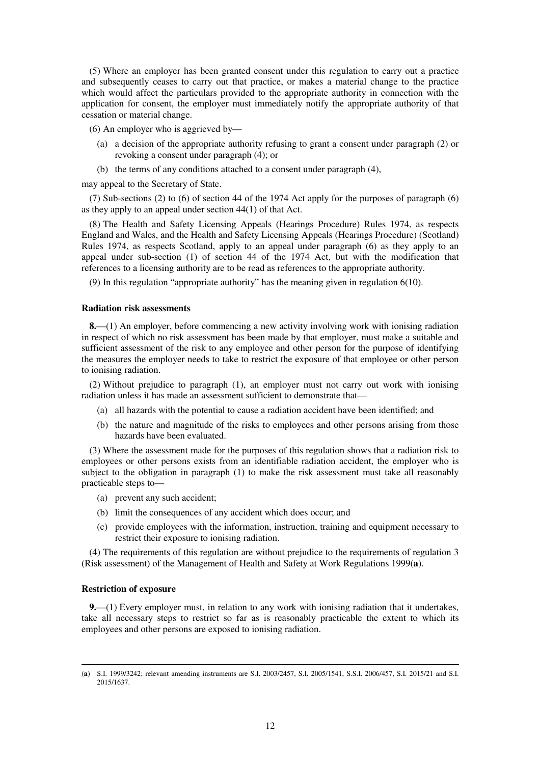(5) Where an employer has been granted consent under this regulation to carry out a practice and subsequently ceases to carry out that practice, or makes a material change to the practice which would affect the particulars provided to the appropriate authority in connection with the application for consent, the employer must immediately notify the appropriate authority of that cessation or material change.

(6) An employer who is aggrieved by—

- (a) a decision of the appropriate authority refusing to grant a consent under paragraph (2) or revoking a consent under paragraph (4); or
- (b) the terms of any conditions attached to a consent under paragraph (4),

may appeal to the Secretary of State.

(7) Sub-sections (2) to (6) of section 44 of the 1974 Act apply for the purposes of paragraph (6) as they apply to an appeal under section 44(1) of that Act.

(8) The Health and Safety Licensing Appeals (Hearings Procedure) Rules 1974, as respects England and Wales, and the Health and Safety Licensing Appeals (Hearings Procedure) (Scotland) Rules 1974, as respects Scotland, apply to an appeal under paragraph (6) as they apply to an appeal under sub-section (1) of section 44 of the 1974 Act, but with the modification that references to a licensing authority are to be read as references to the appropriate authority.

(9) In this regulation "appropriate authority" has the meaning given in regulation 6(10).

#### **Radiation risk assessments**

**8.**—(1) An employer, before commencing a new activity involving work with ionising radiation in respect of which no risk assessment has been made by that employer, must make a suitable and sufficient assessment of the risk to any employee and other person for the purpose of identifying the measures the employer needs to take to restrict the exposure of that employee or other person to ionising radiation.

(2) Without prejudice to paragraph (1), an employer must not carry out work with ionising radiation unless it has made an assessment sufficient to demonstrate that—

- (a) all hazards with the potential to cause a radiation accident have been identified; and
- (b) the nature and magnitude of the risks to employees and other persons arising from those hazards have been evaluated.

(3) Where the assessment made for the purposes of this regulation shows that a radiation risk to employees or other persons exists from an identifiable radiation accident, the employer who is subject to the obligation in paragraph (1) to make the risk assessment must take all reasonably practicable steps to—

- (a) prevent any such accident;
- (b) limit the consequences of any accident which does occur; and
- (c) provide employees with the information, instruction, training and equipment necessary to restrict their exposure to ionising radiation.

(4) The requirements of this regulation are without prejudice to the requirements of regulation 3 (Risk assessment) of the Management of Health and Safety at Work Regulations 1999(**a**).

#### **Restriction of exposure**

-

**9.**—(1) Every employer must, in relation to any work with ionising radiation that it undertakes, take all necessary steps to restrict so far as is reasonably practicable the extent to which its employees and other persons are exposed to ionising radiation.

<sup>(</sup>**a**) S.I. 1999/3242; relevant amending instruments are S.I. 2003/2457, S.I. 2005/1541, S.S.I. 2006/457, S.I. 2015/21 and S.I. 2015/1637.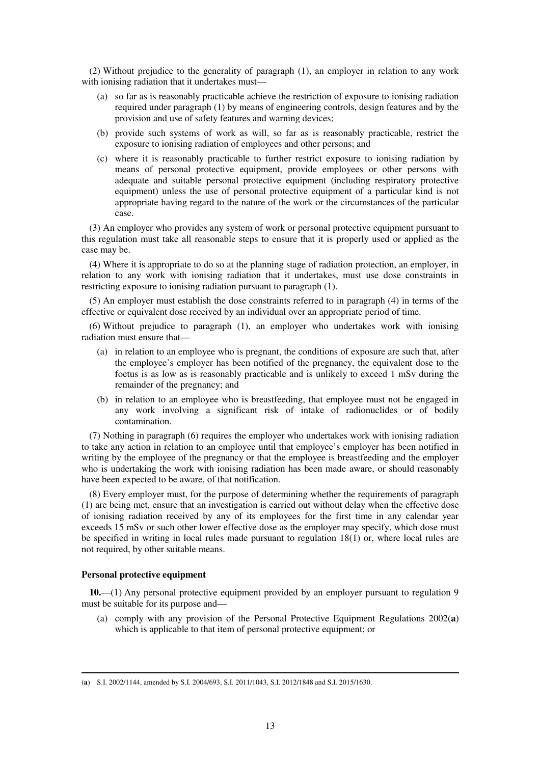(2) Without prejudice to the generality of paragraph (1), an employer in relation to any work with ionising radiation that it undertakes must—

- (a) so far as is reasonably practicable achieve the restriction of exposure to ionising radiation required under paragraph (1) by means of engineering controls, design features and by the provision and use of safety features and warning devices;
- (b) provide such systems of work as will, so far as is reasonably practicable, restrict the exposure to ionising radiation of employees and other persons; and
- (c) where it is reasonably practicable to further restrict exposure to ionising radiation by means of personal protective equipment, provide employees or other persons with adequate and suitable personal protective equipment (including respiratory protective equipment) unless the use of personal protective equipment of a particular kind is not appropriate having regard to the nature of the work or the circumstances of the particular case.

(3) An employer who provides any system of work or personal protective equipment pursuant to this regulation must take all reasonable steps to ensure that it is properly used or applied as the case may be.

(4) Where it is appropriate to do so at the planning stage of radiation protection, an employer, in relation to any work with ionising radiation that it undertakes, must use dose constraints in restricting exposure to ionising radiation pursuant to paragraph (1).

(5) An employer must establish the dose constraints referred to in paragraph (4) in terms of the effective or equivalent dose received by an individual over an appropriate period of time.

(6) Without prejudice to paragraph (1), an employer who undertakes work with ionising radiation must ensure that—

- (a) in relation to an employee who is pregnant, the conditions of exposure are such that, after the employee's employer has been notified of the pregnancy, the equivalent dose to the foetus is as low as is reasonably practicable and is unlikely to exceed 1 mSv during the remainder of the pregnancy; and
- (b) in relation to an employee who is breastfeeding, that employee must not be engaged in any work involving a significant risk of intake of radionuclides or of bodily contamination.

(7) Nothing in paragraph (6) requires the employer who undertakes work with ionising radiation to take any action in relation to an employee until that employee's employer has been notified in writing by the employee of the pregnancy or that the employee is breastfeeding and the employer who is undertaking the work with ionising radiation has been made aware, or should reasonably have been expected to be aware, of that notification.

(8) Every employer must, for the purpose of determining whether the requirements of paragraph (1) are being met, ensure that an investigation is carried out without delay when the effective dose of ionising radiation received by any of its employees for the first time in any calendar year exceeds 15 mSv or such other lower effective dose as the employer may specify, which dose must be specified in writing in local rules made pursuant to regulation 18(1) or, where local rules are not required, by other suitable means.

#### **Personal protective equipment**

**10.**—(1) Any personal protective equipment provided by an employer pursuant to regulation 9 must be suitable for its purpose and—

(a) comply with any provision of the Personal Protective Equipment Regulations 2002(**a**) which is applicable to that item of personal protective equipment; or

<sup>-</sup>(**a**) S.I. 2002/1144, amended by S.I. 2004/693, S.I. 2011/1043, S.I. 2012/1848 and S.I. 2015/1630.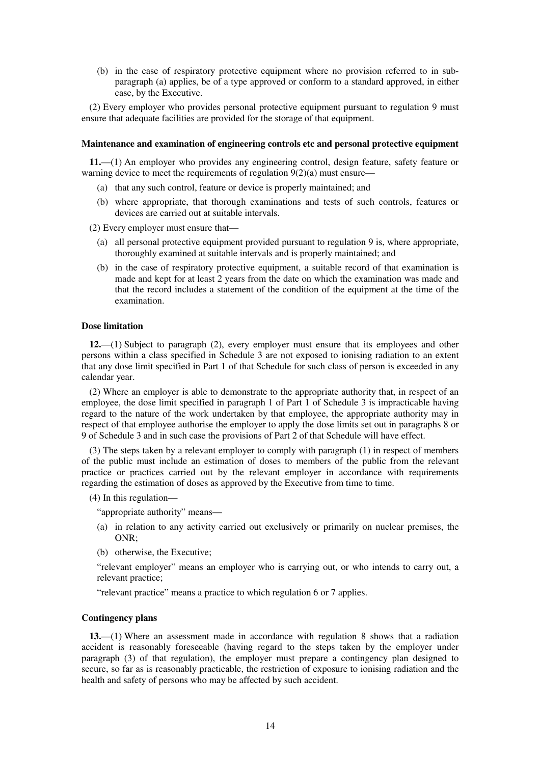(b) in the case of respiratory protective equipment where no provision referred to in subparagraph (a) applies, be of a type approved or conform to a standard approved, in either case, by the Executive.

(2) Every employer who provides personal protective equipment pursuant to regulation 9 must ensure that adequate facilities are provided for the storage of that equipment.

#### **Maintenance and examination of engineering controls etc and personal protective equipment**

**11.**—(1) An employer who provides any engineering control, design feature, safety feature or warning device to meet the requirements of regulation 9(2)(a) must ensure—

- (a) that any such control, feature or device is properly maintained; and
- (b) where appropriate, that thorough examinations and tests of such controls, features or devices are carried out at suitable intervals.

(2) Every employer must ensure that—

- (a) all personal protective equipment provided pursuant to regulation 9 is, where appropriate, thoroughly examined at suitable intervals and is properly maintained; and
- (b) in the case of respiratory protective equipment, a suitable record of that examination is made and kept for at least 2 years from the date on which the examination was made and that the record includes a statement of the condition of the equipment at the time of the examination.

#### **Dose limitation**

**12.**—(1) Subject to paragraph (2), every employer must ensure that its employees and other persons within a class specified in Schedule 3 are not exposed to ionising radiation to an extent that any dose limit specified in Part 1 of that Schedule for such class of person is exceeded in any calendar year.

(2) Where an employer is able to demonstrate to the appropriate authority that, in respect of an employee, the dose limit specified in paragraph 1 of Part 1 of Schedule 3 is impracticable having regard to the nature of the work undertaken by that employee, the appropriate authority may in respect of that employee authorise the employer to apply the dose limits set out in paragraphs 8 or 9 of Schedule 3 and in such case the provisions of Part 2 of that Schedule will have effect.

(3) The steps taken by a relevant employer to comply with paragraph (1) in respect of members of the public must include an estimation of doses to members of the public from the relevant practice or practices carried out by the relevant employer in accordance with requirements regarding the estimation of doses as approved by the Executive from time to time.

(4) In this regulation—

"appropriate authority" means—

- (a) in relation to any activity carried out exclusively or primarily on nuclear premises, the ONR;
- (b) otherwise, the Executive;

"relevant employer" means an employer who is carrying out, or who intends to carry out, a relevant practice;

"relevant practice" means a practice to which regulation 6 or 7 applies.

#### **Contingency plans**

**13.**—(1) Where an assessment made in accordance with regulation 8 shows that a radiation accident is reasonably foreseeable (having regard to the steps taken by the employer under paragraph (3) of that regulation), the employer must prepare a contingency plan designed to secure, so far as is reasonably practicable, the restriction of exposure to ionising radiation and the health and safety of persons who may be affected by such accident.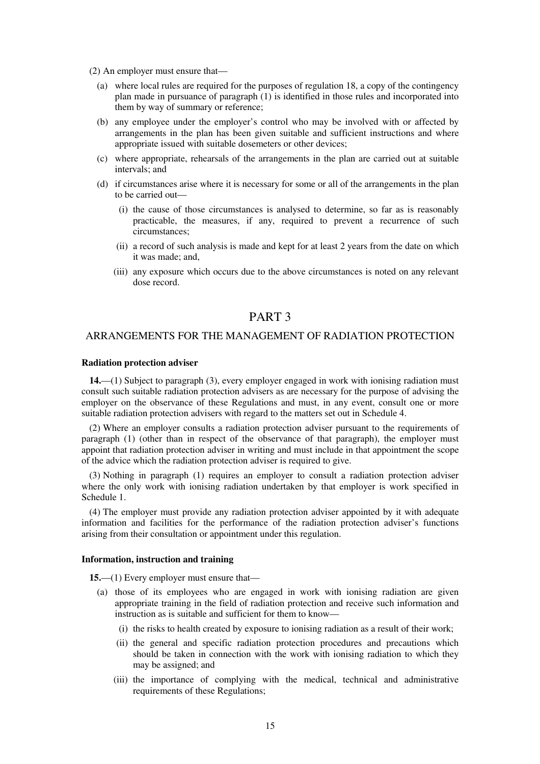- (2) An employer must ensure that—
	- (a) where local rules are required for the purposes of regulation 18, a copy of the contingency plan made in pursuance of paragraph  $(1)$  is identified in those rules and incorporated into them by way of summary or reference;
	- (b) any employee under the employer's control who may be involved with or affected by arrangements in the plan has been given suitable and sufficient instructions and where appropriate issued with suitable dosemeters or other devices;
	- (c) where appropriate, rehearsals of the arrangements in the plan are carried out at suitable intervals; and
	- (d) if circumstances arise where it is necessary for some or all of the arrangements in the plan to be carried out—
		- (i) the cause of those circumstances is analysed to determine, so far as is reasonably practicable, the measures, if any, required to prevent a recurrence of such circumstances;
		- (ii) a record of such analysis is made and kept for at least 2 years from the date on which it was made; and,
		- (iii) any exposure which occurs due to the above circumstances is noted on any relevant dose record.

# PART 3

# ARRANGEMENTS FOR THE MANAGEMENT OF RADIATION PROTECTION

#### **Radiation protection adviser**

**14.**—(1) Subject to paragraph (3), every employer engaged in work with ionising radiation must consult such suitable radiation protection advisers as are necessary for the purpose of advising the employer on the observance of these Regulations and must, in any event, consult one or more suitable radiation protection advisers with regard to the matters set out in Schedule 4.

(2) Where an employer consults a radiation protection adviser pursuant to the requirements of paragraph (1) (other than in respect of the observance of that paragraph), the employer must appoint that radiation protection adviser in writing and must include in that appointment the scope of the advice which the radiation protection adviser is required to give.

(3) Nothing in paragraph (1) requires an employer to consult a radiation protection adviser where the only work with ionising radiation undertaken by that employer is work specified in Schedule 1.

(4) The employer must provide any radiation protection adviser appointed by it with adequate information and facilities for the performance of the radiation protection adviser's functions arising from their consultation or appointment under this regulation.

#### **Information, instruction and training**

**15.**—(1) Every employer must ensure that—

- (a) those of its employees who are engaged in work with ionising radiation are given appropriate training in the field of radiation protection and receive such information and instruction as is suitable and sufficient for them to know—
	- (i) the risks to health created by exposure to ionising radiation as a result of their work;
	- (ii) the general and specific radiation protection procedures and precautions which should be taken in connection with the work with ionising radiation to which they may be assigned; and
	- (iii) the importance of complying with the medical, technical and administrative requirements of these Regulations;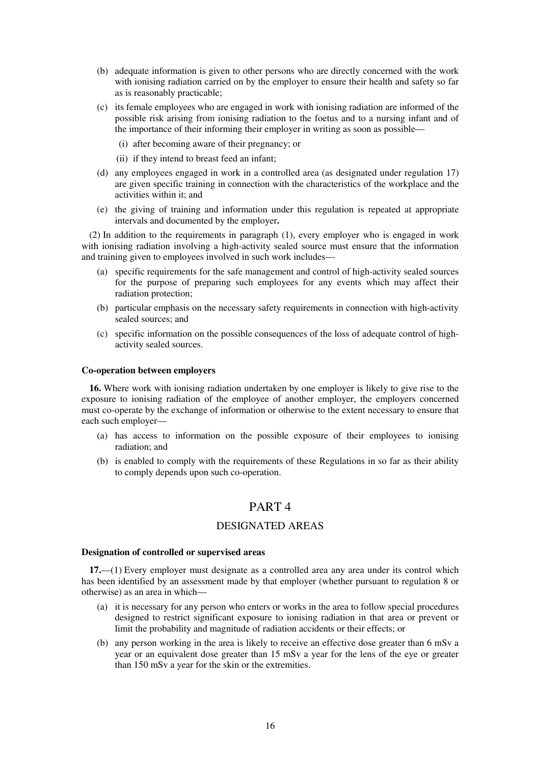- (b) adequate information is given to other persons who are directly concerned with the work with ionising radiation carried on by the employer to ensure their health and safety so far as is reasonably practicable;
- (c) its female employees who are engaged in work with ionising radiation are informed of the possible risk arising from ionising radiation to the foetus and to a nursing infant and of the importance of their informing their employer in writing as soon as possible—
	- (i) after becoming aware of their pregnancy; or
	- (ii) if they intend to breast feed an infant;
- (d) any employees engaged in work in a controlled area (as designated under regulation 17) are given specific training in connection with the characteristics of the workplace and the activities within it; and
- (e) the giving of training and information under this regulation is repeated at appropriate intervals and documented by the employer**.**

(2) In addition to the requirements in paragraph (1), every employer who is engaged in work with ionising radiation involving a high-activity sealed source must ensure that the information and training given to employees involved in such work includes—

- (a) specific requirements for the safe management and control of high-activity sealed sources for the purpose of preparing such employees for any events which may affect their radiation protection;
- (b) particular emphasis on the necessary safety requirements in connection with high-activity sealed sources; and
- (c) specific information on the possible consequences of the loss of adequate control of highactivity sealed sources.

#### **Co-operation between employers**

**16.** Where work with ionising radiation undertaken by one employer is likely to give rise to the exposure to ionising radiation of the employee of another employer, the employers concerned must co-operate by the exchange of information or otherwise to the extent necessary to ensure that each such employer—

- (a) has access to information on the possible exposure of their employees to ionising radiation; and
- (b) is enabled to comply with the requirements of these Regulations in so far as their ability to comply depends upon such co-operation.

# PART 4

## DESIGNATED AREAS

#### **Designation of controlled or supervised areas**

**17.**—(1) Every employer must designate as a controlled area any area under its control which has been identified by an assessment made by that employer (whether pursuant to regulation 8 or otherwise) as an area in which—

- (a) it is necessary for any person who enters or works in the area to follow special procedures designed to restrict significant exposure to ionising radiation in that area or prevent or limit the probability and magnitude of radiation accidents or their effects; or
- (b) any person working in the area is likely to receive an effective dose greater than 6 mSv a year or an equivalent dose greater than 15 mSv a year for the lens of the eye or greater than 150 mSv a year for the skin or the extremities.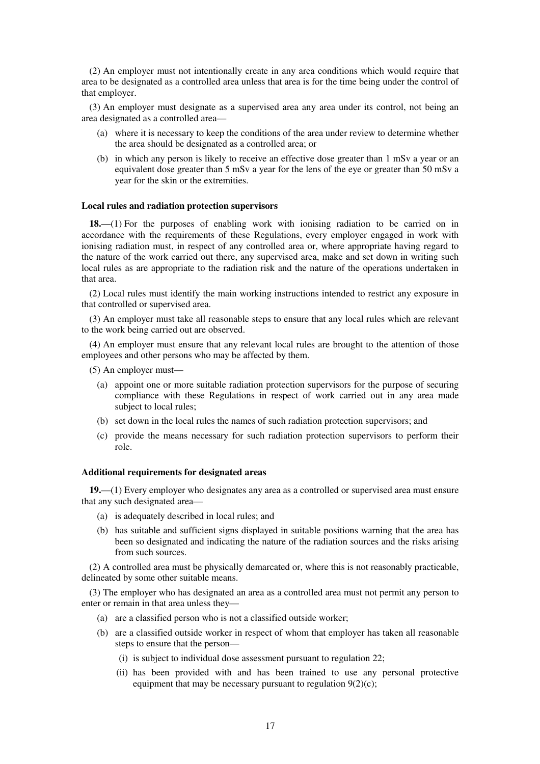(2) An employer must not intentionally create in any area conditions which would require that area to be designated as a controlled area unless that area is for the time being under the control of that employer.

(3) An employer must designate as a supervised area any area under its control, not being an area designated as a controlled area—

- (a) where it is necessary to keep the conditions of the area under review to determine whether the area should be designated as a controlled area; or
- (b) in which any person is likely to receive an effective dose greater than 1 mSv a year or an equivalent dose greater than 5 mSv a year for the lens of the eye or greater than 50 mSv a year for the skin or the extremities.

#### **Local rules and radiation protection supervisors**

**18.**—(1) For the purposes of enabling work with ionising radiation to be carried on in accordance with the requirements of these Regulations, every employer engaged in work with ionising radiation must, in respect of any controlled area or, where appropriate having regard to the nature of the work carried out there, any supervised area, make and set down in writing such local rules as are appropriate to the radiation risk and the nature of the operations undertaken in that area.

(2) Local rules must identify the main working instructions intended to restrict any exposure in that controlled or supervised area.

(3) An employer must take all reasonable steps to ensure that any local rules which are relevant to the work being carried out are observed.

(4) An employer must ensure that any relevant local rules are brought to the attention of those employees and other persons who may be affected by them.

(5) An employer must—

- (a) appoint one or more suitable radiation protection supervisors for the purpose of securing compliance with these Regulations in respect of work carried out in any area made subject to local rules;
- (b) set down in the local rules the names of such radiation protection supervisors; and
- (c) provide the means necessary for such radiation protection supervisors to perform their role.

#### **Additional requirements for designated areas**

**19.**—(1) Every employer who designates any area as a controlled or supervised area must ensure that any such designated area—

- (a) is adequately described in local rules; and
- (b) has suitable and sufficient signs displayed in suitable positions warning that the area has been so designated and indicating the nature of the radiation sources and the risks arising from such sources.

(2) A controlled area must be physically demarcated or, where this is not reasonably practicable, delineated by some other suitable means.

(3) The employer who has designated an area as a controlled area must not permit any person to enter or remain in that area unless they—

- (a) are a classified person who is not a classified outside worker;
- (b) are a classified outside worker in respect of whom that employer has taken all reasonable steps to ensure that the person—
	- (i) is subject to individual dose assessment pursuant to regulation 22;
	- (ii) has been provided with and has been trained to use any personal protective equipment that may be necessary pursuant to regulation 9(2)(c);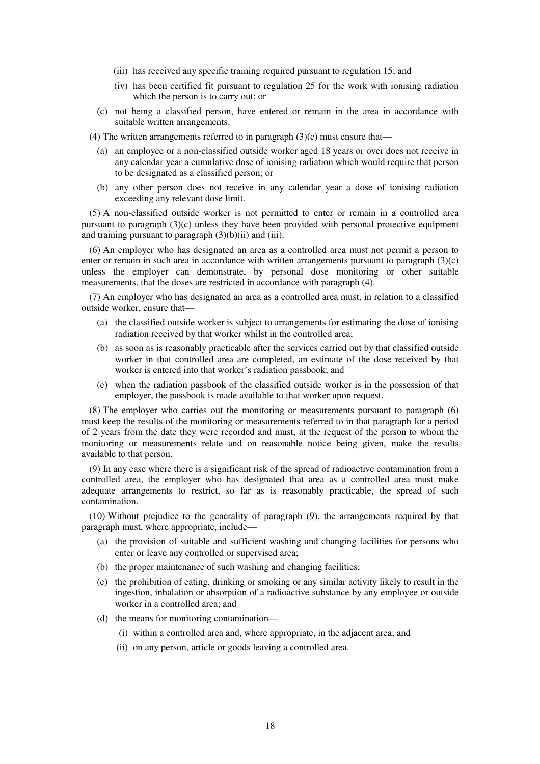- (iii) has received any specific training required pursuant to regulation 15; and
- (iv) has been certified fit pursuant to regulation 25 for the work with ionising radiation which the person is to carry out; or
- (c) not being a classified person, have entered or remain in the area in accordance with suitable written arrangements.
- (4) The written arrangements referred to in paragraph  $(3)(c)$  must ensure that—
	- (a) an employee or a non-classified outside worker aged 18 years or over does not receive in any calendar year a cumulative dose of ionising radiation which would require that person to be designated as a classified person; or
	- (b) any other person does not receive in any calendar year a dose of ionising radiation exceeding any relevant dose limit.

(5) A non-classified outside worker is not permitted to enter or remain in a controlled area pursuant to paragraph (3)(c) unless they have been provided with personal protective equipment and training pursuant to paragraph  $(3)(b)(ii)$  and  $(iii)$ .

(6) An employer who has designated an area as a controlled area must not permit a person to enter or remain in such area in accordance with written arrangements pursuant to paragraph (3)(c) unless the employer can demonstrate, by personal dose monitoring or other suitable measurements, that the doses are restricted in accordance with paragraph (4).

(7) An employer who has designated an area as a controlled area must, in relation to a classified outside worker, ensure that—

- (a) the classified outside worker is subject to arrangements for estimating the dose of ionising radiation received by that worker whilst in the controlled area;
- (b) as soon as is reasonably practicable after the services carried out by that classified outside worker in that controlled area are completed, an estimate of the dose received by that worker is entered into that worker's radiation passbook; and
- (c) when the radiation passbook of the classified outside worker is in the possession of that employer, the passbook is made available to that worker upon request.

(8) The employer who carries out the monitoring or measurements pursuant to paragraph (6) must keep the results of the monitoring or measurements referred to in that paragraph for a period of 2 years from the date they were recorded and must, at the request of the person to whom the monitoring or measurements relate and on reasonable notice being given, make the results available to that person.

(9) In any case where there is a significant risk of the spread of radioactive contamination from a controlled area, the employer who has designated that area as a controlled area must make adequate arrangements to restrict, so far as is reasonably practicable, the spread of such contamination.

(10) Without prejudice to the generality of paragraph (9), the arrangements required by that paragraph must, where appropriate, include—

- (a) the provision of suitable and sufficient washing and changing facilities for persons who enter or leave any controlled or supervised area;
- (b) the proper maintenance of such washing and changing facilities;
- (c) the prohibition of eating, drinking or smoking or any similar activity likely to result in the ingestion, inhalation or absorption of a radioactive substance by any employee or outside worker in a controlled area; and
- (d) the means for monitoring contamination—
	- (i) within a controlled area and, where appropriate, in the adjacent area; and
	- (ii) on any person, article or goods leaving a controlled area.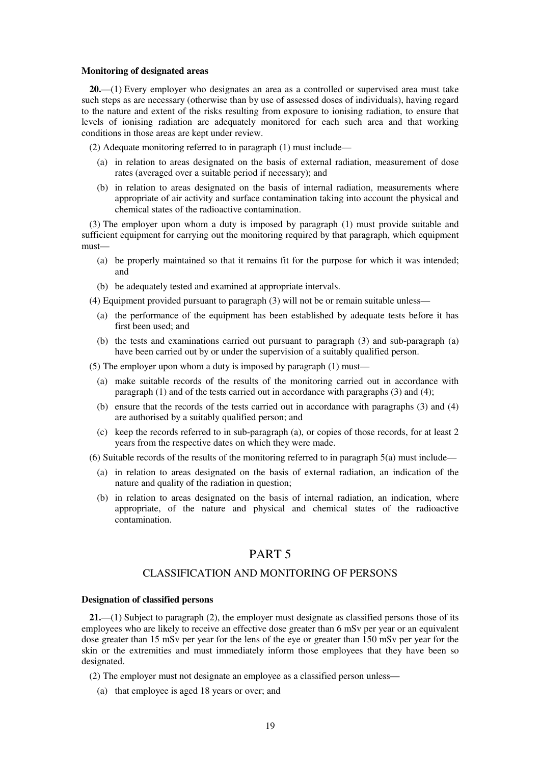#### **Monitoring of designated areas**

**20.**—(1) Every employer who designates an area as a controlled or supervised area must take such steps as are necessary (otherwise than by use of assessed doses of individuals), having regard to the nature and extent of the risks resulting from exposure to ionising radiation, to ensure that levels of ionising radiation are adequately monitored for each such area and that working conditions in those areas are kept under review.

(2) Adequate monitoring referred to in paragraph (1) must include—

- (a) in relation to areas designated on the basis of external radiation, measurement of dose rates (averaged over a suitable period if necessary); and
- (b) in relation to areas designated on the basis of internal radiation, measurements where appropriate of air activity and surface contamination taking into account the physical and chemical states of the radioactive contamination.

(3) The employer upon whom a duty is imposed by paragraph (1) must provide suitable and sufficient equipment for carrying out the monitoring required by that paragraph, which equipment must—

- (a) be properly maintained so that it remains fit for the purpose for which it was intended; and
- (b) be adequately tested and examined at appropriate intervals.

(4) Equipment provided pursuant to paragraph (3) will not be or remain suitable unless—

- (a) the performance of the equipment has been established by adequate tests before it has first been used; and
- (b) the tests and examinations carried out pursuant to paragraph (3) and sub-paragraph (a) have been carried out by or under the supervision of a suitably qualified person.

(5) The employer upon whom a duty is imposed by paragraph (1) must—

- (a) make suitable records of the results of the monitoring carried out in accordance with paragraph (1) and of the tests carried out in accordance with paragraphs (3) and (4);
- (b) ensure that the records of the tests carried out in accordance with paragraphs (3) and (4) are authorised by a suitably qualified person; and
- (c) keep the records referred to in sub-paragraph (a), or copies of those records, for at least 2 years from the respective dates on which they were made.
- (6) Suitable records of the results of the monitoring referred to in paragraph  $5(a)$  must include—
	- (a) in relation to areas designated on the basis of external radiation, an indication of the nature and quality of the radiation in question;
	- (b) in relation to areas designated on the basis of internal radiation, an indication, where appropriate, of the nature and physical and chemical states of the radioactive contamination.

# PART 5

### CLASSIFICATION AND MONITORING OF PERSONS

#### **Designation of classified persons**

**21.**—(1) Subject to paragraph (2), the employer must designate as classified persons those of its employees who are likely to receive an effective dose greater than 6 mSv per year or an equivalent dose greater than 15 mSv per year for the lens of the eye or greater than 150 mSv per year for the skin or the extremities and must immediately inform those employees that they have been so designated.

(2) The employer must not designate an employee as a classified person unless—

(a) that employee is aged 18 years or over; and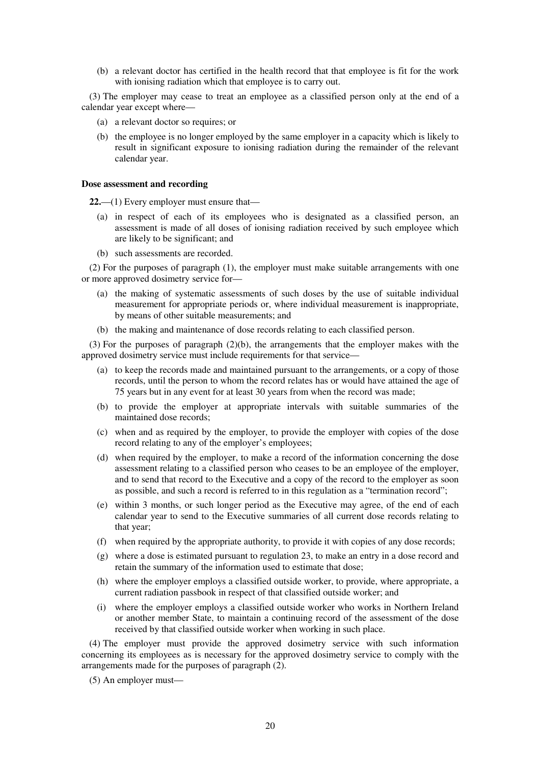(b) a relevant doctor has certified in the health record that that employee is fit for the work with ionising radiation which that employee is to carry out.

(3) The employer may cease to treat an employee as a classified person only at the end of a calendar year except where—

- (a) a relevant doctor so requires; or
- (b) the employee is no longer employed by the same employer in a capacity which is likely to result in significant exposure to ionising radiation during the remainder of the relevant calendar year.

#### **Dose assessment and recording**

**22.**—(1) Every employer must ensure that—

- (a) in respect of each of its employees who is designated as a classified person, an assessment is made of all doses of ionising radiation received by such employee which are likely to be significant; and
- (b) such assessments are recorded.

(2) For the purposes of paragraph (1), the employer must make suitable arrangements with one or more approved dosimetry service for—

- (a) the making of systematic assessments of such doses by the use of suitable individual measurement for appropriate periods or, where individual measurement is inappropriate, by means of other suitable measurements; and
- (b) the making and maintenance of dose records relating to each classified person.

(3) For the purposes of paragraph (2)(b), the arrangements that the employer makes with the approved dosimetry service must include requirements for that service—

- (a) to keep the records made and maintained pursuant to the arrangements, or a copy of those records, until the person to whom the record relates has or would have attained the age of 75 years but in any event for at least 30 years from when the record was made;
- (b) to provide the employer at appropriate intervals with suitable summaries of the maintained dose records;
- (c) when and as required by the employer, to provide the employer with copies of the dose record relating to any of the employer's employees;
- (d) when required by the employer, to make a record of the information concerning the dose assessment relating to a classified person who ceases to be an employee of the employer, and to send that record to the Executive and a copy of the record to the employer as soon as possible, and such a record is referred to in this regulation as a "termination record";
- (e) within 3 months, or such longer period as the Executive may agree, of the end of each calendar year to send to the Executive summaries of all current dose records relating to that year;
- (f) when required by the appropriate authority, to provide it with copies of any dose records;
- (g) where a dose is estimated pursuant to regulation 23, to make an entry in a dose record and retain the summary of the information used to estimate that dose;
- (h) where the employer employs a classified outside worker, to provide, where appropriate, a current radiation passbook in respect of that classified outside worker; and
- (i) where the employer employs a classified outside worker who works in Northern Ireland or another member State, to maintain a continuing record of the assessment of the dose received by that classified outside worker when working in such place.

(4) The employer must provide the approved dosimetry service with such information concerning its employees as is necessary for the approved dosimetry service to comply with the arrangements made for the purposes of paragraph (2).

(5) An employer must—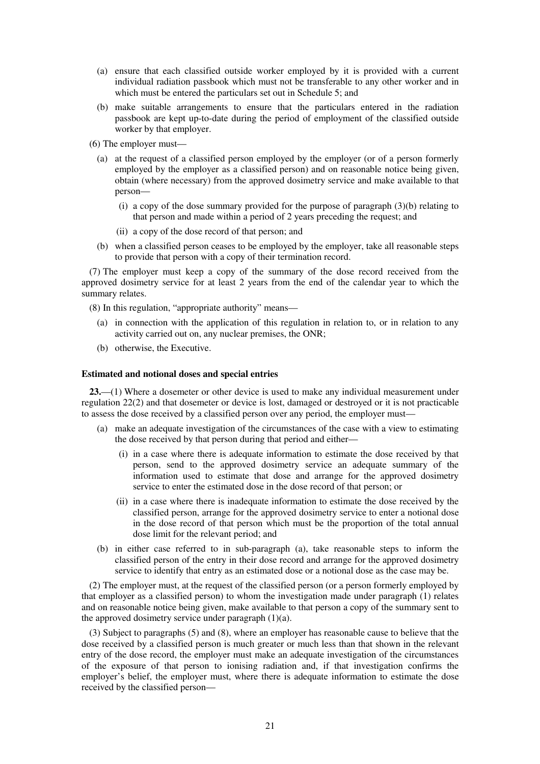- (a) ensure that each classified outside worker employed by it is provided with a current individual radiation passbook which must not be transferable to any other worker and in which must be entered the particulars set out in Schedule 5; and
- (b) make suitable arrangements to ensure that the particulars entered in the radiation passbook are kept up-to-date during the period of employment of the classified outside worker by that employer.
- (6) The employer must—
	- (a) at the request of a classified person employed by the employer (or of a person formerly employed by the employer as a classified person) and on reasonable notice being given, obtain (where necessary) from the approved dosimetry service and make available to that person—
		- (i) a copy of the dose summary provided for the purpose of paragraph (3)(b) relating to that person and made within a period of 2 years preceding the request; and
		- (ii) a copy of the dose record of that person; and
	- (b) when a classified person ceases to be employed by the employer, take all reasonable steps to provide that person with a copy of their termination record.

(7) The employer must keep a copy of the summary of the dose record received from the approved dosimetry service for at least 2 years from the end of the calendar year to which the summary relates.

(8) In this regulation, "appropriate authority" means—

- (a) in connection with the application of this regulation in relation to, or in relation to any activity carried out on, any nuclear premises, the ONR;
- (b) otherwise, the Executive.

#### **Estimated and notional doses and special entries**

**23.**—(1) Where a dosemeter or other device is used to make any individual measurement under regulation 22(2) and that dosemeter or device is lost, damaged or destroyed or it is not practicable to assess the dose received by a classified person over any period, the employer must—

- (a) make an adequate investigation of the circumstances of the case with a view to estimating the dose received by that person during that period and either—
	- (i) in a case where there is adequate information to estimate the dose received by that person, send to the approved dosimetry service an adequate summary of the information used to estimate that dose and arrange for the approved dosimetry service to enter the estimated dose in the dose record of that person; or
	- (ii) in a case where there is inadequate information to estimate the dose received by the classified person, arrange for the approved dosimetry service to enter a notional dose in the dose record of that person which must be the proportion of the total annual dose limit for the relevant period; and
- (b) in either case referred to in sub-paragraph (a), take reasonable steps to inform the classified person of the entry in their dose record and arrange for the approved dosimetry service to identify that entry as an estimated dose or a notional dose as the case may be.

(2) The employer must, at the request of the classified person (or a person formerly employed by that employer as a classified person) to whom the investigation made under paragraph (1) relates and on reasonable notice being given, make available to that person a copy of the summary sent to the approved dosimetry service under paragraph  $(1)(a)$ .

(3) Subject to paragraphs (5) and (8), where an employer has reasonable cause to believe that the dose received by a classified person is much greater or much less than that shown in the relevant entry of the dose record, the employer must make an adequate investigation of the circumstances of the exposure of that person to ionising radiation and, if that investigation confirms the employer's belief, the employer must, where there is adequate information to estimate the dose received by the classified person—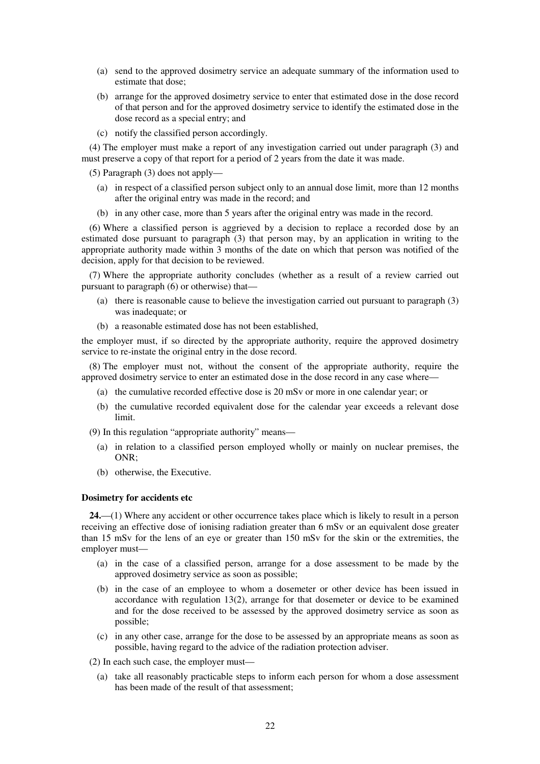- (a) send to the approved dosimetry service an adequate summary of the information used to estimate that dose;
- (b) arrange for the approved dosimetry service to enter that estimated dose in the dose record of that person and for the approved dosimetry service to identify the estimated dose in the dose record as a special entry; and
- (c) notify the classified person accordingly.

(4) The employer must make a report of any investigation carried out under paragraph (3) and must preserve a copy of that report for a period of 2 years from the date it was made.

(5) Paragraph (3) does not apply—

- (a) in respect of a classified person subject only to an annual dose limit, more than 12 months after the original entry was made in the record; and
- (b) in any other case, more than 5 years after the original entry was made in the record.

(6) Where a classified person is aggrieved by a decision to replace a recorded dose by an estimated dose pursuant to paragraph (3) that person may, by an application in writing to the appropriate authority made within 3 months of the date on which that person was notified of the decision, apply for that decision to be reviewed.

(7) Where the appropriate authority concludes (whether as a result of a review carried out pursuant to paragraph (6) or otherwise) that—

- (a) there is reasonable cause to believe the investigation carried out pursuant to paragraph (3) was inadequate; or
- (b) a reasonable estimated dose has not been established,

the employer must, if so directed by the appropriate authority, require the approved dosimetry service to re-instate the original entry in the dose record.

(8) The employer must not, without the consent of the appropriate authority, require the approved dosimetry service to enter an estimated dose in the dose record in any case where—

- (a) the cumulative recorded effective dose is 20 mSv or more in one calendar year; or
- (b) the cumulative recorded equivalent dose for the calendar year exceeds a relevant dose limit.
- (9) In this regulation "appropriate authority" means—
	- (a) in relation to a classified person employed wholly or mainly on nuclear premises, the ONR;
	- (b) otherwise, the Executive.

#### **Dosimetry for accidents etc**

**24.**—(1) Where any accident or other occurrence takes place which is likely to result in a person receiving an effective dose of ionising radiation greater than 6 mSv or an equivalent dose greater than 15 mSv for the lens of an eye or greater than 150 mSv for the skin or the extremities, the employer must—

- (a) in the case of a classified person, arrange for a dose assessment to be made by the approved dosimetry service as soon as possible;
- (b) in the case of an employee to whom a dosemeter or other device has been issued in accordance with regulation 13(2), arrange for that dosemeter or device to be examined and for the dose received to be assessed by the approved dosimetry service as soon as possible;
- (c) in any other case, arrange for the dose to be assessed by an appropriate means as soon as possible, having regard to the advice of the radiation protection adviser.

(2) In each such case, the employer must—

(a) take all reasonably practicable steps to inform each person for whom a dose assessment has been made of the result of that assessment;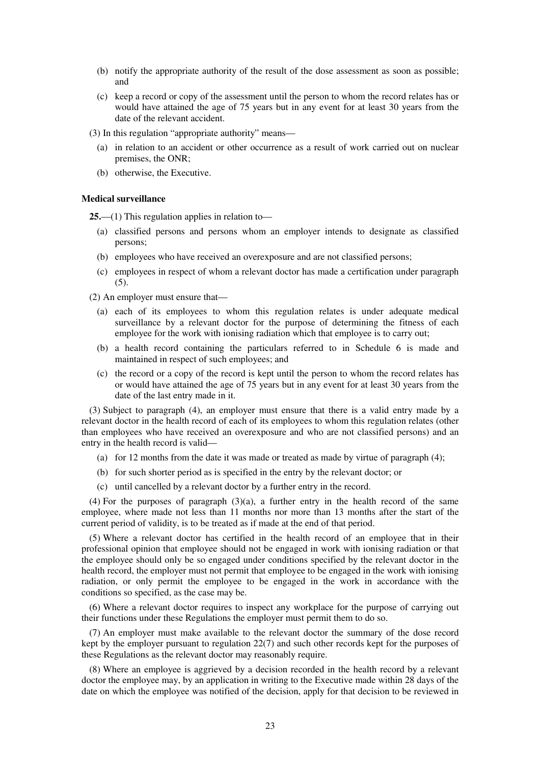- (b) notify the appropriate authority of the result of the dose assessment as soon as possible; and
- (c) keep a record or copy of the assessment until the person to whom the record relates has or would have attained the age of 75 years but in any event for at least 30 years from the date of the relevant accident.

(3) In this regulation "appropriate authority" means—

- (a) in relation to an accident or other occurrence as a result of work carried out on nuclear premises, the ONR;
- (b) otherwise, the Executive.

#### **Medical surveillance**

**25.**—(1) This regulation applies in relation to—

- (a) classified persons and persons whom an employer intends to designate as classified persons;
- (b) employees who have received an overexposure and are not classified persons;
- (c) employees in respect of whom a relevant doctor has made a certification under paragraph (5).

(2) An employer must ensure that—

- (a) each of its employees to whom this regulation relates is under adequate medical surveillance by a relevant doctor for the purpose of determining the fitness of each employee for the work with ionising radiation which that employee is to carry out;
- (b) a health record containing the particulars referred to in Schedule 6 is made and maintained in respect of such employees; and
- (c) the record or a copy of the record is kept until the person to whom the record relates has or would have attained the age of 75 years but in any event for at least 30 years from the date of the last entry made in it.

(3) Subject to paragraph (4), an employer must ensure that there is a valid entry made by a relevant doctor in the health record of each of its employees to whom this regulation relates (other than employees who have received an overexposure and who are not classified persons) and an entry in the health record is valid—

- (a) for 12 months from the date it was made or treated as made by virtue of paragraph (4);
- (b) for such shorter period as is specified in the entry by the relevant doctor; or
- (c) until cancelled by a relevant doctor by a further entry in the record.

(4) For the purposes of paragraph (3)(a), a further entry in the health record of the same employee, where made not less than 11 months nor more than 13 months after the start of the current period of validity, is to be treated as if made at the end of that period.

(5) Where a relevant doctor has certified in the health record of an employee that in their professional opinion that employee should not be engaged in work with ionising radiation or that the employee should only be so engaged under conditions specified by the relevant doctor in the health record, the employer must not permit that employee to be engaged in the work with ionising radiation, or only permit the employee to be engaged in the work in accordance with the conditions so specified, as the case may be.

(6) Where a relevant doctor requires to inspect any workplace for the purpose of carrying out their functions under these Regulations the employer must permit them to do so.

(7) An employer must make available to the relevant doctor the summary of the dose record kept by the employer pursuant to regulation 22(7) and such other records kept for the purposes of these Regulations as the relevant doctor may reasonably require.

(8) Where an employee is aggrieved by a decision recorded in the health record by a relevant doctor the employee may, by an application in writing to the Executive made within 28 days of the date on which the employee was notified of the decision, apply for that decision to be reviewed in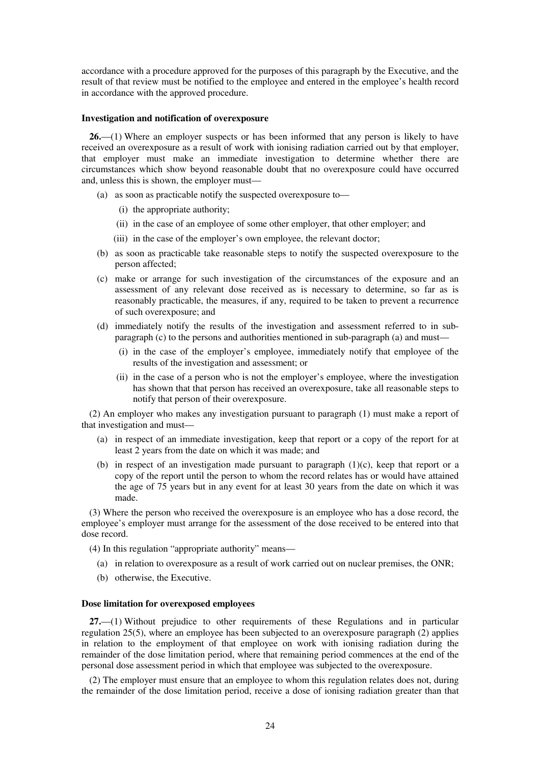accordance with a procedure approved for the purposes of this paragraph by the Executive, and the result of that review must be notified to the employee and entered in the employee's health record in accordance with the approved procedure.

#### **Investigation and notification of overexposure**

**26.**—(1) Where an employer suspects or has been informed that any person is likely to have received an overexposure as a result of work with ionising radiation carried out by that employer, that employer must make an immediate investigation to determine whether there are circumstances which show beyond reasonable doubt that no overexposure could have occurred and, unless this is shown, the employer must—

- (a) as soon as practicable notify the suspected overexposure to—
	- (i) the appropriate authority;
	- (ii) in the case of an employee of some other employer, that other employer; and
	- (iii) in the case of the employer's own employee, the relevant doctor;
- (b) as soon as practicable take reasonable steps to notify the suspected overexposure to the person affected;
- (c) make or arrange for such investigation of the circumstances of the exposure and an assessment of any relevant dose received as is necessary to determine, so far as is reasonably practicable, the measures, if any, required to be taken to prevent a recurrence of such overexposure; and
- (d) immediately notify the results of the investigation and assessment referred to in subparagraph (c) to the persons and authorities mentioned in sub-paragraph (a) and must—
	- (i) in the case of the employer's employee, immediately notify that employee of the results of the investigation and assessment; or
	- (ii) in the case of a person who is not the employer's employee, where the investigation has shown that that person has received an overexposure, take all reasonable steps to notify that person of their overexposure.

(2) An employer who makes any investigation pursuant to paragraph (1) must make a report of that investigation and must—

- (a) in respect of an immediate investigation, keep that report or a copy of the report for at least 2 years from the date on which it was made; and
- (b) in respect of an investigation made pursuant to paragraph  $(1)(c)$ , keep that report or a copy of the report until the person to whom the record relates has or would have attained the age of 75 years but in any event for at least 30 years from the date on which it was made.

(3) Where the person who received the overexposure is an employee who has a dose record, the employee's employer must arrange for the assessment of the dose received to be entered into that dose record.

(4) In this regulation "appropriate authority" means—

- (a) in relation to overexposure as a result of work carried out on nuclear premises, the ONR;
- (b) otherwise, the Executive.

#### **Dose limitation for overexposed employees**

**27.**—(1) Without prejudice to other requirements of these Regulations and in particular regulation 25(5), where an employee has been subjected to an overexposure paragraph (2) applies in relation to the employment of that employee on work with ionising radiation during the remainder of the dose limitation period, where that remaining period commences at the end of the personal dose assessment period in which that employee was subjected to the overexposure.

(2) The employer must ensure that an employee to whom this regulation relates does not, during the remainder of the dose limitation period, receive a dose of ionising radiation greater than that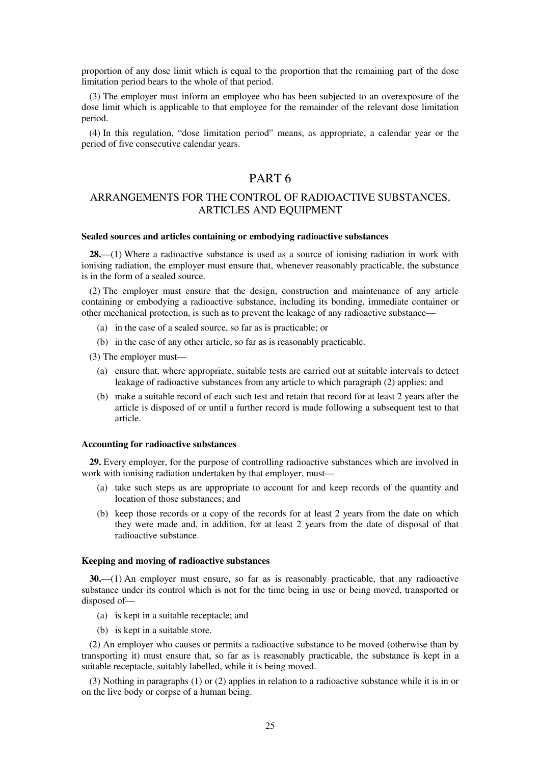proportion of any dose limit which is equal to the proportion that the remaining part of the dose limitation period bears to the whole of that period.

(3) The employer must inform an employee who has been subjected to an overexposure of the dose limit which is applicable to that employee for the remainder of the relevant dose limitation period.

(4) In this regulation, "dose limitation period" means, as appropriate, a calendar year or the period of five consecutive calendar years.

# PART 6

# ARRANGEMENTS FOR THE CONTROL OF RADIOACTIVE SUBSTANCES, ARTICLES AND EQUIPMENT

#### **Sealed sources and articles containing or embodying radioactive substances**

**28.**—(1) Where a radioactive substance is used as a source of ionising radiation in work with ionising radiation, the employer must ensure that, whenever reasonably practicable, the substance is in the form of a sealed source.

(2) The employer must ensure that the design, construction and maintenance of any article containing or embodying a radioactive substance, including its bonding, immediate container or other mechanical protection, is such as to prevent the leakage of any radioactive substance—

- (a) in the case of a sealed source, so far as is practicable; or
- (b) in the case of any other article, so far as is reasonably practicable.

(3) The employer must—

- (a) ensure that, where appropriate, suitable tests are carried out at suitable intervals to detect leakage of radioactive substances from any article to which paragraph (2) applies; and
- (b) make a suitable record of each such test and retain that record for at least 2 years after the article is disposed of or until a further record is made following a subsequent test to that article.

#### **Accounting for radioactive substances**

**29.** Every employer, for the purpose of controlling radioactive substances which are involved in work with ionising radiation undertaken by that employer, must—

- (a) take such steps as are appropriate to account for and keep records of the quantity and location of those substances; and
- (b) keep those records or a copy of the records for at least 2 years from the date on which they were made and, in addition, for at least 2 years from the date of disposal of that radioactive substance.

### **Keeping and moving of radioactive substances**

**30.**—(1) An employer must ensure, so far as is reasonably practicable, that any radioactive substance under its control which is not for the time being in use or being moved, transported or disposed of—

- (a) is kept in a suitable receptacle; and
- (b) is kept in a suitable store.

(2) An employer who causes or permits a radioactive substance to be moved (otherwise than by transporting it) must ensure that, so far as is reasonably practicable, the substance is kept in a suitable receptacle, suitably labelled, while it is being moved.

(3) Nothing in paragraphs (1) or (2) applies in relation to a radioactive substance while it is in or on the live body or corpse of a human being.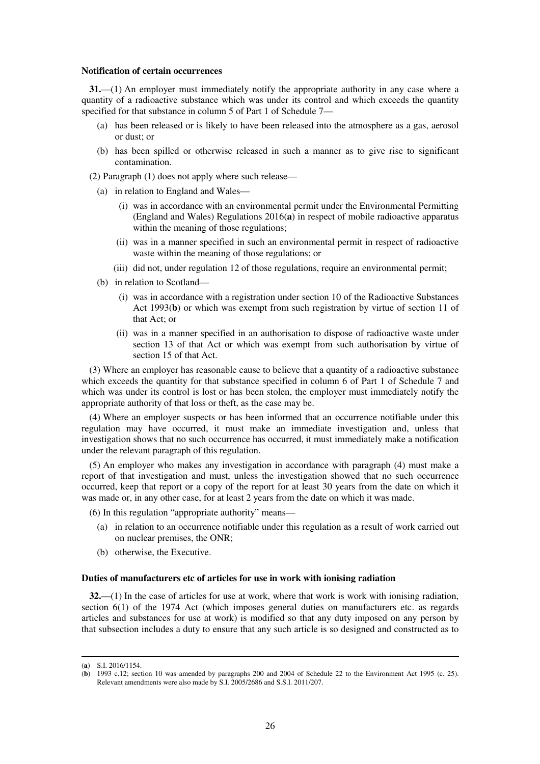#### **Notification of certain occurrences**

**31.**—(1) An employer must immediately notify the appropriate authority in any case where a quantity of a radioactive substance which was under its control and which exceeds the quantity specified for that substance in column 5 of Part 1 of Schedule 7—

- (a) has been released or is likely to have been released into the atmosphere as a gas, aerosol or dust; or
- (b) has been spilled or otherwise released in such a manner as to give rise to significant contamination.

(2) Paragraph (1) does not apply where such release—

- (a) in relation to England and Wales—
	- (i) was in accordance with an environmental permit under the Environmental Permitting (England and Wales) Regulations 2016(**a**) in respect of mobile radioactive apparatus within the meaning of those regulations;
	- (ii) was in a manner specified in such an environmental permit in respect of radioactive waste within the meaning of those regulations; or
	- (iii) did not, under regulation 12 of those regulations, require an environmental permit;
- (b) in relation to Scotland—
	- (i) was in accordance with a registration under section 10 of the Radioactive Substances Act 1993(**b**) or which was exempt from such registration by virtue of section 11 of that Act; or
	- (ii) was in a manner specified in an authorisation to dispose of radioactive waste under section 13 of that Act or which was exempt from such authorisation by virtue of section 15 of that Act.

(3) Where an employer has reasonable cause to believe that a quantity of a radioactive substance which exceeds the quantity for that substance specified in column 6 of Part 1 of Schedule 7 and which was under its control is lost or has been stolen, the employer must immediately notify the appropriate authority of that loss or theft, as the case may be.

(4) Where an employer suspects or has been informed that an occurrence notifiable under this regulation may have occurred, it must make an immediate investigation and, unless that investigation shows that no such occurrence has occurred, it must immediately make a notification under the relevant paragraph of this regulation.

(5) An employer who makes any investigation in accordance with paragraph (4) must make a report of that investigation and must, unless the investigation showed that no such occurrence occurred, keep that report or a copy of the report for at least 30 years from the date on which it was made or, in any other case, for at least 2 years from the date on which it was made.

(6) In this regulation "appropriate authority" means—

- (a) in relation to an occurrence notifiable under this regulation as a result of work carried out on nuclear premises, the ONR;
- (b) otherwise, the Executive.

#### **Duties of manufacturers etc of articles for use in work with ionising radiation**

**32.**—(1) In the case of articles for use at work, where that work is work with ionising radiation, section 6(1) of the 1974 Act (which imposes general duties on manufacturers etc. as regards articles and substances for use at work) is modified so that any duty imposed on any person by that subsection includes a duty to ensure that any such article is so designed and constructed as to

<sup>(</sup>**a**) S.I. 2016/1154.

<sup>(</sup>**b**) 1993 c.12; section 10 was amended by paragraphs 200 and 2004 of Schedule 22 to the Environment Act 1995 (c. 25). Relevant amendments were also made by S.I. 2005/2686 and S.S.I. 2011/207.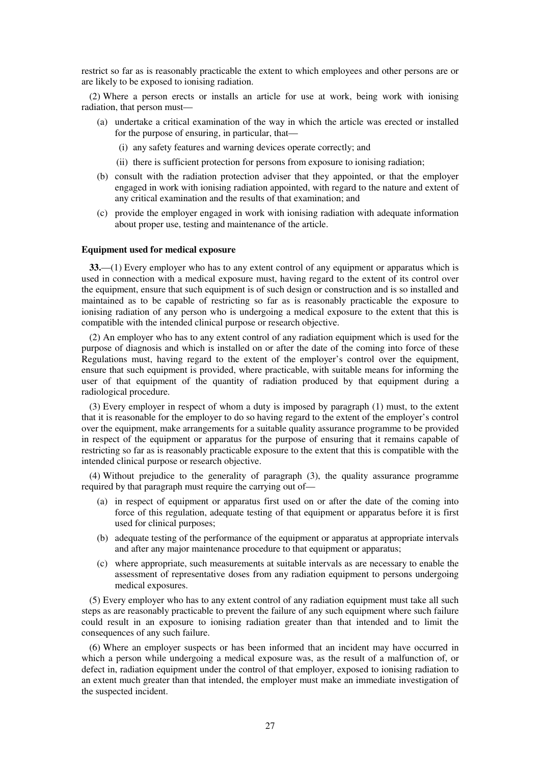restrict so far as is reasonably practicable the extent to which employees and other persons are or are likely to be exposed to ionising radiation.

(2) Where a person erects or installs an article for use at work, being work with ionising radiation, that person must—

- (a) undertake a critical examination of the way in which the article was erected or installed for the purpose of ensuring, in particular, that—
	- (i) any safety features and warning devices operate correctly; and
	- (ii) there is sufficient protection for persons from exposure to ionising radiation;
- (b) consult with the radiation protection adviser that they appointed, or that the employer engaged in work with ionising radiation appointed, with regard to the nature and extent of any critical examination and the results of that examination; and
- (c) provide the employer engaged in work with ionising radiation with adequate information about proper use, testing and maintenance of the article.

#### **Equipment used for medical exposure**

**33.**—(1) Every employer who has to any extent control of any equipment or apparatus which is used in connection with a medical exposure must, having regard to the extent of its control over the equipment, ensure that such equipment is of such design or construction and is so installed and maintained as to be capable of restricting so far as is reasonably practicable the exposure to ionising radiation of any person who is undergoing a medical exposure to the extent that this is compatible with the intended clinical purpose or research objective.

(2) An employer who has to any extent control of any radiation equipment which is used for the purpose of diagnosis and which is installed on or after the date of the coming into force of these Regulations must, having regard to the extent of the employer's control over the equipment, ensure that such equipment is provided, where practicable, with suitable means for informing the user of that equipment of the quantity of radiation produced by that equipment during a radiological procedure.

(3) Every employer in respect of whom a duty is imposed by paragraph (1) must, to the extent that it is reasonable for the employer to do so having regard to the extent of the employer's control over the equipment, make arrangements for a suitable quality assurance programme to be provided in respect of the equipment or apparatus for the purpose of ensuring that it remains capable of restricting so far as is reasonably practicable exposure to the extent that this is compatible with the intended clinical purpose or research objective.

(4) Without prejudice to the generality of paragraph (3), the quality assurance programme required by that paragraph must require the carrying out of—

- (a) in respect of equipment or apparatus first used on or after the date of the coming into force of this regulation, adequate testing of that equipment or apparatus before it is first used for clinical purposes;
- (b) adequate testing of the performance of the equipment or apparatus at appropriate intervals and after any major maintenance procedure to that equipment or apparatus;
- (c) where appropriate, such measurements at suitable intervals as are necessary to enable the assessment of representative doses from any radiation equipment to persons undergoing medical exposures.

(5) Every employer who has to any extent control of any radiation equipment must take all such steps as are reasonably practicable to prevent the failure of any such equipment where such failure could result in an exposure to ionising radiation greater than that intended and to limit the consequences of any such failure.

(6) Where an employer suspects or has been informed that an incident may have occurred in which a person while undergoing a medical exposure was, as the result of a malfunction of, or defect in, radiation equipment under the control of that employer, exposed to ionising radiation to an extent much greater than that intended, the employer must make an immediate investigation of the suspected incident.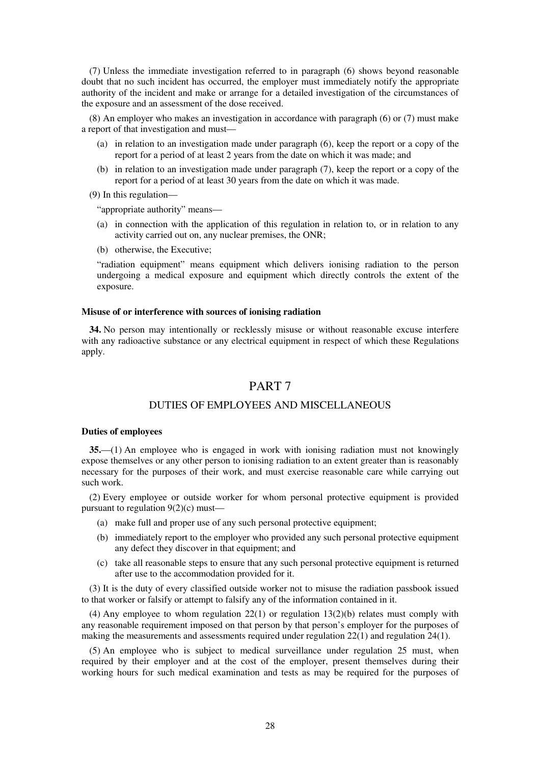(7) Unless the immediate investigation referred to in paragraph (6) shows beyond reasonable doubt that no such incident has occurred, the employer must immediately notify the appropriate authority of the incident and make or arrange for a detailed investigation of the circumstances of the exposure and an assessment of the dose received.

(8) An employer who makes an investigation in accordance with paragraph (6) or (7) must make a report of that investigation and must—

- (a) in relation to an investigation made under paragraph (6), keep the report or a copy of the report for a period of at least 2 years from the date on which it was made; and
- (b) in relation to an investigation made under paragraph (7), keep the report or a copy of the report for a period of at least 30 years from the date on which it was made.
- (9) In this regulation—

"appropriate authority" means—

- (a) in connection with the application of this regulation in relation to, or in relation to any activity carried out on, any nuclear premises, the ONR;
- (b) otherwise, the Executive;

"radiation equipment" means equipment which delivers ionising radiation to the person undergoing a medical exposure and equipment which directly controls the extent of the exposure.

#### **Misuse of or interference with sources of ionising radiation**

**34.** No person may intentionally or recklessly misuse or without reasonable excuse interfere with any radioactive substance or any electrical equipment in respect of which these Regulations apply.

# PART 7

## DUTIES OF EMPLOYEES AND MISCELLANEOUS

#### **Duties of employees**

**35.**—(1) An employee who is engaged in work with ionising radiation must not knowingly expose themselves or any other person to ionising radiation to an extent greater than is reasonably necessary for the purposes of their work, and must exercise reasonable care while carrying out such work.

(2) Every employee or outside worker for whom personal protective equipment is provided pursuant to regulation 9(2)(c) must—

- (a) make full and proper use of any such personal protective equipment;
- (b) immediately report to the employer who provided any such personal protective equipment any defect they discover in that equipment; and
- (c) take all reasonable steps to ensure that any such personal protective equipment is returned after use to the accommodation provided for it.

(3) It is the duty of every classified outside worker not to misuse the radiation passbook issued to that worker or falsify or attempt to falsify any of the information contained in it.

(4) Any employee to whom regulation  $22(1)$  or regulation  $13(2)(b)$  relates must comply with any reasonable requirement imposed on that person by that person's employer for the purposes of making the measurements and assessments required under regulation 22(1) and regulation 24(1).

(5) An employee who is subject to medical surveillance under regulation 25 must, when required by their employer and at the cost of the employer, present themselves during their working hours for such medical examination and tests as may be required for the purposes of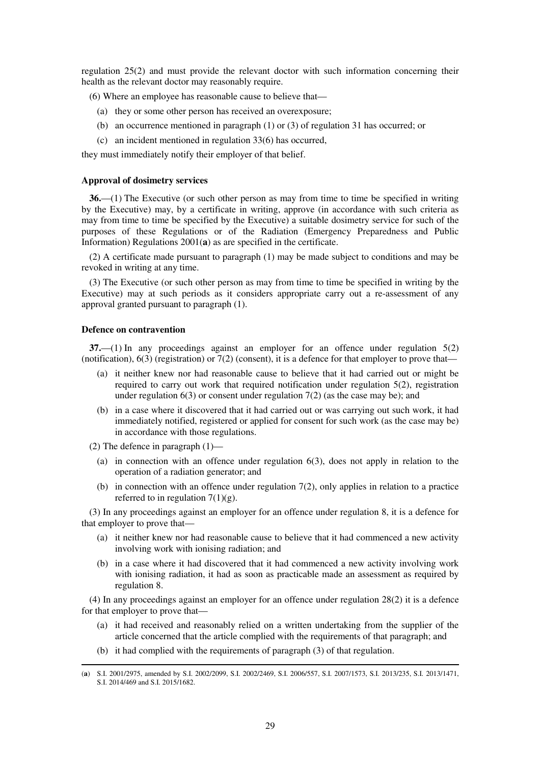regulation 25(2) and must provide the relevant doctor with such information concerning their health as the relevant doctor may reasonably require.

(6) Where an employee has reasonable cause to believe that—

- (a) they or some other person has received an overexposure;
- (b) an occurrence mentioned in paragraph (1) or (3) of regulation 31 has occurred; or
- (c) an incident mentioned in regulation 33(6) has occurred,

they must immediately notify their employer of that belief.

#### **Approval of dosimetry services**

**36.**—(1) The Executive (or such other person as may from time to time be specified in writing by the Executive) may, by a certificate in writing, approve (in accordance with such criteria as may from time to time be specified by the Executive) a suitable dosimetry service for such of the purposes of these Regulations or of the Radiation (Emergency Preparedness and Public Information) Regulations 2001(**a**) as are specified in the certificate.

(2) A certificate made pursuant to paragraph (1) may be made subject to conditions and may be revoked in writing at any time.

(3) The Executive (or such other person as may from time to time be specified in writing by the Executive) may at such periods as it considers appropriate carry out a re-assessment of any approval granted pursuant to paragraph (1).

#### **Defence on contravention**

**37.**—(1) In any proceedings against an employer for an offence under regulation 5(2) (notification),  $6(3)$  (registration) or  $7(2)$  (consent), it is a defence for that employer to prove that—

- (a) it neither knew nor had reasonable cause to believe that it had carried out or might be required to carry out work that required notification under regulation  $5(2)$ , registration under regulation  $6(3)$  or consent under regulation  $7(2)$  (as the case may be); and
- (b) in a case where it discovered that it had carried out or was carrying out such work, it had immediately notified, registered or applied for consent for such work (as the case may be) in accordance with those regulations.

(2) The defence in paragraph (1)—

-

- (a) in connection with an offence under regulation 6(3), does not apply in relation to the operation of a radiation generator; and
- (b) in connection with an offence under regulation  $7(2)$ , only applies in relation to a practice referred to in regulation  $7(1)(g)$ .

(3) In any proceedings against an employer for an offence under regulation 8, it is a defence for that employer to prove that—

- (a) it neither knew nor had reasonable cause to believe that it had commenced a new activity involving work with ionising radiation; and
- (b) in a case where it had discovered that it had commenced a new activity involving work with ionising radiation, it had as soon as practicable made an assessment as required by regulation 8.

(4) In any proceedings against an employer for an offence under regulation 28(2) it is a defence for that employer to prove that—

- (a) it had received and reasonably relied on a written undertaking from the supplier of the article concerned that the article complied with the requirements of that paragraph; and
- (b) it had complied with the requirements of paragraph (3) of that regulation.

<sup>(</sup>**a**) S.I. 2001/2975, amended by S.I. 2002/2099, S.I. 2002/2469, S.I. 2006/557, S.I. 2007/1573, S.I. 2013/235, S.I. 2013/1471, S.I. 2014/469 and S.I. 2015/1682.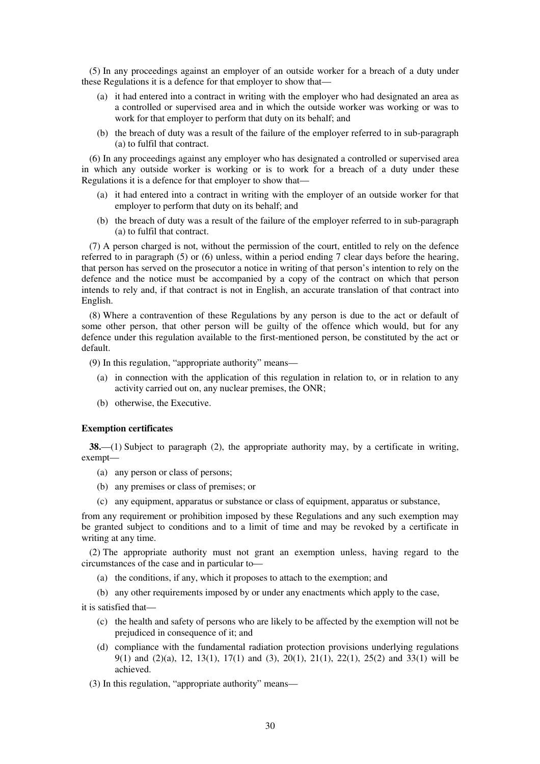(5) In any proceedings against an employer of an outside worker for a breach of a duty under these Regulations it is a defence for that employer to show that—

- (a) it had entered into a contract in writing with the employer who had designated an area as a controlled or supervised area and in which the outside worker was working or was to work for that employer to perform that duty on its behalf; and
- (b) the breach of duty was a result of the failure of the employer referred to in sub-paragraph (a) to fulfil that contract.

(6) In any proceedings against any employer who has designated a controlled or supervised area in which any outside worker is working or is to work for a breach of a duty under these Regulations it is a defence for that employer to show that—

- (a) it had entered into a contract in writing with the employer of an outside worker for that employer to perform that duty on its behalf; and
- (b) the breach of duty was a result of the failure of the employer referred to in sub-paragraph (a) to fulfil that contract.

(7) A person charged is not, without the permission of the court, entitled to rely on the defence referred to in paragraph (5) or (6) unless, within a period ending 7 clear days before the hearing, that person has served on the prosecutor a notice in writing of that person's intention to rely on the defence and the notice must be accompanied by a copy of the contract on which that person intends to rely and, if that contract is not in English, an accurate translation of that contract into English.

(8) Where a contravention of these Regulations by any person is due to the act or default of some other person, that other person will be guilty of the offence which would, but for any defence under this regulation available to the first-mentioned person, be constituted by the act or default.

(9) In this regulation, "appropriate authority" means—

- (a) in connection with the application of this regulation in relation to, or in relation to any activity carried out on, any nuclear premises, the ONR;
- (b) otherwise, the Executive.

#### **Exemption certificates**

**38.**—(1) Subject to paragraph (2), the appropriate authority may, by a certificate in writing, exempt—

- (a) any person or class of persons;
- (b) any premises or class of premises; or
- (c) any equipment, apparatus or substance or class of equipment, apparatus or substance,

from any requirement or prohibition imposed by these Regulations and any such exemption may be granted subject to conditions and to a limit of time and may be revoked by a certificate in writing at any time.

(2) The appropriate authority must not grant an exemption unless, having regard to the circumstances of the case and in particular to—

- (a) the conditions, if any, which it proposes to attach to the exemption; and
- (b) any other requirements imposed by or under any enactments which apply to the case,

it is satisfied that—

- (c) the health and safety of persons who are likely to be affected by the exemption will not be prejudiced in consequence of it; and
- (d) compliance with the fundamental radiation protection provisions underlying regulations 9(1) and (2)(a), 12, 13(1), 17(1) and (3), 20(1), 21(1), 22(1), 25(2) and 33(1) will be achieved.

(3) In this regulation, "appropriate authority" means—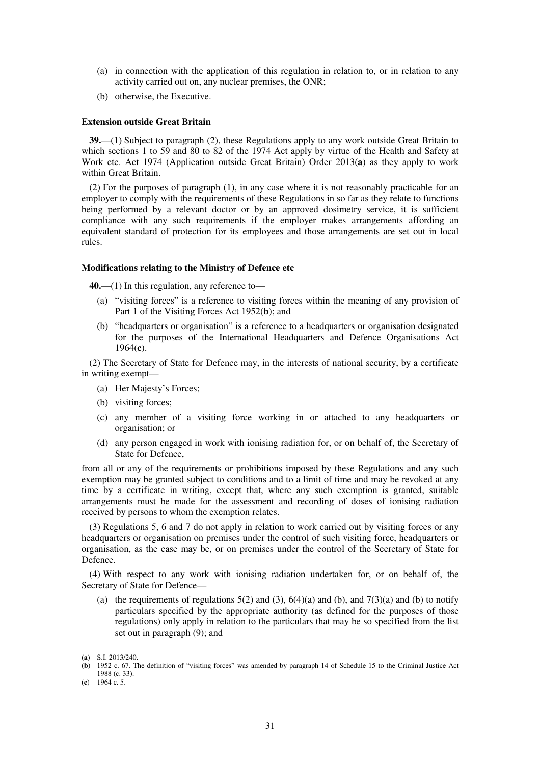- (a) in connection with the application of this regulation in relation to, or in relation to any activity carried out on, any nuclear premises, the ONR;
- (b) otherwise, the Executive.

#### **Extension outside Great Britain**

**39.**—(1) Subject to paragraph (2), these Regulations apply to any work outside Great Britain to which sections 1 to 59 and 80 to 82 of the 1974 Act apply by virtue of the Health and Safety at Work etc. Act 1974 (Application outside Great Britain) Order 2013(**a**) as they apply to work within Great Britain.

(2) For the purposes of paragraph (1), in any case where it is not reasonably practicable for an employer to comply with the requirements of these Regulations in so far as they relate to functions being performed by a relevant doctor or by an approved dosimetry service, it is sufficient compliance with any such requirements if the employer makes arrangements affording an equivalent standard of protection for its employees and those arrangements are set out in local rules.

#### **Modifications relating to the Ministry of Defence etc**

**40.**—(1) In this regulation, any reference to—

- (a) "visiting forces" is a reference to visiting forces within the meaning of any provision of Part 1 of the Visiting Forces Act 1952(**b**); and
- (b) "headquarters or organisation" is a reference to a headquarters or organisation designated for the purposes of the International Headquarters and Defence Organisations Act 1964(**c**).

(2) The Secretary of State for Defence may, in the interests of national security, by a certificate in writing exempt—

- (a) Her Majesty's Forces;
- (b) visiting forces;
- (c) any member of a visiting force working in or attached to any headquarters or organisation; or
- (d) any person engaged in work with ionising radiation for, or on behalf of, the Secretary of State for Defence,

from all or any of the requirements or prohibitions imposed by these Regulations and any such exemption may be granted subject to conditions and to a limit of time and may be revoked at any time by a certificate in writing, except that, where any such exemption is granted, suitable arrangements must be made for the assessment and recording of doses of ionising radiation received by persons to whom the exemption relates.

(3) Regulations 5, 6 and 7 do not apply in relation to work carried out by visiting forces or any headquarters or organisation on premises under the control of such visiting force, headquarters or organisation, as the case may be, or on premises under the control of the Secretary of State for Defence.

(4) With respect to any work with ionising radiation undertaken for, or on behalf of, the Secretary of State for Defence—

(a) the requirements of regulations  $5(2)$  and  $(3)$ ,  $6(4)(a)$  and  $(b)$ , and  $7(3)(a)$  and  $(b)$  to notify particulars specified by the appropriate authority (as defined for the purposes of those regulations) only apply in relation to the particulars that may be so specified from the list set out in paragraph (9); and

<sup>(</sup>**a**) S.I. 2013/240.

<sup>(</sup>**b**) 1952 c. 67. The definition of "visiting forces" was amended by paragraph 14 of Schedule 15 to the Criminal Justice Act 1988 (c. 33).

<sup>(</sup>**c**) 1964 c. 5.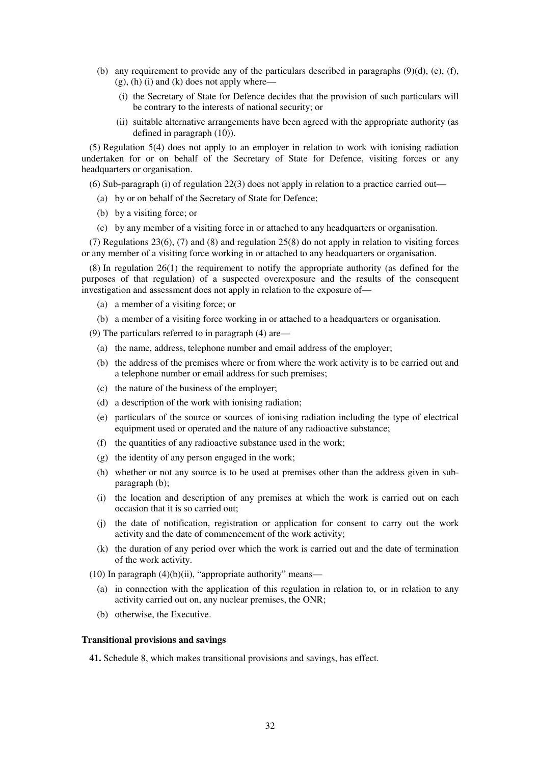- (b) any requirement to provide any of the particulars described in paragraphs  $(9)(d)$ ,  $(e)$ ,  $(f)$ ,  $(g)$ , (h) (i) and (k) does not apply where—
	- (i) the Secretary of State for Defence decides that the provision of such particulars will be contrary to the interests of national security; or
	- (ii) suitable alternative arrangements have been agreed with the appropriate authority (as defined in paragraph (10)).

(5) Regulation 5(4) does not apply to an employer in relation to work with ionising radiation undertaken for or on behalf of the Secretary of State for Defence, visiting forces or any headquarters or organisation.

(6) Sub-paragraph (i) of regulation 22(3) does not apply in relation to a practice carried out—

- (a) by or on behalf of the Secretary of State for Defence;
- (b) by a visiting force; or
- (c) by any member of a visiting force in or attached to any headquarters or organisation.

(7) Regulations 23(6), (7) and (8) and regulation 25(8) do not apply in relation to visiting forces or any member of a visiting force working in or attached to any headquarters or organisation.

(8) In regulation 26(1) the requirement to notify the appropriate authority (as defined for the purposes of that regulation) of a suspected overexposure and the results of the consequent investigation and assessment does not apply in relation to the exposure of—

- (a) a member of a visiting force; or
- (b) a member of a visiting force working in or attached to a headquarters or organisation.

(9) The particulars referred to in paragraph (4) are—

- (a) the name, address, telephone number and email address of the employer;
- (b) the address of the premises where or from where the work activity is to be carried out and a telephone number or email address for such premises;
- (c) the nature of the business of the employer;
- (d) a description of the work with ionising radiation;
- (e) particulars of the source or sources of ionising radiation including the type of electrical equipment used or operated and the nature of any radioactive substance;
- (f) the quantities of any radioactive substance used in the work;
- (g) the identity of any person engaged in the work;
- (h) whether or not any source is to be used at premises other than the address given in subparagraph (b);
- (i) the location and description of any premises at which the work is carried out on each occasion that it is so carried out;
- (j) the date of notification, registration or application for consent to carry out the work activity and the date of commencement of the work activity;
- (k) the duration of any period over which the work is carried out and the date of termination of the work activity.

(10) In paragraph  $(4)(b)(ii)$ , "appropriate authority" means—

- (a) in connection with the application of this regulation in relation to, or in relation to any activity carried out on, any nuclear premises, the ONR;
- (b) otherwise, the Executive.

#### **Transitional provisions and savings**

**41.** Schedule 8, which makes transitional provisions and savings, has effect.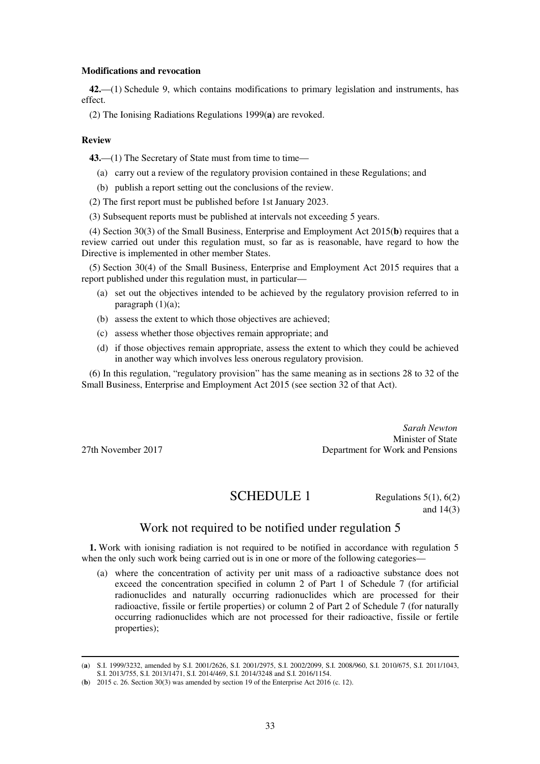#### **Modifications and revocation**

**42.**—(1) Schedule 9, which contains modifications to primary legislation and instruments, has effect.

(2) The Ionising Radiations Regulations 1999(**a**) are revoked.

#### **Review**

**43.**—(1) The Secretary of State must from time to time—

- (a) carry out a review of the regulatory provision contained in these Regulations; and
- (b) publish a report setting out the conclusions of the review.
- (2) The first report must be published before 1st January 2023.
- (3) Subsequent reports must be published at intervals not exceeding 5 years.

(4) Section 30(3) of the Small Business, Enterprise and Employment Act 2015(**b**) requires that a review carried out under this regulation must, so far as is reasonable, have regard to how the Directive is implemented in other member States.

(5) Section 30(4) of the Small Business, Enterprise and Employment Act 2015 requires that a report published under this regulation must, in particular—

- (a) set out the objectives intended to be achieved by the regulatory provision referred to in paragraph (1)(a);
- (b) assess the extent to which those objectives are achieved;
- (c) assess whether those objectives remain appropriate; and
- (d) if those objectives remain appropriate, assess the extent to which they could be achieved in another way which involves less onerous regulatory provision.

(6) In this regulation, "regulatory provision" has the same meaning as in sections 28 to 32 of the Small Business, Enterprise and Employment Act 2015 (see section 32 of that Act).

*Sarah Newton*  Minister of State 27th November 2017 Department for Work and Pensions

# **SCHEDULE 1** Regulations  $5(1)$ ,  $6(2)$

and 14(3)

# Work not required to be notified under regulation 5

**1.** Work with ionising radiation is not required to be notified in accordance with regulation 5 when the only such work being carried out is in one or more of the following categories—

(a) where the concentration of activity per unit mass of a radioactive substance does not exceed the concentration specified in column 2 of Part 1 of Schedule 7 (for artificial radionuclides and naturally occurring radionuclides which are processed for their radioactive, fissile or fertile properties) or column 2 of Part 2 of Schedule 7 (for naturally occurring radionuclides which are not processed for their radioactive, fissile or fertile properties);

<sup>-</sup>(**a**) S.I. 1999/3232, amended by S.I. 2001/2626, S.I. 2001/2975, S.I. 2002/2099, S.I. 2008/960, S.I. 2010/675, S.I. 2011/1043, S.I. 2013/755, S.I. 2013/1471, S.I. 2014/469, S.I. 2014/3248 and S.I. 2016/1154.

<sup>(</sup>**b**) 2015 c. 26. Section 30(3) was amended by section 19 of the Enterprise Act 2016 (c. 12).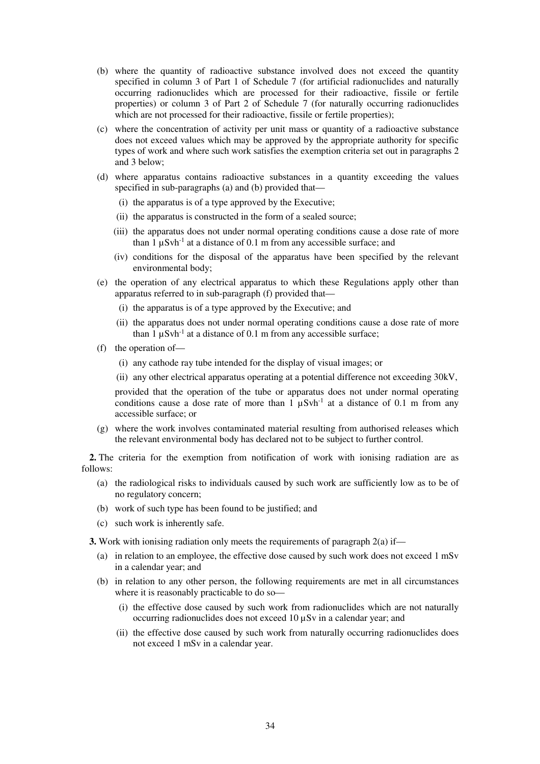- (b) where the quantity of radioactive substance involved does not exceed the quantity specified in column 3 of Part 1 of Schedule 7 (for artificial radionuclides and naturally occurring radionuclides which are processed for their radioactive, fissile or fertile properties) or column 3 of Part 2 of Schedule 7 (for naturally occurring radionuclides which are not processed for their radioactive, fissile or fertile properties);
- (c) where the concentration of activity per unit mass or quantity of a radioactive substance does not exceed values which may be approved by the appropriate authority for specific types of work and where such work satisfies the exemption criteria set out in paragraphs 2 and 3 below;
- (d) where apparatus contains radioactive substances in a quantity exceeding the values specified in sub-paragraphs (a) and (b) provided that—
	- (i) the apparatus is of a type approved by the Executive;
	- (ii) the apparatus is constructed in the form of a sealed source;
	- (iii) the apparatus does not under normal operating conditions cause a dose rate of more than  $1 \mu Svh^{-1}$  at a distance of 0.1 m from any accessible surface; and
	- (iv) conditions for the disposal of the apparatus have been specified by the relevant environmental body;
- (e) the operation of any electrical apparatus to which these Regulations apply other than apparatus referred to in sub-paragraph (f) provided that—
	- (i) the apparatus is of a type approved by the Executive; and
	- (ii) the apparatus does not under normal operating conditions cause a dose rate of more than  $1 \mu Sv h^{-1}$  at a distance of 0.1 m from any accessible surface;
- (f) the operation of—
	- (i) any cathode ray tube intended for the display of visual images; or
	- (ii) any other electrical apparatus operating at a potential difference not exceeding 30kV,

provided that the operation of the tube or apparatus does not under normal operating conditions cause a dose rate of more than  $1 \mu Svh^{-1}$  at a distance of 0.1 m from any accessible surface; or

(g) where the work involves contaminated material resulting from authorised releases which the relevant environmental body has declared not to be subject to further control.

**2.** The criteria for the exemption from notification of work with ionising radiation are as follows:

- (a) the radiological risks to individuals caused by such work are sufficiently low as to be of no regulatory concern;
- (b) work of such type has been found to be justified; and
- (c) such work is inherently safe.

**3.** Work with ionising radiation only meets the requirements of paragraph 2(a) if—

- (a) in relation to an employee, the effective dose caused by such work does not exceed 1 mSv in a calendar year; and
- (b) in relation to any other person, the following requirements are met in all circumstances where it is reasonably practicable to do so—
	- (i) the effective dose caused by such work from radionuclides which are not naturally occurring radionuclides does not exceed 10 µSv in a calendar year; and
	- (ii) the effective dose caused by such work from naturally occurring radionuclides does not exceed 1 mSv in a calendar year.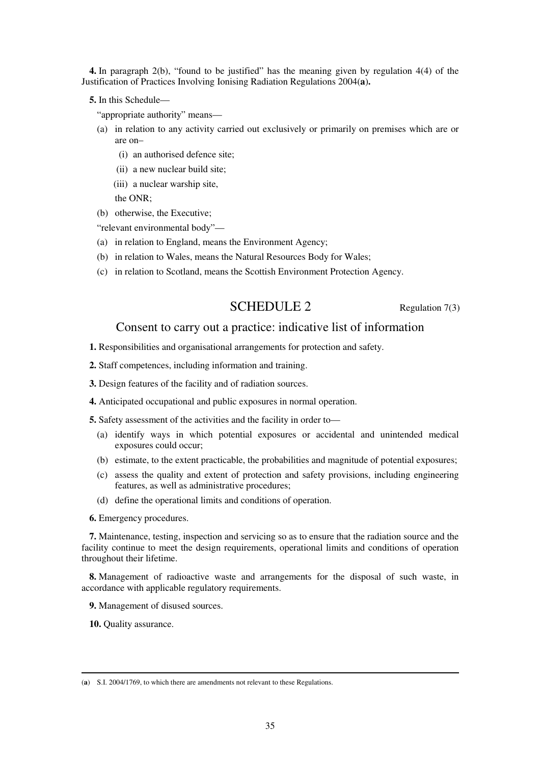**4.** In paragraph 2(b), "found to be justified" has the meaning given by regulation 4(4) of the Justification of Practices Involving Ionising Radiation Regulations 2004(**a**)**.** 

**5.** In this Schedule—

"appropriate authority" means—

- (a) in relation to any activity carried out exclusively or primarily on premises which are or are on–
	- (i) an authorised defence site;
	- (ii) a new nuclear build site;
	- (iii) a nuclear warship site,

the ONR;

(b) otherwise, the Executive;

"relevant environmental body"—

- (a) in relation to England, means the Environment Agency;
- (b) in relation to Wales, means the Natural Resources Body for Wales;
- (c) in relation to Scotland, means the Scottish Environment Protection Agency.

# SCHEDULE 2 Regulation 7(3)

## Consent to carry out a practice: indicative list of information

**1.** Responsibilities and organisational arrangements for protection and safety.

**2.** Staff competences, including information and training.

**3.** Design features of the facility and of radiation sources.

**4.** Anticipated occupational and public exposures in normal operation.

**5.** Safety assessment of the activities and the facility in order to—

- (a) identify ways in which potential exposures or accidental and unintended medical exposures could occur;
- (b) estimate, to the extent practicable, the probabilities and magnitude of potential exposures;
- (c) assess the quality and extent of protection and safety provisions, including engineering features, as well as administrative procedures;
- (d) define the operational limits and conditions of operation.

**6.** Emergency procedures.

**7.** Maintenance, testing, inspection and servicing so as to ensure that the radiation source and the facility continue to meet the design requirements, operational limits and conditions of operation throughout their lifetime.

**8.** Management of radioactive waste and arrangements for the disposal of such waste, in accordance with applicable regulatory requirements.

**9.** Management of disused sources.

**10.** Quality assurance.

<sup>(</sup>**a**) S.I. 2004/1769, to which there are amendments not relevant to these Regulations.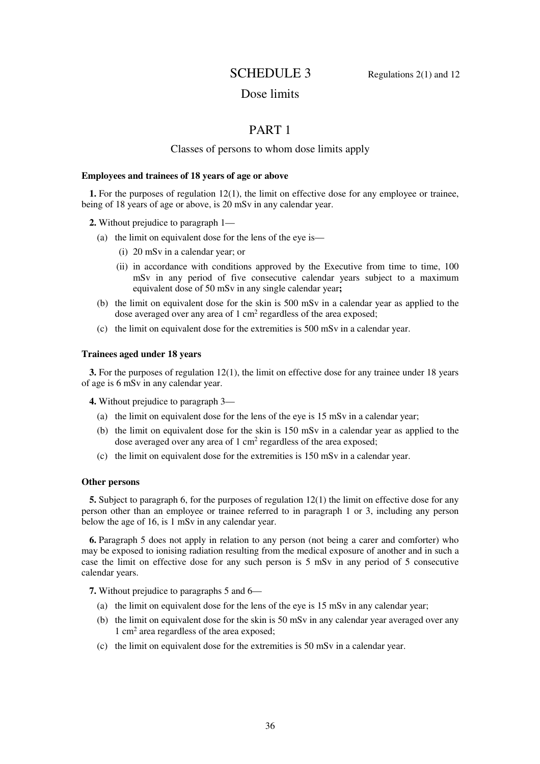# **SCHEDULE 3** Regulations  $2(1)$  and  $12$

# Dose limits

# PART 1

## Classes of persons to whom dose limits apply

#### **Employees and trainees of 18 years of age or above**

**1.** For the purposes of regulation 12(1), the limit on effective dose for any employee or trainee, being of 18 years of age or above, is 20 mSv in any calendar year.

**2.** Without prejudice to paragraph 1—

- (a) the limit on equivalent dose for the lens of the eye is—
	- (i) 20 mSv in a calendar year; or
	- (ii) in accordance with conditions approved by the Executive from time to time, 100 mSv in any period of five consecutive calendar years subject to a maximum equivalent dose of 50 mSv in any single calendar year**;**
- (b) the limit on equivalent dose for the skin is 500 mSv in a calendar year as applied to the dose averaged over any area of  $1 \text{ cm}^2$  regardless of the area exposed;
- (c) the limit on equivalent dose for the extremities is 500 mSv in a calendar year.

#### **Trainees aged under 18 years**

**3.** For the purposes of regulation 12(1), the limit on effective dose for any trainee under 18 years of age is 6 mSv in any calendar year.

**4.** Without prejudice to paragraph 3—

- (a) the limit on equivalent dose for the lens of the eye is 15 mSv in a calendar year;
- (b) the limit on equivalent dose for the skin is 150 mSv in a calendar year as applied to the dose averaged over any area of  $1 \text{ cm}^2$  regardless of the area exposed;
- (c) the limit on equivalent dose for the extremities is 150 mSv in a calendar year.

#### **Other persons**

**5.** Subject to paragraph 6, for the purposes of regulation 12(1) the limit on effective dose for any person other than an employee or trainee referred to in paragraph 1 or 3, including any person below the age of 16, is 1 mSv in any calendar year.

**6.** Paragraph 5 does not apply in relation to any person (not being a carer and comforter) who may be exposed to ionising radiation resulting from the medical exposure of another and in such a case the limit on effective dose for any such person is 5 mSv in any period of 5 consecutive calendar years.

**7.** Without prejudice to paragraphs 5 and 6—

- (a) the limit on equivalent dose for the lens of the eye is 15 mSv in any calendar year;
- (b) the limit on equivalent dose for the skin is 50 mSv in any calendar year averaged over any 1 cm<sup>2</sup> area regardless of the area exposed;
- (c) the limit on equivalent dose for the extremities is 50 mSv in a calendar year.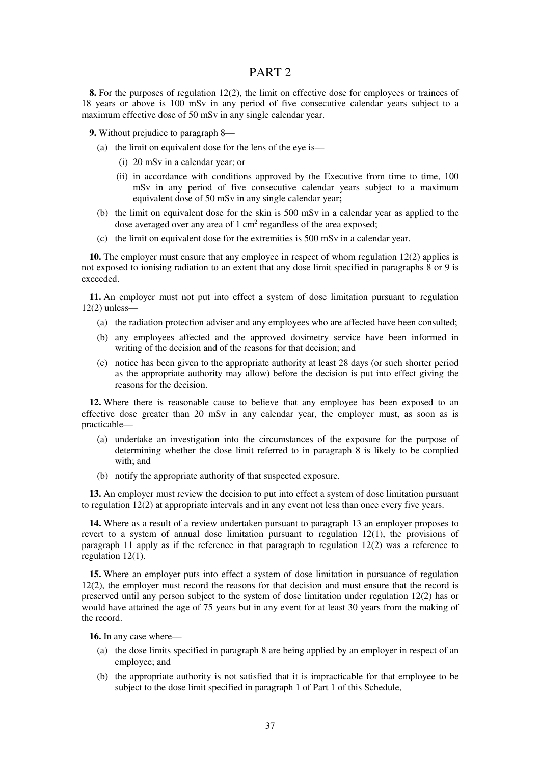## PART 2

**8.** For the purposes of regulation 12(2), the limit on effective dose for employees or trainees of 18 years or above is 100 mSv in any period of five consecutive calendar years subject to a maximum effective dose of 50 mSv in any single calendar year.

**9.** Without prejudice to paragraph 8—

- (a) the limit on equivalent dose for the lens of the eye is—
	- (i) 20 mSv in a calendar year; or
	- (ii) in accordance with conditions approved by the Executive from time to time, 100 mSv in any period of five consecutive calendar years subject to a maximum equivalent dose of 50 mSv in any single calendar year**;**
- (b) the limit on equivalent dose for the skin is 500 mSv in a calendar year as applied to the dose averaged over any area of  $1 \text{ cm}^2$  regardless of the area exposed;
- (c) the limit on equivalent dose for the extremities is 500 mSv in a calendar year.

**10.** The employer must ensure that any employee in respect of whom regulation 12(2) applies is not exposed to ionising radiation to an extent that any dose limit specified in paragraphs 8 or 9 is exceeded.

**11.** An employer must not put into effect a system of dose limitation pursuant to regulation 12(2) unless—

- (a) the radiation protection adviser and any employees who are affected have been consulted;
- (b) any employees affected and the approved dosimetry service have been informed in writing of the decision and of the reasons for that decision; and
- (c) notice has been given to the appropriate authority at least 28 days (or such shorter period as the appropriate authority may allow) before the decision is put into effect giving the reasons for the decision.

**12.** Where there is reasonable cause to believe that any employee has been exposed to an effective dose greater than 20 mSv in any calendar year, the employer must, as soon as is practicable—

- (a) undertake an investigation into the circumstances of the exposure for the purpose of determining whether the dose limit referred to in paragraph 8 is likely to be complied with; and
- (b) notify the appropriate authority of that suspected exposure.

**13.** An employer must review the decision to put into effect a system of dose limitation pursuant to regulation 12(2) at appropriate intervals and in any event not less than once every five years.

**14.** Where as a result of a review undertaken pursuant to paragraph 13 an employer proposes to revert to a system of annual dose limitation pursuant to regulation  $12(1)$ , the provisions of paragraph 11 apply as if the reference in that paragraph to regulation  $12(2)$  was a reference to regulation 12(1).

**15.** Where an employer puts into effect a system of dose limitation in pursuance of regulation 12(2), the employer must record the reasons for that decision and must ensure that the record is preserved until any person subject to the system of dose limitation under regulation 12(2) has or would have attained the age of 75 years but in any event for at least 30 years from the making of the record.

**16.** In any case where—

- (a) the dose limits specified in paragraph 8 are being applied by an employer in respect of an employee; and
- (b) the appropriate authority is not satisfied that it is impracticable for that employee to be subject to the dose limit specified in paragraph 1 of Part 1 of this Schedule,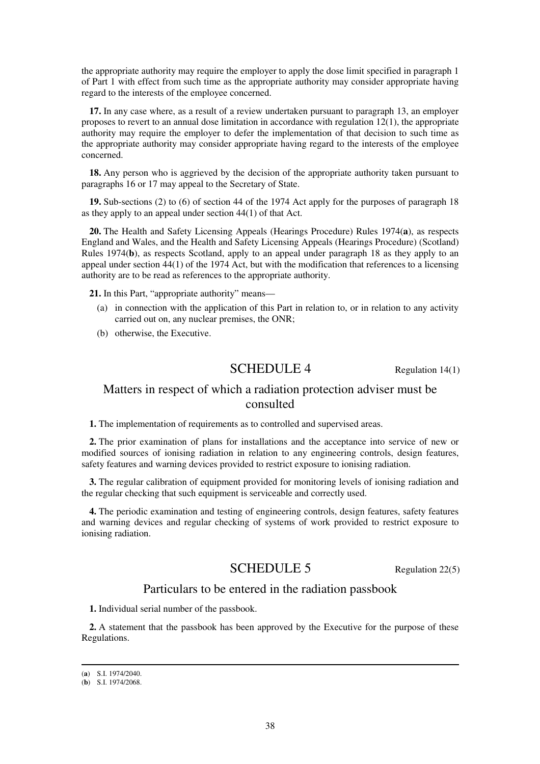the appropriate authority may require the employer to apply the dose limit specified in paragraph 1 of Part 1 with effect from such time as the appropriate authority may consider appropriate having regard to the interests of the employee concerned.

**17.** In any case where, as a result of a review undertaken pursuant to paragraph 13, an employer proposes to revert to an annual dose limitation in accordance with regulation  $12(1)$ , the appropriate authority may require the employer to defer the implementation of that decision to such time as the appropriate authority may consider appropriate having regard to the interests of the employee concerned.

**18.** Any person who is aggrieved by the decision of the appropriate authority taken pursuant to paragraphs 16 or 17 may appeal to the Secretary of State.

**19.** Sub-sections (2) to (6) of section 44 of the 1974 Act apply for the purposes of paragraph 18 as they apply to an appeal under section 44(1) of that Act.

**20.** The Health and Safety Licensing Appeals (Hearings Procedure) Rules 1974(**a**), as respects England and Wales, and the Health and Safety Licensing Appeals (Hearings Procedure) (Scotland) Rules 1974(**b**), as respects Scotland, apply to an appeal under paragraph 18 as they apply to an appeal under section 44(1) of the 1974 Act, but with the modification that references to a licensing authority are to be read as references to the appropriate authority.

**21.** In this Part, "appropriate authority" means—

- (a) in connection with the application of this Part in relation to, or in relation to any activity carried out on, any nuclear premises, the ONR;
- (b) otherwise, the Executive.

# SCHEDULE 4 Regulation 14(1)

# Matters in respect of which a radiation protection adviser must be consulted

**1.** The implementation of requirements as to controlled and supervised areas.

**2.** The prior examination of plans for installations and the acceptance into service of new or modified sources of ionising radiation in relation to any engineering controls, design features, safety features and warning devices provided to restrict exposure to ionising radiation.

**3.** The regular calibration of equipment provided for monitoring levels of ionising radiation and the regular checking that such equipment is serviceable and correctly used.

**4.** The periodic examination and testing of engineering controls, design features, safety features and warning devices and regular checking of systems of work provided to restrict exposure to ionising radiation.

# SCHEDULE 5 Regulation 22(5)

## Particulars to be entered in the radiation passbook

**1.** Individual serial number of the passbook.

**2.** A statement that the passbook has been approved by the Executive for the purpose of these Regulations.

<sup>(</sup>**a**) S.I. 1974/2040.

<sup>(</sup>**b**) S.I. 1974/2068.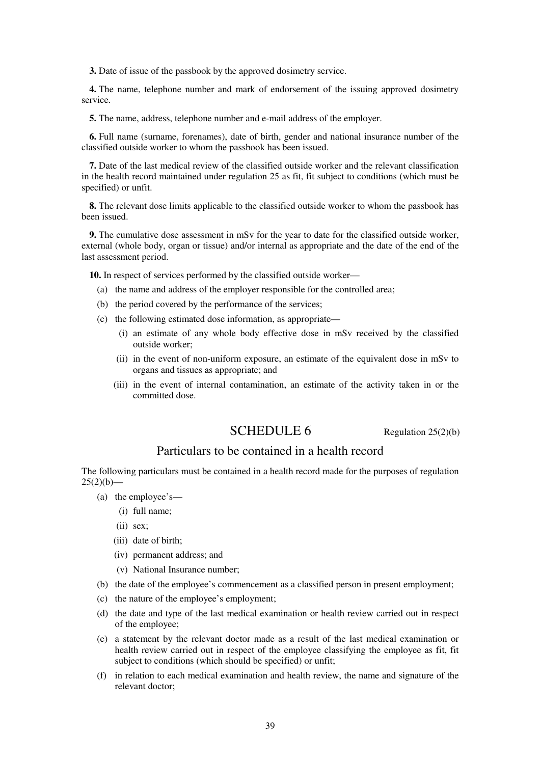**3.** Date of issue of the passbook by the approved dosimetry service.

**4.** The name, telephone number and mark of endorsement of the issuing approved dosimetry service.

**5.** The name, address, telephone number and e-mail address of the employer.

**6.** Full name (surname, forenames), date of birth, gender and national insurance number of the classified outside worker to whom the passbook has been issued.

**7.** Date of the last medical review of the classified outside worker and the relevant classification in the health record maintained under regulation 25 as fit, fit subject to conditions (which must be specified) or unfit.

**8.** The relevant dose limits applicable to the classified outside worker to whom the passbook has been issued.

**9.** The cumulative dose assessment in mSv for the year to date for the classified outside worker, external (whole body, organ or tissue) and/or internal as appropriate and the date of the end of the last assessment period.

**10.** In respect of services performed by the classified outside worker—

- (a) the name and address of the employer responsible for the controlled area;
- (b) the period covered by the performance of the services;
- (c) the following estimated dose information, as appropriate—
	- (i) an estimate of any whole body effective dose in mSv received by the classified outside worker;
	- (ii) in the event of non-uniform exposure, an estimate of the equivalent dose in mSv to organs and tissues as appropriate; and
	- (iii) in the event of internal contamination, an estimate of the activity taken in or the committed dose.

# $\text{SCHEDULE 6}$  Regulation 25(2)(b)

# Particulars to be contained in a health record

The following particulars must be contained in a health record made for the purposes of regulation  $25(2)(b)$ —

- (a) the employee's—
	- (i) full name;
	- (ii) sex;
	- (iii) date of birth;
	- (iv) permanent address; and
	- (v) National Insurance number;
- (b) the date of the employee's commencement as a classified person in present employment;
- (c) the nature of the employee's employment;
- (d) the date and type of the last medical examination or health review carried out in respect of the employee;
- (e) a statement by the relevant doctor made as a result of the last medical examination or health review carried out in respect of the employee classifying the employee as fit, fit subject to conditions (which should be specified) or unfit;
- (f) in relation to each medical examination and health review, the name and signature of the relevant doctor;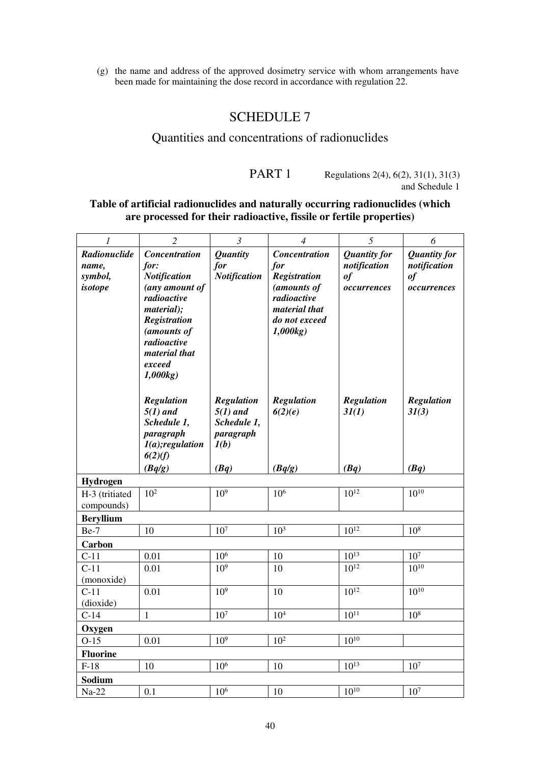(g) the name and address of the approved dosimetry service with whom arrangements have been made for maintaining the dose record in accordance with regulation 22.

# SCHEDULE 7

# Quantities and concentrations of radionuclides

# PART 1 Regulations 2(4), 6(2), 31(1), 31(3) and Schedule 1

# **Table of artificial radionuclides and naturally occurring radionuclides (which are processed for their radioactive, fissile or fertile properties)**

| $\boldsymbol{l}$                            | $\overline{2}$                                                                                                                                                                         | $\mathfrak{Z}$                                                              | $\overline{4}$                                                                                                         | 5                                                        | 6                                                        |
|---------------------------------------------|----------------------------------------------------------------------------------------------------------------------------------------------------------------------------------------|-----------------------------------------------------------------------------|------------------------------------------------------------------------------------------------------------------------|----------------------------------------------------------|----------------------------------------------------------|
| Radionuclide<br>name,<br>symbol,<br>isotope | Concentration<br>for:<br><b>Notification</b><br>(any amount of<br>radioactive<br>material);<br><b>Registration</b><br>(amounts of<br>radioactive<br>material that<br>exceed<br>1,000kg | <b>Quantity</b><br>for<br><b>Notification</b>                               | Concentration<br>for<br><b>Registration</b><br>(amounts of<br>radioactive<br>material that<br>do not exceed<br>1,000kg | <b>Quantity for</b><br>notification<br>of<br>occurrences | <b>Quantity for</b><br>notification<br>of<br>occurrences |
|                                             | <b>Regulation</b><br>$5(1)$ and<br>Schedule 1,<br>paragraph<br>$I(a);$ regulation<br>6(2)(f)<br>(Bq/g)                                                                                 | <b>Regulation</b><br>$5(1)$ and<br>Schedule 1,<br>paragraph<br>I(b)<br>(Bq) | <b>Regulation</b><br>6(2)(e)<br>(Bq/g)                                                                                 | <b>Regulation</b><br>3I(1)<br>(Bq)                       | <b>Regulation</b><br>31(3)<br>(Bq)                       |
| Hydrogen                                    |                                                                                                                                                                                        |                                                                             |                                                                                                                        |                                                          |                                                          |
| H-3 (tritiated<br>compounds)                | 10 <sup>2</sup>                                                                                                                                                                        | 10 <sup>9</sup>                                                             | 10 <sup>6</sup>                                                                                                        | $10^{12}$                                                | $10^{10}$                                                |
| <b>Beryllium</b>                            |                                                                                                                                                                                        |                                                                             |                                                                                                                        |                                                          |                                                          |
| Be-7                                        | 10                                                                                                                                                                                     | $107$                                                                       | 10 <sup>3</sup>                                                                                                        | $10^{12}$                                                | 10 <sup>8</sup>                                          |
| Carbon                                      |                                                                                                                                                                                        |                                                                             |                                                                                                                        |                                                          |                                                          |
| $C-11$                                      | 0.01                                                                                                                                                                                   | 10 <sup>6</sup>                                                             | 10                                                                                                                     | $10^{13}$                                                | 10 <sup>7</sup>                                          |
| $C-11$<br>(monoxide)                        | 0.01                                                                                                                                                                                   | 10 <sup>9</sup>                                                             | 10                                                                                                                     | $10^{12}$                                                | $10^{10}$                                                |
| $C-11$<br>(dioxide)                         | 0.01                                                                                                                                                                                   | 10 <sup>9</sup>                                                             | 10                                                                                                                     | $10^{12}$                                                | $10^{10}$                                                |
| $C-14$                                      | $\mathbf{1}$                                                                                                                                                                           | 10 <sup>7</sup>                                                             | 10 <sup>4</sup>                                                                                                        | $10^{11}$                                                | 10 <sup>8</sup>                                          |
| Oxygen                                      |                                                                                                                                                                                        |                                                                             |                                                                                                                        |                                                          |                                                          |
| $O-15$                                      | 0.01                                                                                                                                                                                   | 10 <sup>9</sup>                                                             | 10 <sup>2</sup>                                                                                                        | $10^{10}$                                                |                                                          |
| <b>Fluorine</b>                             |                                                                                                                                                                                        |                                                                             |                                                                                                                        |                                                          |                                                          |
| $F-18$                                      | 10                                                                                                                                                                                     | 10 <sup>6</sup>                                                             | 10                                                                                                                     | $10^{13}$                                                | 10 <sup>7</sup>                                          |
| Sodium                                      |                                                                                                                                                                                        |                                                                             |                                                                                                                        |                                                          |                                                          |
| $Na-22$                                     | 0.1                                                                                                                                                                                    | $10^6$                                                                      | 10                                                                                                                     | $10^{10}$                                                | 10 <sup>7</sup>                                          |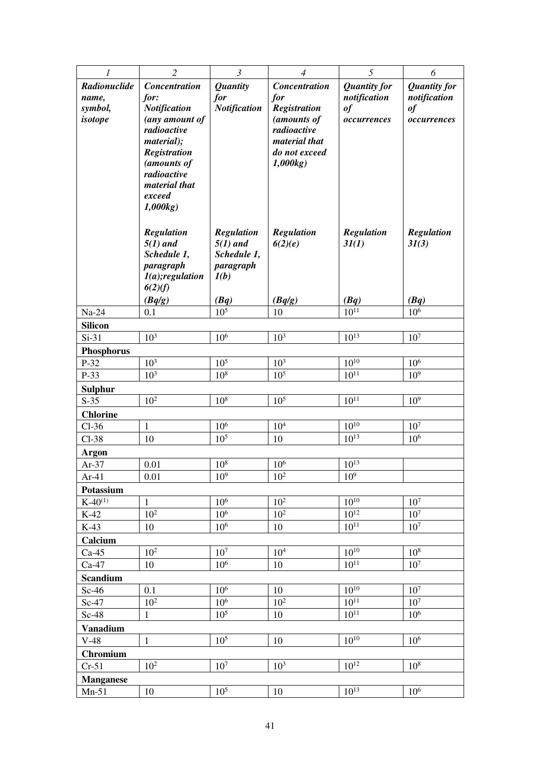| 1                        | $\overline{c}$                     | $\mathfrak{Z}$                     | $\overline{4}$                 | 5                      | 6                                  |
|--------------------------|------------------------------------|------------------------------------|--------------------------------|------------------------|------------------------------------|
| Radionuclide             | <b>Concentration</b>               | <b>Quantity</b>                    | <b>Concentration</b>           | <b>Quantity for</b>    | <b>Quantity for</b>                |
| name,                    | for:                               | for                                | for                            | notification           | notification                       |
| symbol,                  | <b>Notification</b>                | <b>Notification</b>                | <b>Registration</b>            | $\it of$               | $\it of$                           |
| isotope                  | (any amount of                     |                                    | (amounts of                    | occurrences            | occurrences                        |
|                          | radioactive                        |                                    | radioactive                    |                        |                                    |
|                          | material);<br><b>Registration</b>  |                                    | material that<br>do not exceed |                        |                                    |
|                          | (amounts of                        |                                    | 1,000kg                        |                        |                                    |
|                          | radioactive                        |                                    |                                |                        |                                    |
|                          | material that                      |                                    |                                |                        |                                    |
|                          | exceed                             |                                    |                                |                        |                                    |
|                          | 1,000kg                            |                                    |                                |                        |                                    |
|                          |                                    |                                    |                                |                        |                                    |
|                          | <b>Regulation</b><br>$5(1)$ and    | <b>Regulation</b>                  | Regulation                     | <b>Regulation</b>      | <b>Regulation</b>                  |
|                          | Schedule 1,                        | $5(1)$ and<br>Schedule 1,          | 6(2)(e)                        | 3I(1)                  | 3I(3)                              |
|                          | paragraph                          | paragraph                          |                                |                        |                                    |
|                          | $I(a);$ regulation                 | I(b)                               |                                |                        |                                    |
|                          | 6(2)(f)                            |                                    |                                |                        |                                    |
|                          | (Bq/g)                             | (Bq)                               | (Bq/g)                         | (Bq)                   | (Bq)                               |
| $Na-24$                  | 0.1                                | $10^{5}$                           | 10                             | $10^{11}$              | 10 <sup>6</sup>                    |
| <b>Silicon</b>           |                                    |                                    |                                |                        |                                    |
| $Si-31$                  | 10 <sup>3</sup>                    | 10 <sup>6</sup>                    | 10 <sup>3</sup>                | $10^{13}$              | 10 <sup>7</sup>                    |
| <b>Phosphorus</b>        |                                    |                                    |                                |                        |                                    |
| P-32                     | 10 <sup>3</sup><br>10 <sup>3</sup> | 10 <sup>5</sup><br>10 <sup>8</sup> | 10 <sup>3</sup>                | $10^{10}$<br>$10^{11}$ | 10 <sup>6</sup><br>10 <sup>9</sup> |
| P-33                     |                                    |                                    | 10 <sup>5</sup>                |                        |                                    |
| <b>Sulphur</b><br>$S-35$ | 10 <sup>2</sup>                    | 10 <sup>8</sup>                    | 10 <sup>5</sup>                | $10^{11}$              | 10 <sup>9</sup>                    |
| <b>Chlorine</b>          |                                    |                                    |                                |                        |                                    |
| $Cl-36$                  | $\mathbf{1}$                       | 10 <sup>6</sup>                    | 10 <sup>4</sup>                | $10^{10}$              | 10 <sup>7</sup>                    |
| $Cl-38$                  | 10                                 | 10 <sup>5</sup>                    | 10                             | $10^{13}$              | 10 <sup>6</sup>                    |
| Argon                    |                                    |                                    |                                |                        |                                    |
| $Ar-37$                  | 0.01                               | $10^{8}$                           | 10 <sup>6</sup>                | $10^{13}$              |                                    |
| $Ar-41$                  | 0.01                               | 10 <sup>9</sup>                    | 10 <sup>2</sup>                | 10 <sup>9</sup>        |                                    |
| Potassium                |                                    |                                    |                                |                        |                                    |
| $K-40^{(1)}$             | $\mathbf{1}$                       | 10 <sup>6</sup>                    | $10^{2}$                       | $10^{10}$              | 10 <sup>7</sup>                    |
| $K-42$                   | 10 <sup>2</sup>                    | 10 <sup>6</sup>                    | $10^{2}$                       | $10^{12}$              | 10 <sup>7</sup>                    |
| $K-43$                   | 10                                 | $10^{6}$                           | 10                             | $10^{11}$              | 10 <sup>7</sup>                    |
| Calcium                  |                                    |                                    |                                |                        |                                    |
| $Ca-45$                  | 10 <sup>2</sup>                    | 10 <sup>7</sup>                    | 10 <sup>4</sup>                | $10^{10}$              | 10 <sup>8</sup>                    |
| $Ca-47$                  | 10                                 | 10 <sup>6</sup>                    | 10                             | $10^{11}$              | 10 <sup>7</sup>                    |
| <b>Scandium</b>          |                                    |                                    |                                |                        |                                    |
| $Sc-46$                  | 0.1                                | 10 <sup>6</sup>                    | 10                             | $10^{10}$              | 10 <sup>7</sup>                    |
| $Sc-47$                  | 10 <sup>2</sup>                    | 10 <sup>6</sup>                    | 10 <sup>2</sup>                | $10^{11}$              | 10 <sup>7</sup>                    |
| $Sc-48$                  | $\mathbf{1}$                       | 10 <sup>5</sup>                    | 10                             | $10^{11}$              | 10 <sup>6</sup>                    |
| <b>Vanadium</b>          |                                    |                                    |                                |                        |                                    |
| $V-48$                   | $\mathbf{1}$                       | 10 <sup>5</sup>                    | 10                             | $10^{10}$              | $10^{6}$                           |
| <b>Chromium</b>          |                                    |                                    |                                |                        |                                    |
| $Cr-51$                  | $10^{2}$                           | 10 <sup>7</sup>                    | 10 <sup>3</sup>                | $10^{12}$              | 10 <sup>8</sup>                    |
| <b>Manganese</b>         |                                    |                                    |                                |                        |                                    |
| $Mn-51$                  | 10                                 | 10 <sup>5</sup>                    | 10                             | $10^{13}$              | 10 <sup>6</sup>                    |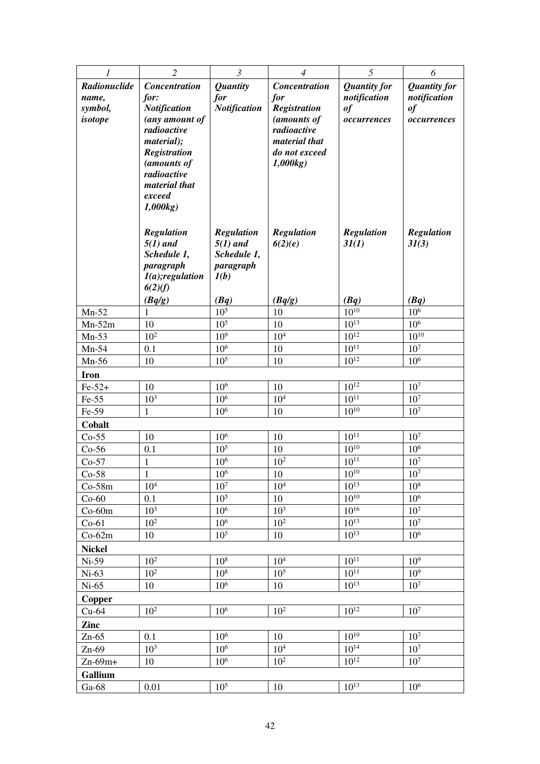| 1                   | $\overline{2}$                    | $\mathfrak{Z}$                     | $\overline{4}$                 | 5                          | 6                                  |
|---------------------|-----------------------------------|------------------------------------|--------------------------------|----------------------------|------------------------------------|
| Radionuclide        | <b>Concentration</b>              | <b>Quantity</b>                    | <b>Concentration</b>           | <b>Quantity for</b>        | <b>Quantity for</b>                |
| name,               | for:                              | for                                | for                            | notification               | notification                       |
| symbol,             | <b>Notification</b>               | <b>Notification</b>                | <b>Registration</b>            | of                         | $\it of$                           |
| isotope             | (any amount of                    |                                    | (amounts of                    | occurrences                | occurrences                        |
|                     | radioactive                       |                                    | radioactive                    |                            |                                    |
|                     | material);<br><b>Registration</b> |                                    | material that<br>do not exceed |                            |                                    |
|                     | (amounts of                       |                                    | 1,000kg                        |                            |                                    |
|                     | radioactive                       |                                    |                                |                            |                                    |
|                     | material that                     |                                    |                                |                            |                                    |
|                     | exceed                            |                                    |                                |                            |                                    |
|                     | 1,000kg                           |                                    |                                |                            |                                    |
|                     |                                   |                                    |                                |                            |                                    |
|                     | <b>Regulation</b><br>$5(1)$ and   | <b>Regulation</b><br>$5(1)$ and    | <b>Regulation</b><br>6(2)(e)   | <b>Regulation</b><br>3I(1) | <b>Regulation</b><br>3I(3)         |
|                     | Schedule 1,                       | Schedule 1,                        |                                |                            |                                    |
|                     | paragraph                         | paragraph                          |                                |                            |                                    |
|                     | $I(a);$ regulation                | I(b)                               |                                |                            |                                    |
|                     | 6(2)(f)                           |                                    |                                |                            |                                    |
|                     | (Bq/g)                            | (Bq)                               | (Bq/g)                         | (Bq)                       | (Bq)                               |
| $Mn-52$             | 1                                 | $10^{5}$                           | 10                             | $10^{10}$                  | 10 <sup>6</sup>                    |
| $Mn-52m$            | 10<br>10 <sup>2</sup>             | 10 <sup>5</sup><br>10 <sup>9</sup> | 10<br>$10^4$                   | $10^{13}$<br>$10^{12}$     | 10 <sup>6</sup><br>$10^{10}$       |
| $Mn-53$<br>$Mn-54$  | 0.1                               | 10 <sup>6</sup>                    | 10                             | $10^{11}$                  | 10 <sup>7</sup>                    |
| $Mn-56$             | 10                                | 10 <sup>5</sup>                    | 10                             | $10^{12}$                  | 10 <sup>6</sup>                    |
| <b>Iron</b>         |                                   |                                    |                                |                            |                                    |
| $Fe-52+$            | 10                                | 10 <sup>6</sup>                    | 10                             | $10^{12}$                  | 10 <sup>7</sup>                    |
| $Fe-55$             | 10 <sup>3</sup>                   | 10 <sup>6</sup>                    | 10 <sup>4</sup>                | $10^{11}$                  | 10 <sup>7</sup>                    |
| Fe-59               | $\mathbf{1}$                      | 10 <sup>6</sup>                    | 10                             | $10^{10}$                  | 10 <sup>7</sup>                    |
| Cobalt              |                                   |                                    |                                |                            |                                    |
| $Co-55$             | 10                                | $10^6$                             | 10                             | $10^{11}$                  | 10 <sup>7</sup>                    |
| $Co-56$             | 0.1                               | 10 <sup>5</sup>                    | 10                             | $10^{10}$                  | 10 <sup>6</sup>                    |
| $Co-57$             | 1                                 | 10 <sup>6</sup>                    | 10 <sup>2</sup>                | $10^{11}$                  | 10 <sup>7</sup>                    |
| $Co-58$             | $\mathbf{1}$                      | $10^6$                             | 10                             | $10^{10}$                  | $10^7\,$                           |
| $Co-58m$            | 10 <sup>4</sup>                   | 10 <sup>7</sup>                    | $10^4\,$                       | $10^{13}$                  | 10 <sup>8</sup>                    |
| $Co-60$             | 0.1                               | 10 <sup>5</sup>                    | 10                             | $10^{10}$                  | 10 <sup>6</sup>                    |
| $Co-60m$            | 10 <sup>3</sup><br>$10^{2}$       | 10 <sup>6</sup><br>10 <sup>6</sup> | 10 <sup>3</sup><br>$10^{2}$    | $10^{16}$<br>$10^{13}$     | 10 <sup>7</sup><br>10 <sup>7</sup> |
| $Co-61$<br>$Co-62m$ | 10                                | 10 <sup>5</sup>                    | 10                             | $10^{13}$                  | 10 <sup>6</sup>                    |
| <b>Nickel</b>       |                                   |                                    |                                |                            |                                    |
| $Ni-59$             | 10 <sup>2</sup>                   | 10 <sup>8</sup>                    | 10 <sup>4</sup>                | $10^{11}$                  | 10 <sup>9</sup>                    |
| $Ni-63$             | 10 <sup>2</sup>                   | 10 <sup>8</sup>                    | 10 <sup>5</sup>                | $10^{11}$                  | 10 <sup>9</sup>                    |
| $Ni-65$             | 10                                | 10 <sup>6</sup>                    | 10                             | $10^{13}$                  | 10 <sup>7</sup>                    |
| Copper              |                                   |                                    |                                |                            |                                    |
| $Cu-64$             | $10^{2}$                          | 10 <sup>6</sup>                    | $10^{2}$                       | $10^{12}$                  | 10 <sup>7</sup>                    |
| Zinc                |                                   |                                    |                                |                            |                                    |
| $Zn-65$             | 0.1                               | 10 <sup>6</sup>                    | 10                             | $10^{10}$                  | 10 <sup>7</sup>                    |
| $Zn-69$             | 10 <sup>3</sup>                   | 10 <sup>6</sup>                    | 10 <sup>4</sup>                | $10^{14}$                  | $10^7$                             |
| $Zn-69m+$           | 10                                | 10 <sup>6</sup>                    | $10^{2}$                       | $10^{12}$                  | 10 <sup>7</sup>                    |
| Gallium             |                                   |                                    |                                |                            |                                    |
| $Ga-68$             | 0.01                              | 10 <sup>5</sup>                    | 10                             | $10^{13}$                  | 10 <sup>6</sup>                    |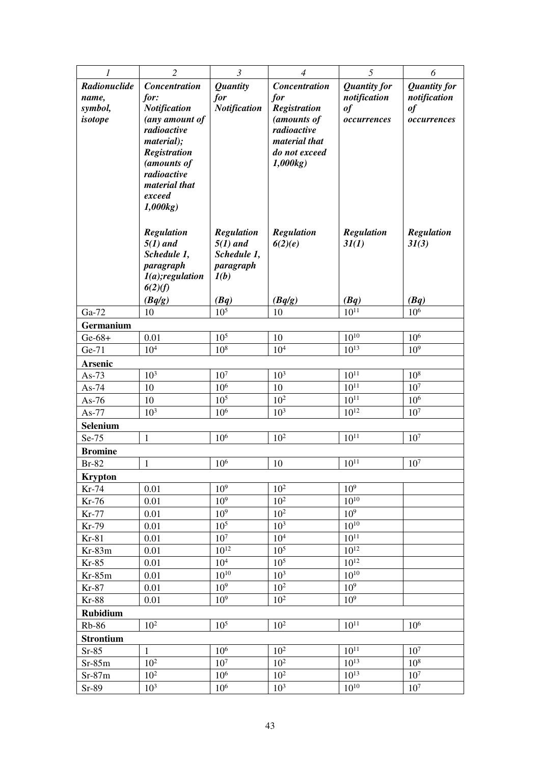| 1                | $\overline{2}$            | $\mathfrak{Z}$                     | $\overline{4}$               | 5                   | 6                       |
|------------------|---------------------------|------------------------------------|------------------------------|---------------------|-------------------------|
| Radionuclide     | <b>Concentration</b>      | <b>Quantity</b>                    | <b>Concentration</b>         | <b>Quantity for</b> | <b>Quantity for</b>     |
| name,            | for:                      | for                                | for                          | notification        | notification            |
| symbol,          | <b>Notification</b>       | <b>Notification</b>                | <b>Registration</b>          | of                  | $\it of$                |
| isotope          | (any amount of            |                                    | (amounts of                  | occurrences         | occurrences             |
|                  | radioactive<br>material); |                                    | radioactive<br>material that |                     |                         |
|                  | <b>Registration</b>       |                                    | do not exceed                |                     |                         |
|                  | (amounts of               |                                    | 1,000kg                      |                     |                         |
|                  | radioactive               |                                    |                              |                     |                         |
|                  | material that             |                                    |                              |                     |                         |
|                  | exceed                    |                                    |                              |                     |                         |
|                  | 1,000kg                   |                                    |                              |                     |                         |
|                  | <b>Regulation</b>         | <b>Regulation</b>                  | <b>Regulation</b>            | <b>Regulation</b>   | <b>Regulation</b>       |
|                  | $5(1)$ and                | $5(1)$ and                         | 6(2)(e)                      | 3I(1)               | 3I(3)                   |
|                  | Schedule 1,               | Schedule 1,                        |                              |                     |                         |
|                  | paragraph                 | paragraph                          |                              |                     |                         |
|                  | $I(a);$ regulation        | I(b)                               |                              |                     |                         |
|                  | 6(2)(f)                   |                                    |                              |                     |                         |
| Ga-72            | (Bq/g)<br>10              | (Bq)<br>$10^{5}$                   | (Bq/g)<br>10                 | (Bq)<br>$10^{11}$   | (Bq)<br>10 <sup>6</sup> |
| Germanium        |                           |                                    |                              |                     |                         |
| $Ge-68+$         | 0.01                      | 10 <sup>5</sup>                    | 10                           | $10^{10}$           | 10 <sup>6</sup>         |
| Ge-71            | 10 <sup>4</sup>           | 10 <sup>8</sup>                    | 10 <sup>4</sup>              | $10^{13}$           | 10 <sup>9</sup>         |
| Arsenic          |                           |                                    |                              |                     |                         |
| As- $73$         | 10 <sup>3</sup>           | $107$                              | $10^3\,$                     | $10^{11}\,$         | 10 <sup>8</sup>         |
| As- $74$         | 10                        | $10^{6}$                           | 10                           | $10^{11}$           | 10 <sup>7</sup>         |
| As- $76$         | 10                        | 10 <sup>5</sup>                    | $10^{2}$                     | $10^{11}$           | $10^{6}$                |
| $As-77$          | $10^{3}$                  | 10 <sup>6</sup>                    | 10 <sup>3</sup>              | $10^{12}$           | 10 <sup>7</sup>         |
| <b>Selenium</b>  |                           |                                    |                              |                     |                         |
| Se-75            | $\mathbf{1}$              | 10 <sup>6</sup>                    | $10^{2}$                     | $10^{11}$           | 10 <sup>7</sup>         |
| <b>Bromine</b>   |                           |                                    |                              |                     |                         |
| $Br-82$          | 1                         | 10 <sup>6</sup>                    | 10                           | $10^{11}$           | 10 <sup>7</sup>         |
| <b>Krypton</b>   |                           |                                    | $10^2$                       | 10 <sup>9</sup>     |                         |
| Kr-74<br>Kr-76   | 0.01<br>0.01              | 10 <sup>9</sup><br>10 <sup>9</sup> | 10 <sup>2</sup>              | $10^{10}$           |                         |
| Kr-77            | 0.01                      | 10 <sup>9</sup>                    | $10^{2}$                     | 10 <sup>9</sup>     |                         |
| Kr-79            | 0.01                      | 10 <sup>5</sup>                    | 10 <sup>3</sup>              | $10^{10}$           |                         |
| $Kr-81$          | 0.01                      | $10^7$                             | $10^4\,$                     | $10^{11}$           |                         |
| $Kr-83m$         | 0.01                      | $10^{12}$                          | $10^{5}$                     | $10^{12}$           |                         |
| $Kr-85$          | 0.01                      | 10 <sup>4</sup>                    | 10 <sup>5</sup>              | $10^{12}$           |                         |
| $Kr-85m$         | 0.01                      | $10^{10}$                          | 10 <sup>3</sup>              | $10^{10}$           |                         |
| Kr-87            | 0.01                      | 10 <sup>9</sup>                    | $10^2$                       | $10^9$              |                         |
| <b>Kr-88</b>     | 0.01                      | 10 <sup>9</sup>                    | $10^{2}$                     | 10 <sup>9</sup>     |                         |
| <b>Rubidium</b>  |                           |                                    |                              |                     |                         |
| <b>Rb-86</b>     | 10 <sup>2</sup>           | $10^{\overline{5}}$                | 10 <sup>2</sup>              | $10^{11}$           | $10^{6}$                |
| <b>Strontium</b> |                           |                                    |                              |                     |                         |
| $Sr-85$          | $\mathbf{1}$              | $10^{6}$                           | $10^{2}$                     | $10^{11}$           | 10 <sup>7</sup>         |
| $Sr-85m$         | 10 <sup>2</sup>           | 10 <sup>7</sup>                    | $10^{2}$                     | $10^{13}$           | 10 <sup>8</sup>         |
| $Sr-87m$         | 10 <sup>2</sup>           | 10 <sup>6</sup>                    | 10 <sup>2</sup>              | $10^{13}$           | $10^7$                  |
| Sr-89            | 10 <sup>3</sup>           | 10 <sup>6</sup>                    | $10^{3}$                     | $10^{10}$           | 10 <sup>7</sup>         |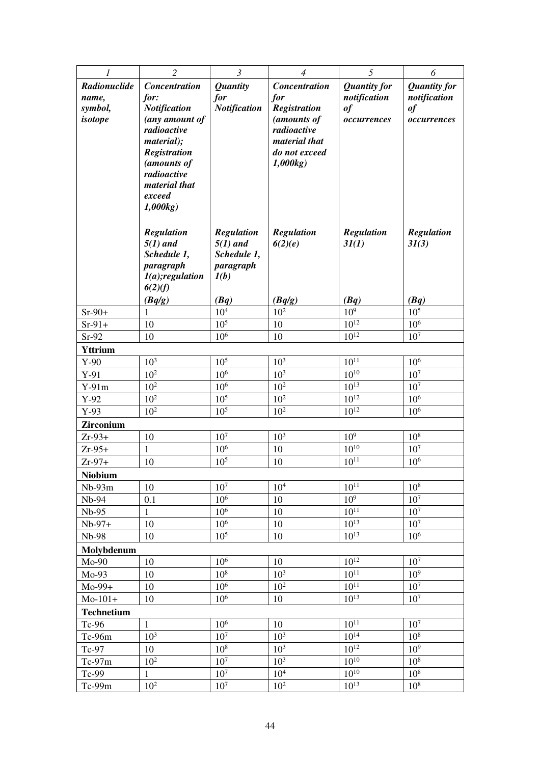| 1                 | $\overline{2}$                | $\mathfrak{Z}$          | $\overline{4}$             | 5                   | 6                   |  |  |
|-------------------|-------------------------------|-------------------------|----------------------------|---------------------|---------------------|--|--|
| Radionuclide      | <b>Concentration</b>          | <b>Quantity</b>         | <b>Concentration</b>       | <b>Quantity for</b> | <b>Quantity for</b> |  |  |
| name,             | for:                          | for                     | for                        | notification        | notification        |  |  |
| symbol,           | <b>Notification</b>           | <b>Notification</b>     | <b>Registration</b>        | of                  | $\it of$            |  |  |
| isotope           | (any amount of<br>radioactive |                         | (amounts of<br>radioactive | occurrences         | occurrences         |  |  |
|                   | material);                    |                         | material that              |                     |                     |  |  |
|                   | <b>Registration</b>           |                         | do not exceed              |                     |                     |  |  |
|                   | (amounts of                   |                         | 1,000kg)                   |                     |                     |  |  |
|                   | radioactive                   |                         |                            |                     |                     |  |  |
|                   | material that                 |                         |                            |                     |                     |  |  |
|                   | exceed                        |                         |                            |                     |                     |  |  |
|                   | 1,000kg                       |                         |                            |                     |                     |  |  |
|                   | <b>Regulation</b>             | <b>Regulation</b>       | <b>Regulation</b>          | <b>Regulation</b>   | <b>Regulation</b>   |  |  |
|                   | $5(1)$ and                    | $5(1)$ and              | 6(2)(e)                    | 3I(1)               | 3I(3)               |  |  |
|                   | Schedule 1,                   | Schedule 1,             |                            |                     |                     |  |  |
|                   | paragraph                     | paragraph               |                            |                     |                     |  |  |
|                   | $I(a);$ regulation            | I(b)                    |                            |                     |                     |  |  |
|                   | 6(2)(f)                       |                         |                            |                     |                     |  |  |
| $Sr-90+$          | (Bq/g)<br>1                   | (Bq)<br>10 <sup>4</sup> | (Bq/g)<br>10 <sup>2</sup>  | (Bq)<br>$10^{9}$    | (Bq)<br>$10^{5}$    |  |  |
| $Sr-91+$          | 10                            | 10 <sup>5</sup>         | 10                         | $10^{12}$           | 10 <sup>6</sup>     |  |  |
| $Sr-92$           | 10                            | 10 <sup>6</sup>         | 10                         | $10^{12}$           | 10 <sup>7</sup>     |  |  |
| <b>Yttrium</b>    |                               |                         |                            |                     |                     |  |  |
| $Y-90$            | 10 <sup>3</sup>               | 10 <sup>5</sup>         | 10 <sup>3</sup>            | $10^{11}$           | 10 <sup>6</sup>     |  |  |
| $Y-91$            | 10 <sup>2</sup>               | 10 <sup>6</sup>         | 10 <sup>3</sup>            | $10^{10}$           | 10 <sup>7</sup>     |  |  |
| $Y-91m$           | 10 <sup>2</sup>               | 10 <sup>6</sup>         | 10 <sup>2</sup>            | $10^{13}$           | 10 <sup>7</sup>     |  |  |
| $Y-92$            | $10^{2}$                      | 10 <sup>5</sup>         | $10^{2}$                   | $10^{12}$           | 10 <sup>6</sup>     |  |  |
| $Y-93$            | $10^{2}$                      | 10 <sup>5</sup>         | $10^{2}$                   | $10^{12}$           | $10^{6}$            |  |  |
| <b>Zirconium</b>  |                               |                         |                            |                     |                     |  |  |
| $Zr-93+$          | 10                            | 10 <sup>7</sup>         | 10 <sup>3</sup>            | 10 <sup>9</sup>     | 10 <sup>8</sup>     |  |  |
| $Zr-95+$          | $\mathbf{1}$                  | 10 <sup>6</sup>         | 10                         | $10^{10}$           | 10 <sup>7</sup>     |  |  |
| $Zr-97+$          | 10                            | 10 <sup>5</sup>         | 10                         | $10^{11}$           | 10 <sup>6</sup>     |  |  |
| Niobium           |                               | 10 <sup>7</sup>         | 10 <sup>4</sup>            | $10^{11}$           | 10 <sup>8</sup>     |  |  |
| $Nb-93m$<br>Nb-94 | 10<br>0.1                     | 10 <sup>6</sup>         | 10                         | 10 <sup>9</sup>     | 10 <sup>7</sup>     |  |  |
| $Nb-95$           | $\mathbf{1}$                  | 10 <sup>6</sup>         | 10                         | $10^{11}$           | 10 <sup>7</sup>     |  |  |
| $Nb-97+$          | 10                            | 10 <sup>6</sup>         | 10                         | $10^{13}$           | 10 <sup>7</sup>     |  |  |
| Nb-98             | 10                            | 10 <sup>5</sup>         | 10                         | $10^{13}$           | 10 <sup>6</sup>     |  |  |
| Molvbdenum        |                               |                         |                            |                     |                     |  |  |
| $Mo-90$           | 10                            | 10 <sup>6</sup>         | 10                         | $10^{12}$           | 10 <sup>7</sup>     |  |  |
| $Mo-93$           | 10                            | 10 <sup>8</sup>         | 10 <sup>3</sup>            | $10^{11}$           | 10 <sup>9</sup>     |  |  |
| $Mo-99+$          | 10                            | 10 <sup>6</sup>         | 10 <sup>2</sup>            | $10^{11}$           | 10 <sup>7</sup>     |  |  |
| $Mo-101+$         | 10                            | $10^{6}$                | 10                         | $10^{13}$           | $10^7$              |  |  |
| <b>Technetium</b> |                               |                         |                            |                     |                     |  |  |
| Tc-96             | $\mathbf{1}$                  | 10 <sup>6</sup>         | 10                         | $10^{11}$           | $10^7\,$            |  |  |
| Tc-96m            | 10 <sup>3</sup>               | $10^7$                  | $10^{3}$                   | $10^{14}$           | 10 <sup>8</sup>     |  |  |
| Tc-97             | 10                            | 10 <sup>8</sup>         | 10 <sup>3</sup>            | $10^{12}$           | 10 <sup>9</sup>     |  |  |
| $Tc-97m$          | 10 <sup>2</sup>               | 10 <sup>7</sup>         | $10^{3}$                   | $10^{10}$           | 10 <sup>8</sup>     |  |  |
| Tc-99             | $\mathbf{1}$                  | 10 <sup>7</sup>         | $10^{4}$                   | $10^{10}$           | 10 <sup>8</sup>     |  |  |
| Tc-99m            | 10 <sup>2</sup>               | $10^7\,$                | 10 <sup>2</sup>            | $10^{13}$           | 10 <sup>8</sup>     |  |  |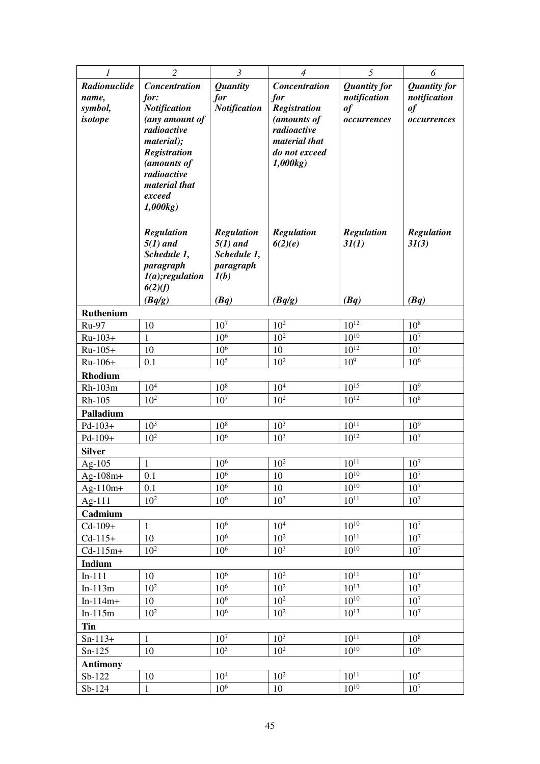| 1                 | $\overline{c}$                | $\mathfrak{Z}$                     | $\overline{4}$             | 5                      | 6                                  |  |  |
|-------------------|-------------------------------|------------------------------------|----------------------------|------------------------|------------------------------------|--|--|
| Radionuclide      | <b>Concentration</b>          | <b>Quantity</b>                    | <b>Concentration</b>       | <b>Quantity for</b>    | <b>Quantity for</b>                |  |  |
| name,             | for:                          | for                                | for                        | notification           | notification                       |  |  |
| symbol,           | <b>Notification</b>           | <b>Notification</b>                | <b>Registration</b>        | $\boldsymbol{\theta}$  | $\it of$                           |  |  |
| isotope           | (any amount of<br>radioactive |                                    | (amounts of<br>radioactive | occurrences            | occurrences                        |  |  |
|                   | material);                    |                                    | material that              |                        |                                    |  |  |
|                   | <b>Registration</b>           |                                    | do not exceed              |                        |                                    |  |  |
|                   | (amounts of                   |                                    | 1,000kg                    |                        |                                    |  |  |
|                   | radioactive                   |                                    |                            |                        |                                    |  |  |
|                   | material that                 |                                    |                            |                        |                                    |  |  |
|                   | exceed<br>1,000kg             |                                    |                            |                        |                                    |  |  |
|                   |                               |                                    |                            |                        |                                    |  |  |
|                   | <b>Regulation</b>             | <b>Regulation</b>                  | <b>Regulation</b>          | <b>Regulation</b>      | <b>Regulation</b>                  |  |  |
|                   | $5(1)$ and                    | $5(1)$ and                         | 6(2)(e)                    | 3I(1)                  | 3I(3)                              |  |  |
|                   | Schedule 1,                   | Schedule 1,                        |                            |                        |                                    |  |  |
|                   | paragraph                     | paragraph                          |                            |                        |                                    |  |  |
|                   | $I(a);$ regulation            | I(b)                               |                            |                        |                                    |  |  |
|                   | 6(2)(f)<br>(Bq/g)             |                                    |                            | (Bq)                   | (Bq)                               |  |  |
| Ruthenium         |                               | (Bq)                               | (Bq/g)                     |                        |                                    |  |  |
| <b>Ru-97</b>      | 10                            | 10 <sup>7</sup>                    | 10 <sup>2</sup>            | $10^{12}$              | 10 <sup>8</sup>                    |  |  |
| Ru-103+           | $\mathbf{1}$                  | 10 <sup>6</sup>                    | 10 <sup>2</sup>            | $10^{10}$              | 10 <sup>7</sup>                    |  |  |
| $Ru-105+$         | 10                            | 10 <sup>6</sup>                    | 10                         | $10^{12}$              | 10 <sup>7</sup>                    |  |  |
| $Ru-106+$         | 0.1                           | 10 <sup>5</sup>                    | $10^{2}$                   | 10 <sup>9</sup>        | 10 <sup>6</sup>                    |  |  |
| <b>Rhodium</b>    |                               |                                    |                            |                        |                                    |  |  |
| Rh-103m           | 10 <sup>4</sup>               | 10 <sup>8</sup>                    | 10 <sup>4</sup>            | $10^{15}$              | 10 <sup>9</sup>                    |  |  |
| Rh-105            | 10 <sup>2</sup>               | $10^7$                             | 10 <sup>2</sup>            | $10^{12}$              | $10^{8}$                           |  |  |
| Palladium         |                               |                                    |                            |                        |                                    |  |  |
| $Pd-103+$         | 10 <sup>3</sup>               | $10^8\,$                           | $10^{3}$                   | $10^{11}$              | 10 <sup>9</sup>                    |  |  |
| Pd-109+           | $10^{2}$                      | 10 <sup>6</sup>                    | 10 <sup>3</sup>            | $10^{12}$              | 10 <sup>7</sup>                    |  |  |
| <b>Silver</b>     |                               |                                    |                            |                        |                                    |  |  |
| Ag- $105$         | $\mathbf{1}$                  | 10 <sup>6</sup>                    | 10 <sup>2</sup>            | $10^{11}$              | 10 <sup>7</sup>                    |  |  |
| $Ag-108m+$        | 0.1                           | $10^{6}$                           | 10                         | $10^{10}$<br>$10^{10}$ | $10^{7}$                           |  |  |
| $Ag-110m+$        | 0.1<br>$10^{2}$               | 10 <sup>6</sup><br>10 <sup>6</sup> | 10<br>10 <sup>3</sup>      | $10^{11}$              | 10 <sup>7</sup><br>10 <sup>7</sup> |  |  |
| Ag-111<br>Cadmium |                               |                                    |                            |                        |                                    |  |  |
| $Cd-109+$         | $\mathbf{1}$                  | $10^6$                             | 10 <sup>4</sup>            | $10^{10}$              | $10^7$                             |  |  |
| $Cd-115+$         | 10                            | 10 <sup>6</sup>                    | 10 <sup>2</sup>            | $10^{11}$              | 10 <sup>7</sup>                    |  |  |
| $Cd-115m+$        | $10^{2}$                      | 10 <sup>6</sup>                    | 10 <sup>3</sup>            | $10^{10}$              | 10 <sup>7</sup>                    |  |  |
| Indium            |                               |                                    |                            |                        |                                    |  |  |
| $In-111$          | 10                            | 10 <sup>6</sup>                    | 10 <sup>2</sup>            | $10^{11}$              | 10 <sup>7</sup>                    |  |  |
| $In-113m$         | $10^{2}$                      | 10 <sup>6</sup>                    | 10 <sup>2</sup>            | $10^{13}$              | $10^7$                             |  |  |
| $In-114m+$        | 10                            | 10 <sup>6</sup>                    | 10 <sup>2</sup>            | $10^{10}$              | 10 <sup>7</sup>                    |  |  |
| $In-115m$         | 10 <sup>2</sup>               | 10 <sup>6</sup>                    | 10 <sup>2</sup>            | $10^{13}$              | 10 <sup>7</sup>                    |  |  |
| Tin               |                               |                                    |                            |                        |                                    |  |  |
| $Sn-113+$         | $\mathbf{1}$                  | 10 <sup>7</sup>                    | $10^{3}$                   | $10^{11}$              | $10^{8}$                           |  |  |
| $Sn-125$          | 10                            | 10 <sup>5</sup>                    | 10 <sup>2</sup>            | $10^{10}$              | 10 <sup>6</sup>                    |  |  |
| <b>Antimony</b>   |                               |                                    |                            |                        |                                    |  |  |
| $Sb-122$          | 10                            | $10^4\,$                           | $10^{2}$                   | $10^{11}$              | 10 <sup>5</sup>                    |  |  |
| Sb-124            | $\mathbf{1}$                  | 10 <sup>6</sup>                    | 10                         | $10^{10}$              | 10 <sup>7</sup>                    |  |  |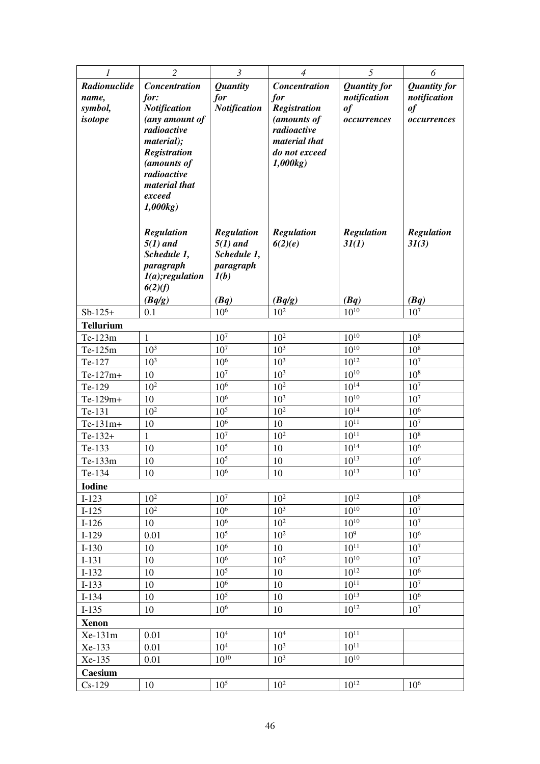| 1                         | $\overline{2}$                    | $\mathfrak{Z}$                     | $\overline{4}$                 | 5                      | 6                                  |
|---------------------------|-----------------------------------|------------------------------------|--------------------------------|------------------------|------------------------------------|
| Radionuclide              | <b>Concentration</b>              | <b>Quantity</b>                    | <b>Concentration</b>           | <b>Quantity for</b>    | <b>Quantity for</b>                |
| name,                     | for:                              | for                                | for                            | notification           | notification                       |
| symbol,                   | <b>Notification</b>               | <b>Notification</b>                | <b>Registration</b>            | of                     | $\it of$                           |
| isotope                   | (any amount of                    |                                    | (amounts of                    | occurrences            | occurrences                        |
|                           | radioactive                       |                                    | radioactive                    |                        |                                    |
|                           | material);<br><b>Registration</b> |                                    | material that<br>do not exceed |                        |                                    |
|                           | (amounts of                       |                                    | 1,000kg)                       |                        |                                    |
|                           | radioactive                       |                                    |                                |                        |                                    |
|                           | material that                     |                                    |                                |                        |                                    |
|                           | exceed                            |                                    |                                |                        |                                    |
|                           | 1,000kg                           |                                    |                                |                        |                                    |
|                           |                                   |                                    |                                |                        |                                    |
|                           | <b>Regulation</b>                 | <b>Regulation</b><br>$5(1)$ and    | Regulation                     | <b>Regulation</b>      | <b>Regulation</b>                  |
|                           | $5(1)$ and<br>Schedule 1,         | Schedule 1,                        | 6(2)(e)                        | 3I(1)                  | 31(3)                              |
|                           | paragraph                         | paragraph                          |                                |                        |                                    |
|                           | $I(a);$ regulation                | I(b)                               |                                |                        |                                    |
|                           | 6(2)(f)                           |                                    |                                |                        |                                    |
|                           | (Bq/g)                            | (Bq)                               | (Bq/g)                         | (Bq)                   | (Bq)                               |
| $Sb-125+$                 | 0.1                               | 10 <sup>6</sup>                    | $10^{2}$                       | $10^{10}$              | 10 <sup>7</sup>                    |
| <b>Tellurium</b>          |                                   |                                    |                                |                        |                                    |
| Te-123m                   | $\mathbf{1}$<br>$10^{3}$          | 10 <sup>7</sup>                    | $10^{2}$<br>$10^{3}$           | $10^{10}$<br>$10^{10}$ | 10 <sup>8</sup><br>10 <sup>8</sup> |
| Te-125m                   | 10 <sup>3</sup>                   | 10 <sup>7</sup><br>10 <sup>6</sup> | $10^{3}$                       | $10^{12}$              | 10 <sup>7</sup>                    |
| Te-127<br>$Te-127m+$      | 10                                | 10 <sup>7</sup>                    | 10 <sup>3</sup>                | $10^{10}$              | 10 <sup>8</sup>                    |
| Te-129                    | 10 <sup>2</sup>                   | 10 <sup>6</sup>                    | 10 <sup>2</sup>                | $10^{14}$              | 10 <sup>7</sup>                    |
| Te-129m+                  | 10                                | 10 <sup>6</sup>                    | $10^{3}$                       | $10^{10}$              | 10 <sup>7</sup>                    |
| Te-131                    | 10 <sup>2</sup>                   | 10 <sup>5</sup>                    | 10 <sup>2</sup>                | $10^{14}$              | 10 <sup>6</sup>                    |
| $Te-131m+$                | 10                                | 10 <sup>6</sup>                    | 10                             | $10^{11}$              | 10 <sup>7</sup>                    |
| $Te-132+$                 | 1                                 | 10 <sup>7</sup>                    | $10^{2}$                       | $10^{11}$              | 10 <sup>8</sup>                    |
| Te-133                    | 10                                | $10^{5}$                           | 10                             | $10^{14}$              | 10 <sup>6</sup>                    |
| Te-133m                   | 10                                | 10 <sup>5</sup>                    | 10                             | $10^{13}$              | 10 <sup>6</sup>                    |
| Te-134                    | $10\,$                            | $10^{6}$                           | $10\,$                         | $10^{13}$              | $10^7\,$                           |
| <b>Iodine</b>             |                                   |                                    |                                |                        |                                    |
| $I-123$                   | $10^{2}$                          | 10 <sup>7</sup>                    | $10^{2}$                       | $10^{12}$              | $10^{8}$                           |
| $I-125$                   | $10^{2}$                          | 10 <sup>6</sup>                    | 10 <sup>3</sup>                | $10^{10}$              | 10 <sup>7</sup>                    |
| $I-126$                   | 10                                | 10 <sup>6</sup>                    | 10 <sup>2</sup>                | $10^{10}$              | 10 <sup>7</sup>                    |
| $I-129$                   | 0.01                              | 10 <sup>5</sup>                    | $10^{2}$                       | 10 <sup>9</sup>        | 10 <sup>6</sup>                    |
| $I-130$                   | 10                                | 10 <sup>6</sup>                    | 10                             | $10^{11}$              | 10 <sup>7</sup>                    |
| $I-131$                   | 10                                | 10 <sup>6</sup>                    | 10 <sup>2</sup>                | $10^{10}$              | 10 <sup>7</sup>                    |
| $I-132$                   | 10                                | 10 <sup>5</sup>                    | 10                             | $10^{12}$              | 10 <sup>6</sup>                    |
| $I-133$                   | 10                                | 10 <sup>6</sup><br>10 <sup>5</sup> | 10                             | $10^{11}$<br>$10^{13}$ | 10 <sup>7</sup><br>10 <sup>6</sup> |
| $I-134$<br>$I-135$        | 10<br>10                          | 10 <sup>6</sup>                    | 10<br>10                       | $10^{12}$              | 10 <sup>7</sup>                    |
|                           |                                   |                                    |                                |                        |                                    |
| <b>Xenon</b><br>$Xe-131m$ | 0.01                              | 10 <sup>4</sup>                    | 10 <sup>4</sup>                | $10^{11}$              |                                    |
| Xe-133                    | 0.01                              | 10 <sup>4</sup>                    | $10^{3}$                       | $10^{11}$              |                                    |
| Xe-135                    | 0.01                              | $10^{10}$                          | 10 <sup>3</sup>                | $10^{10}$              |                                    |
| Caesium                   |                                   |                                    |                                |                        |                                    |
| $Cs-129$                  | 10                                | 10 <sup>5</sup>                    | 10 <sup>2</sup>                | $10^{12}$              | $10^{6}$                           |
|                           |                                   |                                    |                                |                        |                                    |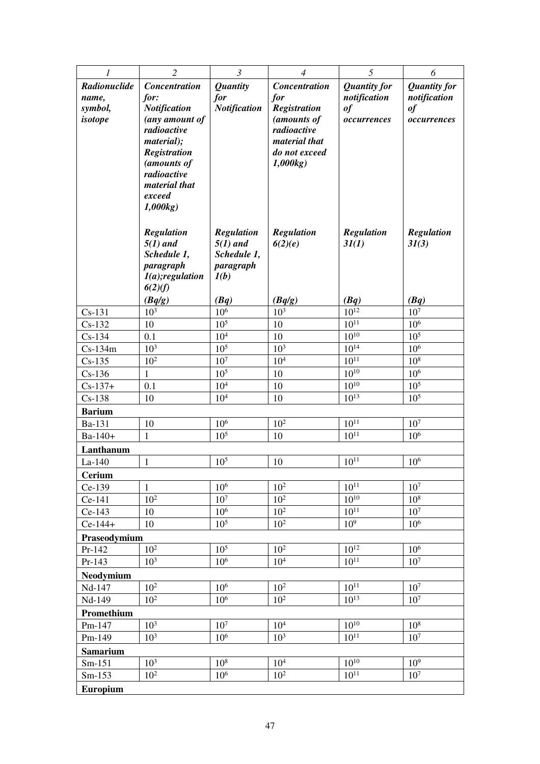| 1                     | $\overline{2}$                    | $\mathfrak{Z}$                  | $\overline{4}$               | 5                      | 6                                  |
|-----------------------|-----------------------------------|---------------------------------|------------------------------|------------------------|------------------------------------|
| Radionuclide          | <b>Concentration</b>              | <b>Quantity</b>                 | <b>Concentration</b>         | <b>Quantity for</b>    | <b>Quantity for</b>                |
| name,                 | for:                              | for                             | for                          | notification           | notification                       |
| symbol,               | <b>Notification</b>               | <b>Notification</b>             | <b>Registration</b>          | of                     | of                                 |
| isotope               | (any amount of                    |                                 | (amounts of                  | occurrences            | occurrences                        |
|                       | radioactive                       |                                 | radioactive<br>material that |                        |                                    |
|                       | material);<br><b>Registration</b> |                                 | do not exceed                |                        |                                    |
|                       | (amounts of                       |                                 | 1,000kg)                     |                        |                                    |
|                       | radioactive                       |                                 |                              |                        |                                    |
|                       | material that                     |                                 |                              |                        |                                    |
|                       | exceed                            |                                 |                              |                        |                                    |
|                       | 1,000kg                           |                                 |                              |                        |                                    |
|                       |                                   |                                 |                              |                        |                                    |
|                       | <b>Regulation</b><br>$5(1)$ and   | <b>Regulation</b><br>$5(1)$ and | <b>Regulation</b><br>6(2)(e) | Regulation<br>3I(1)    | <b>Regulation</b><br>31(3)         |
|                       | Schedule 1,                       | Schedule 1,                     |                              |                        |                                    |
|                       | paragraph                         | paragraph                       |                              |                        |                                    |
|                       | $I(a);$ regulation                | I(b)                            |                              |                        |                                    |
|                       | 6(2)(f)                           |                                 |                              |                        |                                    |
|                       | (Bq/g)                            | (Bq)                            | (Bq/g)                       | (Bq)                   | (Bq)                               |
| $Cs-131$              | $10^3\,$                          | $10^{6}$<br>$105$               | $10^{3}$<br>10               | $10^{12}$<br>$10^{11}$ | 10 <sup>7</sup><br>10 <sup>6</sup> |
| $Cs-132$              | 10<br>0.1                         | $10^4\,$                        | 10                           | $10^{10}$              | $10^{5}$                           |
| $Cs-134$<br>$Cs-134m$ | $10^{3}$                          | 10 <sup>5</sup>                 | 10 <sup>3</sup>              | $10^{14}$              | 10 <sup>6</sup>                    |
| $Cs-135$              | 10 <sup>2</sup>                   | 10 <sup>7</sup>                 | $10^4\,$                     | $10^{11}$              | $10^{8}$                           |
| $Cs-136$              | $\mathbf{1}$                      | 10 <sup>5</sup>                 | 10                           | $10^{10}$              | 10 <sup>6</sup>                    |
| $Cs - 137 +$          | 0.1                               | $10^4\,$                        | 10                           | $10^{10}$              | 10 <sup>5</sup>                    |
| $Cs-138$              | 10                                | 10 <sup>4</sup>                 | 10                           | $10^{13}$              | 10 <sup>5</sup>                    |
| <b>Barium</b>         |                                   |                                 |                              |                        |                                    |
| Ba-131                | 10                                | $10^6$                          | 10 <sup>2</sup>              | $10^{11}$              | 10 <sup>7</sup>                    |
| Ba-140+               | 1                                 | 10 <sup>5</sup>                 | 10                           | $10^{11}$              | 10 <sup>6</sup>                    |
| Lanthanum             |                                   |                                 |                              |                        |                                    |
| $La-140$              | $\mathbf{1}$                      | 10 <sup>5</sup>                 | 10                           | $10^{11}$              | $10^{6}$                           |
| <b>Cerium</b>         |                                   |                                 |                              |                        |                                    |
| Ce-139                | $\mathbf{1}$                      | $10^{6}$                        | $10^{2}$                     | $10^{11}$              | 10 <sup>7</sup>                    |
| Ce-141                | 10 <sup>2</sup>                   | 10 <sup>7</sup>                 | 10 <sup>2</sup>              | $10^{10}$              | 10 <sup>8</sup>                    |
| Ce-143                | 10                                | 10 <sup>6</sup>                 | 10 <sup>2</sup>              | $10^{11}$              | 10 <sup>7</sup>                    |
| $Ce-144+$             | 10                                | 10 <sup>5</sup>                 | 10 <sup>2</sup>              | 10 <sup>9</sup>        | 10 <sup>6</sup>                    |
| Praseodymium          | 10 <sup>2</sup>                   | 10 <sup>5</sup>                 | 10 <sup>2</sup>              | $10^{12}$              |                                    |
| Pr-142<br>Pr-143      | $10^{3}$                          | 10 <sup>6</sup>                 | 10 <sup>4</sup>              | $10^{11}$              | $10^{6}$<br>10 <sup>7</sup>        |
|                       |                                   |                                 |                              |                        |                                    |
| Neodymium<br>Nd-147   | 10 <sup>2</sup>                   | $10^6$                          | $10^2\,$                     | $10^{11}$              | $10^7\,$                           |
| Nd-149                | $10^{2}$                          | 10 <sup>6</sup>                 | $10^{2}$                     | $10^{13}$              | 10 <sup>7</sup>                    |
| Promethium            |                                   |                                 |                              |                        |                                    |
| Pm-147                | 10 <sup>3</sup>                   | $10^7$                          | $10^4\,$                     | $10^{10}$              | $10^8\,$                           |
| Pm-149                | 10 <sup>3</sup>                   | 10 <sup>6</sup>                 | 10 <sup>3</sup>              | $10^{11}$              | 10 <sup>7</sup>                    |
| <b>Samarium</b>       |                                   |                                 |                              |                        |                                    |
| $Sm-151$              | 10 <sup>3</sup>                   | 10 <sup>8</sup>                 | 10 <sup>4</sup>              | $10^{10}$              | 10 <sup>9</sup>                    |
| $Sm-153$              | $10^{2}$                          | 10 <sup>6</sup>                 | $10^{2}$                     | $10^{11}$              | 10 <sup>7</sup>                    |
| <b>Europium</b>       |                                   |                                 |                              |                        |                                    |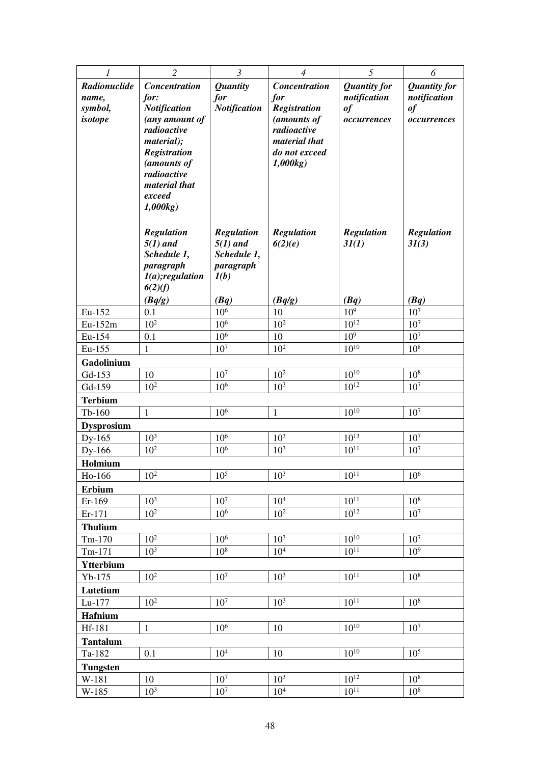| 1                         | $\overline{2}$              | $\mathfrak{Z}$                     | $\overline{4}$               | 5                   | 6                       |
|---------------------------|-----------------------------|------------------------------------|------------------------------|---------------------|-------------------------|
| Radionuclide              | <b>Concentration</b>        | <b>Quantity</b>                    | <b>Concentration</b>         | <b>Quantity for</b> | <b>Quantity for</b>     |
| name,                     | for:                        | for                                | for                          | notification        | notification            |
| symbol,                   | <b>Notification</b>         | <b>Notification</b>                | Registration                 | of                  | $\it of$                |
| isotope                   | (any amount of              |                                    | (amounts of                  | occurrences         | occurrences             |
|                           | radioactive<br>material);   |                                    | radioactive<br>material that |                     |                         |
|                           | <b>Registration</b>         |                                    | do not exceed                |                     |                         |
|                           | (amounts of                 |                                    | 1,000kg                      |                     |                         |
|                           | radioactive                 |                                    |                              |                     |                         |
|                           | material that               |                                    |                              |                     |                         |
|                           | exceed                      |                                    |                              |                     |                         |
|                           | 1,000kg                     |                                    |                              |                     |                         |
|                           | <b>Regulation</b>           | <b>Regulation</b>                  | <b>Regulation</b>            | <b>Regulation</b>   | <b>Regulation</b>       |
|                           | $5(1)$ and                  | $5(1)$ and                         | 6(2)(e)                      | 3I(1)               | 3I(3)                   |
|                           | Schedule 1,                 | Schedule 1,                        |                              |                     |                         |
|                           | paragraph                   | paragraph                          |                              |                     |                         |
|                           | $I(a);$ regulation          | I(b)                               |                              |                     |                         |
|                           | 6(2)(f)                     |                                    |                              |                     |                         |
| Eu-152                    | (Bq/g)<br>0.1               | (Bq)<br>$10^{6}$                   | (Bq/g)<br>10                 | (Bq)<br>$10^{9}$    | (Bq)<br>10 <sup>7</sup> |
| Eu-152m                   | 10 <sup>2</sup>             | $10^6$                             | 10 <sup>2</sup>              | $10^{12}$           | 10 <sup>7</sup>         |
| Eu-154                    | 0.1                         | 10 <sup>6</sup>                    | 10                           | 10 <sup>9</sup>     | 10 <sup>7</sup>         |
| Eu-155                    | 1                           | 10 <sup>7</sup>                    | $10^{2}$                     | $10^{10}$           | 10 <sup>8</sup>         |
| Gadolinium                |                             |                                    |                              |                     |                         |
| Gd-153                    | 10                          | $10^7\,$                           | 10 <sup>2</sup>              | $10^{10}$           | 10 <sup>8</sup>         |
| Gd-159                    | 10 <sup>2</sup>             | 10 <sup>6</sup>                    | 10 <sup>3</sup>              | $10^{12}$           | 10 <sup>7</sup>         |
| <b>Terbium</b>            |                             |                                    |                              |                     |                         |
| $Tb-160$                  | 1                           | 10 <sup>6</sup>                    | 1                            | $10^{10}$           | 10 <sup>7</sup>         |
| <b>Dysprosium</b>         |                             |                                    |                              | $10^{13}$           | 10 <sup>7</sup>         |
| Dy-165<br>Dy-166          | $10^{3}$<br>10 <sup>2</sup> | 10 <sup>6</sup><br>10 <sup>6</sup> | $10^{3}$<br>10 <sup>3</sup>  | $10^{11}$           | 10 <sup>7</sup>         |
| Holmium                   |                             |                                    |                              |                     |                         |
| Ho-166                    | $10^{2}$                    | $10^{5}$                           | $10^{3}$                     | $10^{11}$           | $10^{6}$                |
| <b>Erbium</b>             |                             |                                    |                              |                     |                         |
| Er-169                    | 10 <sup>3</sup>             | $10^7\,$                           | 10 <sup>4</sup>              | $10^{11}$           | 10 <sup>8</sup>         |
| Er-171                    | $10^{2}$                    | 10 <sup>6</sup>                    | 10 <sup>2</sup>              | $10^{12}$           | 10 <sup>7</sup>         |
| <b>Thulium</b>            |                             |                                    |                              |                     |                         |
| $Tm-170$                  | 10 <sup>2</sup>             | $10^6$                             | 10 <sup>3</sup>              | $10^{10}$           | $10^7$                  |
| $Tm-171$                  | 10 <sup>3</sup>             | 10 <sup>8</sup>                    | 10 <sup>4</sup>              | $10^{11}$           | $10^{9}$                |
| Ytterbium                 |                             |                                    |                              |                     |                         |
| $Yb-175$                  | $10^{2}$                    | 10 <sup>7</sup>                    | 10 <sup>3</sup>              | $10^{11}$           | 10 <sup>8</sup>         |
| Lutetium                  |                             |                                    |                              |                     |                         |
| Lu-177                    | 10 <sup>2</sup>             | 10 <sup>7</sup>                    | 10 <sup>3</sup>              | $10^{11}$           | 10 <sup>8</sup>         |
| <b>Hafnium</b>            |                             |                                    |                              | $10^{10}$           |                         |
| Hf-181                    | $\mathbf{1}$                | 10 <sup>6</sup>                    | 10                           |                     | 10 <sup>7</sup>         |
| <b>Tantalum</b><br>Ta-182 | 0.1                         | 10 <sup>4</sup>                    | 10                           | $10^{10}$           | $10^{5}$                |
| <b>Tungsten</b>           |                             |                                    |                              |                     |                         |
| W-181                     | 10                          | 10 <sup>7</sup>                    | 10 <sup>3</sup>              | $10^{12}$           | 10 <sup>8</sup>         |
| W-185                     | 10 <sup>3</sup>             | 10 <sup>7</sup>                    | 10 <sup>4</sup>              | $10^{11}$           | 10 <sup>8</sup>         |
|                           |                             |                                    |                              |                     |                         |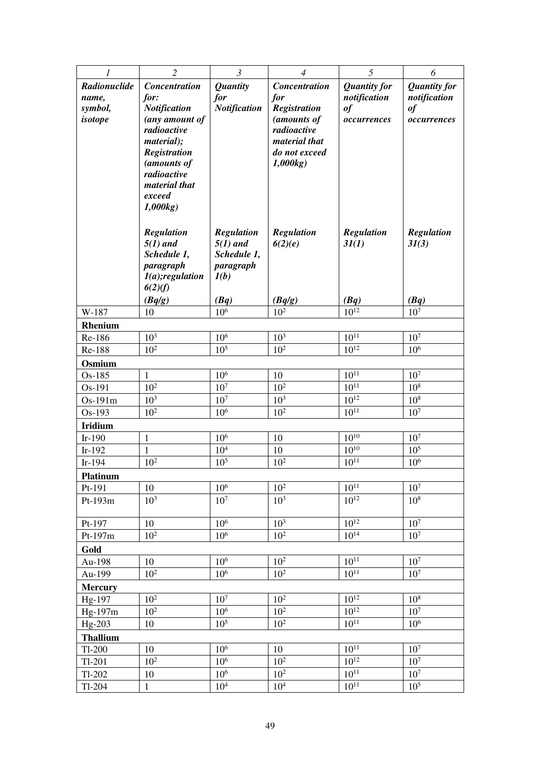| 1                 | $\overline{2}$                     | $\mathfrak{Z}$      | $\overline{4}$           | 5                      | 6                   |
|-------------------|------------------------------------|---------------------|--------------------------|------------------------|---------------------|
| Radionuclide      | <b>Concentration</b>               | <b>Quantity</b>     | <b>Concentration</b>     | <b>Quantity for</b>    | <b>Quantity for</b> |
| name,             | for:                               | for                 | for                      | notification           | notification        |
| symbol,           | <b>Notification</b>                | <b>Notification</b> | Registration             | of                     | $\it of$            |
| isotope           | (any amount of                     |                     | (amounts of              | occurrences            | occurrences         |
|                   | radioactive                        |                     | radioactive              |                        |                     |
|                   | material);                         |                     | material that            |                        |                     |
|                   | <b>Registration</b><br>(amounts of |                     | do not exceed<br>1,000kg |                        |                     |
|                   | radioactive                        |                     |                          |                        |                     |
|                   | material that                      |                     |                          |                        |                     |
|                   | exceed                             |                     |                          |                        |                     |
|                   | 1,000kg                            |                     |                          |                        |                     |
|                   |                                    |                     |                          |                        |                     |
|                   | <b>Regulation</b>                  | <b>Regulation</b>   | <b>Regulation</b>        | <b>Regulation</b>      | <b>Regulation</b>   |
|                   | $5(1)$ and                         | $5(1)$ and          | 6(2)(e)                  | 3I(1)                  | 3I(3)               |
|                   | Schedule 1,                        | Schedule 1,         |                          |                        |                     |
|                   | paragraph                          | paragraph           |                          |                        |                     |
|                   | $I(a);$ regulation<br>6(2)(f)      | I(b)                |                          |                        |                     |
|                   | (Bq/g)                             | (Bq)                | (Bq/g)                   | (Bq)                   | (Bq)                |
| W-187             | 10                                 | 10 <sup>6</sup>     | 10 <sup>2</sup>          | $10^{12}$              | $10^7$              |
| Rhenium           |                                    |                     |                          |                        |                     |
| Re-186            | 10 <sup>3</sup>                    | 10 <sup>6</sup>     | $10^{3}$                 | $10^{11}$              | 10 <sup>7</sup>     |
| Re-188            | $10^{2}$                           | 10 <sup>5</sup>     | $10^{2}$                 | $10^{12}$              | $10^{6}$            |
| Osmium            |                                    |                     |                          |                        |                     |
| Os-185            | $\mathbf{1}$                       | $10^{6}$            | 10                       | $10^{11}$              | 10 <sup>7</sup>     |
| Os-191            | $10^{2}$                           | 10 <sup>7</sup>     | $10^{2}$                 | $10^{11}$              | 10 <sup>8</sup>     |
| Os-191m           | $10^{3}$                           | $107$               | $10^{3}$                 | $10^{12}$              | 10 <sup>8</sup>     |
| Os-193            | $10^{2}$                           | 10 <sup>6</sup>     | 10 <sup>2</sup>          | $10^{11}$              | 10 <sup>7</sup>     |
| <b>Iridium</b>    |                                    |                     |                          |                        |                     |
| $Ir-190$          | $\mathbf{1}$                       | 10 <sup>6</sup>     | 10                       | $10^{10}$<br>$10^{10}$ | 10 <sup>7</sup>     |
| $Ir-192$          | $\mathbf{1}$                       | 10 <sup>4</sup>     | 10                       |                        | 10 <sup>5</sup>     |
| $Ir-194$          | $10^{2}$                           | 10 <sup>5</sup>     | $10^{2}$                 | $10^{11}$              | 10 <sup>6</sup>     |
| Platinum          | 10                                 | 10 <sup>6</sup>     | $10^{2}$                 | $10^{11}$              | 10 <sup>7</sup>     |
| Pt-191<br>Pt-193m | 10 <sup>3</sup>                    | 10 <sup>7</sup>     | 10 <sup>3</sup>          | $10^{12}$              | 10 <sup>8</sup>     |
|                   |                                    |                     |                          |                        |                     |
| Pt-197            | 10                                 | 10 <sup>6</sup>     | 10 <sup>3</sup>          | $10^{12}$              | 10 <sup>7</sup>     |
| Pt-197m           | $10^{2}$                           | 10 <sup>6</sup>     | $10^{2}$                 | $10^{14}$              | 10 <sup>7</sup>     |
| Gold              |                                    |                     |                          |                        |                     |
| Au-198            | 10                                 | 10 <sup>6</sup>     | $10^{2}$                 | $10^{11}$              | 10 <sup>7</sup>     |
| Au-199            | $10^2$                             | 10 <sup>6</sup>     | 10 <sup>2</sup>          | $10^{11}$              | 10 <sup>7</sup>     |
| <b>Mercury</b>    |                                    |                     |                          |                        |                     |
| Hg-197            | $10^{2}$                           | 10 <sup>7</sup>     | $10^{2}$                 | $10^{12}$              | 10 <sup>8</sup>     |
| Hg-197m           | $10^{2}$                           | 10 <sup>6</sup>     | 10 <sup>2</sup>          | $10^{12}$              | 10 <sup>7</sup>     |
| Hg-203            | 10                                 | 10 <sup>5</sup>     | 10 <sup>2</sup>          | $10^{11}$              | 10 <sup>6</sup>     |
| <b>Thallium</b>   |                                    |                     |                          |                        |                     |
| Tl-200            | 10                                 | 10 <sup>6</sup>     | 10                       | $10^{11}$              | 10 <sup>7</sup>     |
| $Tl-201$          | 10 <sup>2</sup>                    | 10 <sup>6</sup>     | 10 <sup>2</sup>          | $10^{12}$              | $10^7$              |
| $Tl-202$          | 10                                 | $10^{6}$            | $10^{2}$                 | $10^{11}$              | 10 <sup>7</sup>     |
| Tl-204            | $\mathbf{1}$                       | 10 <sup>4</sup>     | 10 <sup>4</sup>          | $10^{11}$              | 10 <sup>5</sup>     |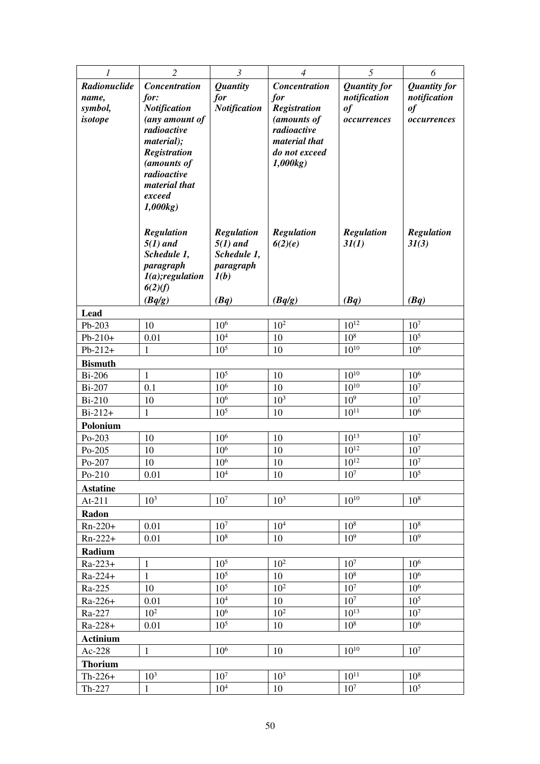| 1                            | $\overline{2}$                | $\mathfrak{Z}$      | $\overline{4}$             | 5                   | 6                   |
|------------------------------|-------------------------------|---------------------|----------------------------|---------------------|---------------------|
| Radionuclide                 | <b>Concentration</b>          | <b>Quantity</b>     | <b>Concentration</b>       | <b>Quantity for</b> | <b>Quantity for</b> |
| name,                        | for:                          | for                 | for                        | notification        | notification        |
| symbol,                      | <b>Notification</b>           | <b>Notification</b> | Registration               | of                  | $\it of$            |
| isotope                      | (any amount of<br>radioactive |                     | (amounts of<br>radioactive | occurrences         | occurrences         |
|                              | material);                    |                     | material that              |                     |                     |
|                              | <b>Registration</b>           |                     | do not exceed              |                     |                     |
|                              | (amounts of                   |                     | 1,000kg                    |                     |                     |
|                              | radioactive                   |                     |                            |                     |                     |
|                              | material that                 |                     |                            |                     |                     |
|                              | exceed<br>1,000kg             |                     |                            |                     |                     |
|                              |                               |                     |                            |                     |                     |
|                              | <b>Regulation</b>             | <b>Regulation</b>   | <b>Regulation</b>          | <b>Regulation</b>   | <b>Regulation</b>   |
|                              | $5(1)$ and                    | $5(1)$ and          | 6(2)(e)                    | 3I(1)               | 3I(3)               |
|                              | Schedule 1,                   | Schedule 1,         |                            |                     |                     |
|                              | paragraph                     | paragraph           |                            |                     |                     |
|                              | $I(a);$ regulation            | I(b)                |                            |                     |                     |
|                              | 6(2)(f)<br>(Bq/g)             | (Bq)                |                            | (Bq)                | (Bq)                |
| Lead                         |                               |                     | (Bq/g)                     |                     |                     |
| Pb-203                       | 10                            | 10 <sup>6</sup>     | $10^{2}$                   | $10^{12}$           | 10 <sup>7</sup>     |
| $Pb-210+$                    | 0.01                          | $10^{4}$            | 10                         | 10 <sup>8</sup>     | $10^{5}$            |
| $Pb-212+$                    | 1                             | 10 <sup>5</sup>     | 10                         | $10^{10}$           | $10^{6}$            |
| <b>Bismuth</b>               |                               |                     |                            |                     |                     |
| <b>Bi-206</b>                | $\mathbf{1}$                  | 10 <sup>5</sup>     | 10                         | $10^{10}$           | $10^{6}$            |
| <b>Bi-207</b>                | 0.1                           | 10 <sup>6</sup>     | 10                         | $10^{10}$           | 10 <sup>7</sup>     |
| <b>Bi-210</b>                | 10                            | 10 <sup>6</sup>     | $10^{3}$                   | 10 <sup>9</sup>     | 10 <sup>7</sup>     |
| $Bi-212+$                    | 1                             | 10 <sup>5</sup>     | 10                         | $10^{11}$           | $10^{6}$            |
| Polonium                     |                               |                     |                            |                     |                     |
| Po-203                       | 10                            | 10 <sup>6</sup>     | 10                         | $10^{13}$           | 10 <sup>7</sup>     |
| Po-205                       | 10                            | 10 <sup>6</sup>     | 10                         | $10^{12}$           | 10 <sup>7</sup>     |
| Po-207                       | 10                            | $10^{6}$            | 10                         | $10^{12}$           | 10 <sup>7</sup>     |
| $Po-210$                     | 0.01                          | $10^{4}$            | 10                         | $10^{7}$            | $10^{5}$            |
| <b>Astatine</b><br>At- $211$ | 10 <sup>3</sup>               | $10^7$              | 10 <sup>3</sup>            | $10^{10}$           | 10 <sup>8</sup>     |
| Radon                        |                               |                     |                            |                     |                     |
| $Rn-220+$                    | 0.01                          | 10 <sup>7</sup>     | 10 <sup>4</sup>            | 10 <sup>8</sup>     | 10 <sup>8</sup>     |
| $Rn-222+$                    | 0.01                          | 10 <sup>8</sup>     | 10                         | 10 <sup>9</sup>     | 10 <sup>9</sup>     |
| Radium                       |                               |                     |                            |                     |                     |
| $Ra - 223 +$                 | $\mathbf{1}$                  | 10 <sup>5</sup>     | $10^{2}$                   | 10 <sup>7</sup>     | 10 <sup>6</sup>     |
| Ra-224+                      | $\mathbf{1}$                  | 10 <sup>5</sup>     | 10                         | 10 <sup>8</sup>     | $10^{6}$            |
| Ra-225                       | 10                            | 10 <sup>5</sup>     | 10 <sup>2</sup>            | 10 <sup>7</sup>     | 10 <sup>6</sup>     |
| $Ra - 226 +$                 | 0.01                          | 10 <sup>4</sup>     | 10                         | 10 <sup>7</sup>     | $10^5$              |
| Ra-227                       | 10 <sup>2</sup>               | 10 <sup>6</sup>     | 10 <sup>2</sup>            | $10^{13}$           | 10 <sup>7</sup>     |
| $Ra - 228 +$                 | 0.01                          | 10 <sup>5</sup>     | 10                         | 10 <sup>8</sup>     | 10 <sup>6</sup>     |
| <b>Actinium</b>              |                               |                     |                            |                     |                     |
| Ac-228                       | $\mathbf{1}$                  | 10 <sup>6</sup>     | 10                         | $10^{10}$           | 10 <sup>7</sup>     |
| <b>Thorium</b>               |                               |                     |                            |                     |                     |
| $Th-226+$                    | $10^{3}$                      | 10 <sup>7</sup>     | 10 <sup>3</sup>            | $10^{11}$           | 10 <sup>8</sup>     |
| Th-227                       | $\mathbf{1}$                  | 10 <sup>4</sup>     | 10                         | 10 <sup>7</sup>     | 10 <sup>5</sup>     |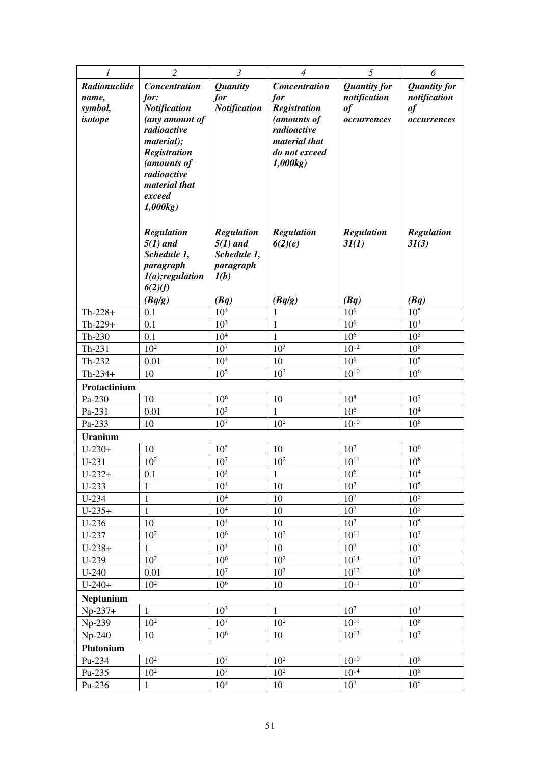| 1                  | $\overline{2}$            | $\mathfrak{Z}$                     | $\overline{4}$               | 5                        | 6                                  |
|--------------------|---------------------------|------------------------------------|------------------------------|--------------------------|------------------------------------|
| Radionuclide       | <b>Concentration</b>      | <b>Quantity</b>                    | <b>Concentration</b>         | <b>Quantity for</b>      | <b>Quantity</b> for                |
| name,              | for:                      | for                                | for                          | notification             | notification                       |
| symbol,            | <b>Notification</b>       | <b>Notification</b>                | <b>Registration</b>          | of                       | of                                 |
| isotope            | (any amount of            |                                    | (amounts of                  | occurrences              | occurrences                        |
|                    | radioactive<br>material); |                                    | radioactive<br>material that |                          |                                    |
|                    | <b>Registration</b>       |                                    | do not exceed                |                          |                                    |
|                    | (amounts of               |                                    | 1,000kg                      |                          |                                    |
|                    | radioactive               |                                    |                              |                          |                                    |
|                    | material that             |                                    |                              |                          |                                    |
|                    | exceed                    |                                    |                              |                          |                                    |
|                    | 1,000kg                   |                                    |                              |                          |                                    |
|                    | <b>Regulation</b>         | <b>Regulation</b>                  | Regulation                   | Regulation               | <b>Regulation</b>                  |
|                    | $5(1)$ and                | $5(1)$ and                         | 6(2)(e)                      | 3I(1)                    | 31(3)                              |
|                    | Schedule 1,               | Schedule 1,                        |                              |                          |                                    |
|                    | paragraph                 | paragraph                          |                              |                          |                                    |
|                    | $I(a);$ regulation        | I(b)                               |                              |                          |                                    |
|                    | 6(2)(f)                   |                                    |                              |                          |                                    |
| $Th-228+$          | (Bq/g)<br>0.1             | (Bq)<br>10 <sup>4</sup>            | (Bq/g)<br>1                  | (Bq)<br>10 <sup>6</sup>  | (Bq)<br>$10^{5}$                   |
| $Th-229+$          | 0.1                       | 10 <sup>3</sup>                    | $\mathbf{1}$                 | 10 <sup>6</sup>          | 10 <sup>4</sup>                    |
| Th-230             | 0.1                       | 10 <sup>4</sup>                    | $\mathbf{1}$                 | 10 <sup>6</sup>          | $10^{5}$                           |
| $Th-231$           | $10^{2}$                  | 10 <sup>7</sup>                    | 10 <sup>3</sup>              | $10^{12}$                | $10^{8}$                           |
| Th-232             | 0.01                      | 10 <sup>4</sup>                    | 10                           | 10 <sup>6</sup>          | 10 <sup>5</sup>                    |
| $Th-234+$          | 10                        | 10 <sup>5</sup>                    | 10 <sup>3</sup>              | $10^{10}$                | 10 <sup>6</sup>                    |
| Protactinium       |                           |                                    |                              |                          |                                    |
| Pa-230             | 10                        | 10 <sup>6</sup>                    | 10                           | 10 <sup>8</sup>          | $10^7$                             |
| Pa-231             | 0.01                      | 10 <sup>3</sup>                    | $\mathbf{1}$                 | 10 <sup>6</sup>          | 10 <sup>4</sup>                    |
| Pa-233             | 10                        | 10 <sup>7</sup>                    | 10 <sup>2</sup>              | $10^{10}$                | 10 <sup>8</sup>                    |
| <b>Uranium</b>     |                           |                                    |                              |                          |                                    |
| $U-230+$           | 10                        | 10 <sup>5</sup>                    | 10                           | 10 <sup>7</sup>          | $10^{6}$                           |
| $U-231$            | $10^{2}$                  | $107$                              | 10 <sup>2</sup>              | $10^{11}$                | $10^{8}$                           |
| $U-232+$           | 0.1                       | 10 <sup>3</sup>                    | $\mathbf{I}$                 | $10^6\,$                 | 10 <sup>4</sup>                    |
| $U-233$            | $\mathbf{1}$              | 10 <sup>4</sup>                    | 10                           | $10^{7}$                 | 10 <sup>5</sup>                    |
| $U-234$            | 1                         | 10 <sup>4</sup>                    | 10                           | 10 <sup>7</sup>          | 10 <sup>5</sup>                    |
| $U-235+$           | $\mathbf{1}$              | 10 <sup>4</sup>                    | 10                           | 10 <sup>7</sup><br>$107$ | 10 <sup>5</sup><br>10 <sup>5</sup> |
| $U-236$<br>$U-237$ | 10<br>$10^{2}$            | 10 <sup>4</sup><br>10 <sup>6</sup> | 10<br>$10^{2}$               | $10^{11}$                | 10 <sup>7</sup>                    |
| $U-238+$           | $\mathbf{1}$              | 10 <sup>4</sup>                    | 10                           | 10 <sup>7</sup>          | 10 <sup>5</sup>                    |
| U-239              | $10^2$                    | $10^{6}$                           | $10^2\,$                     | $10^{14}\,$              | 10 <sup>7</sup>                    |
| $U-240$            | 0.01                      | 10 <sup>7</sup>                    | 10 <sup>3</sup>              | $10^{12}$                | $10^{8}$                           |
| $U-240+$           | 10 <sup>2</sup>           | 10 <sup>6</sup>                    | 10                           | $10^{11}$                | 10 <sup>7</sup>                    |
| Neptunium          |                           |                                    |                              |                          |                                    |
| $Np-237+$          | $\mathbf{1}$              | 10 <sup>3</sup>                    | $\mathbf{1}$                 | 10 <sup>7</sup>          | 10 <sup>4</sup>                    |
| Np-239             | 10 <sup>2</sup>           | 10 <sup>7</sup>                    | $10^{2}$                     | $10^{11}$                | 10 <sup>8</sup>                    |
| $Np-240$           | 10                        | 10 <sup>6</sup>                    | 10                           | $10^{13}$                | 10 <sup>7</sup>                    |
| Plutonium          |                           |                                    |                              |                          |                                    |
| Pu-234             | $10^{2}$                  | 10 <sup>7</sup>                    | $10^{2}$                     | $10^{10}$                | 10 <sup>8</sup>                    |
| Pu-235             | $10^{2}$                  | 10 <sup>7</sup>                    | $10^{2}$                     | $10^{14}$                | 10 <sup>8</sup>                    |
| Pu-236             | $\mathbf{1}$              | $10^{4}$                           | 10                           | 10 <sup>7</sup>          | 10 <sup>5</sup>                    |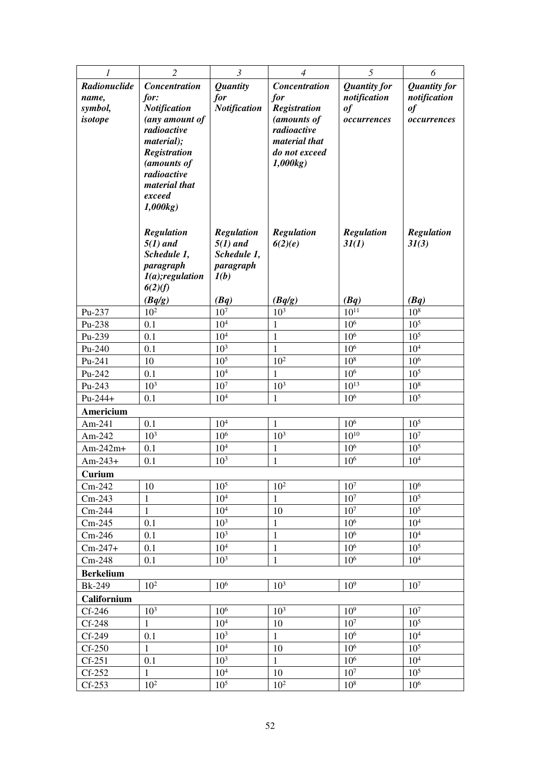| 1                       | $\overline{2}$                     | $\mathfrak{Z}$          | $\overline{4}$           | 5                   | 6                   |
|-------------------------|------------------------------------|-------------------------|--------------------------|---------------------|---------------------|
| Radionuclide            | <b>Concentration</b>               | <b>Quantity</b>         | <b>Concentration</b>     | <b>Quantity for</b> | <b>Quantity for</b> |
| name,                   | for:                               | for                     | for                      | notification        | notification        |
| symbol,                 | <b>Notification</b>                | <b>Notification</b>     | <b>Registration</b>      | of                  | of                  |
| isotope                 | (any amount of                     |                         | (amounts of              | occurrences         | occurrences         |
|                         | radioactive                        |                         | radioactive              |                     |                     |
|                         | material);                         |                         | material that            |                     |                     |
|                         | <b>Registration</b><br>(amounts of |                         | do not exceed<br>1,000kg |                     |                     |
|                         | radioactive                        |                         |                          |                     |                     |
|                         | material that                      |                         |                          |                     |                     |
|                         | exceed                             |                         |                          |                     |                     |
|                         | 1,000kg                            |                         |                          |                     |                     |
|                         |                                    |                         |                          |                     |                     |
|                         | <b>Regulation</b>                  | <b>Regulation</b>       | <b>Regulation</b>        | <b>Regulation</b>   | <b>Regulation</b>   |
|                         | $5(1)$ and                         | $5(1)$ and              | 6(2)(e)                  | 3I(1)               | 31(3)               |
|                         | Schedule 1,                        | Schedule 1,             |                          |                     |                     |
|                         | paragraph                          | paragraph               |                          |                     |                     |
|                         | $I(a);$ regulation                 | I(b)                    |                          |                     |                     |
|                         | 6(2)(f)                            |                         |                          | (Bq)                | (Bq)                |
| Pu-237                  | (Bq/g)<br>$10^{2}$                 | (Bq)<br>10 <sup>7</sup> | (Bq/g)<br>$10^{3}$       | $10^{11}$           | $10^{8}$            |
| Pu-238                  | 0.1                                | 10 <sup>4</sup>         | $\mathbf{1}$             | 10 <sup>6</sup>     | 10 <sup>5</sup>     |
| Pu-239                  | 0.1                                | 10 <sup>4</sup>         | $\mathbf{1}$             | 10 <sup>6</sup>     | $10^{5}$            |
| Pu-240                  | 0.1                                | 10 <sup>3</sup>         | $\mathbf{1}$             | 10 <sup>6</sup>     | 10 <sup>4</sup>     |
| Pu-241                  | 10                                 | 10 <sup>5</sup>         | $10^{2}$                 | 10 <sup>8</sup>     | 10 <sup>6</sup>     |
| Pu-242                  | 0.1                                | 10 <sup>4</sup>         | $\mathbf{1}$             | 10 <sup>6</sup>     | 10 <sup>5</sup>     |
| Pu-243                  | 10 <sup>3</sup>                    | $107$                   | 10 <sup>3</sup>          | $10^{13}$           | 10 <sup>8</sup>     |
| $Pu-244+$               | 0.1                                | $10^{4}$                | $\mathbf{1}$             | 10 <sup>6</sup>     | $10^{5}$            |
| Americium               |                                    |                         |                          |                     |                     |
| Am-241                  | 0.1                                | 10 <sup>4</sup>         | $\mathbf{1}$             | 10 <sup>6</sup>     | $10^5$              |
| Am-242                  | $10^{3}$                           | 10 <sup>6</sup>         | 10 <sup>3</sup>          | $10^{10}$           | 10 <sup>7</sup>     |
| $Am-242m+$              | 0.1                                | 10 <sup>4</sup>         | $\mathbf{1}$             | 10 <sup>6</sup>     | $10^{5}$            |
| $Am-243+$               | 0.1                                | 10 <sup>3</sup>         | $\mathbf{1}$             | 10 <sup>6</sup>     | 10 <sup>4</sup>     |
| Curium                  |                                    |                         |                          |                     |                     |
| $Cm-242$                | 10                                 | $10^{5}$                | 10 <sup>2</sup>          | 10 <sup>7</sup>     | 10 <sup>6</sup>     |
| $Cm-243$                | $\mathbf{1}$                       | $10^{4}$                | $\mathbf{1}$             | 10 <sup>7</sup>     | 10 <sup>5</sup>     |
| $Cm-244$                | $\mathbf{1}$                       | 10 <sup>4</sup>         | 10                       | 10 <sup>7</sup>     | 10 <sup>5</sup>     |
| $Cm-245$                | 0.1                                | 10 <sup>3</sup>         | $\mathbf{1}$             | 10 <sup>6</sup>     | 10 <sup>4</sup>     |
| $Cm-246$                | 0.1                                | 10 <sup>3</sup>         | $\mathbf{1}$             | 10 <sup>6</sup>     | $10^4\,$            |
| $Cm-247+$               | 0.1                                | 10 <sup>4</sup>         | $\mathbf{1}$             | 10 <sup>6</sup>     | 10 <sup>5</sup>     |
| $Cm-248$                | 0.1                                | 10 <sup>3</sup>         | $\,1\,$                  | 10 <sup>6</sup>     | 10 <sup>4</sup>     |
| <b>Berkelium</b>        |                                    |                         |                          |                     |                     |
| <b>Bk-249</b>           | $10^{2}$                           | $10^{6}$                | 10 <sup>3</sup>          | 10 <sup>9</sup>     | 10 <sup>7</sup>     |
| Californium<br>$Cf-246$ | $10^{3}$                           | 10 <sup>6</sup>         | $10^{3}$                 | 10 <sup>9</sup>     | 10 <sup>7</sup>     |
| $Cf-248$                | $\mathbf{1}$                       | 10 <sup>4</sup>         | 10                       | 10 <sup>7</sup>     | 10 <sup>5</sup>     |
| Cf-249                  | 0.1                                | 10 <sup>3</sup>         | $\mathbf{1}$             | 10 <sup>6</sup>     | $10^4\,$            |
| $Cf-250$                | $\mathbf{1}$                       | 10 <sup>4</sup>         | 10                       | 10 <sup>6</sup>     | 10 <sup>5</sup>     |
| $Cf-251$                | 0.1                                | $10^{3}$                | $\mathbf{1}$             | 10 <sup>6</sup>     | 10 <sup>4</sup>     |
| $Cf-252$                | $\mathbf{1}$                       | 10 <sup>4</sup>         | 10                       | 10 <sup>7</sup>     | 10 <sup>5</sup>     |
| $Cf-253$                | $10^{2}$                           | 10 <sup>5</sup>         | $10^{2}$                 | 10 <sup>8</sup>     | $10^{6}$            |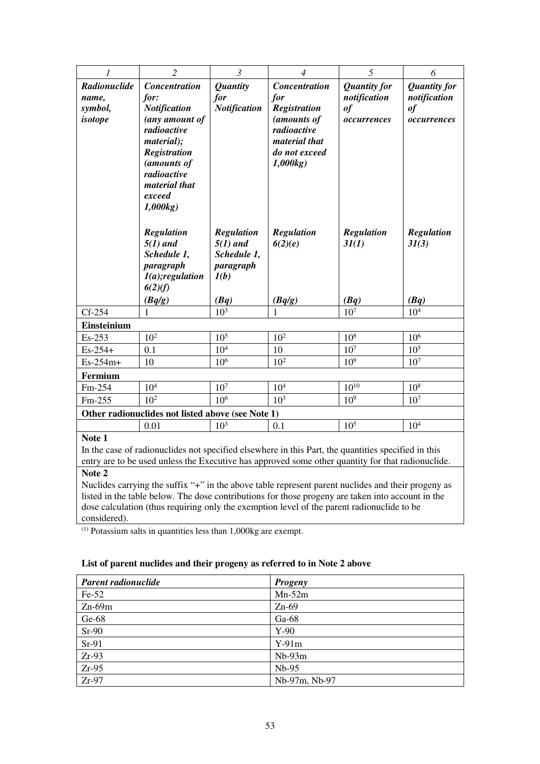| 1                                                                                                                                                                                                                            | $\overline{2}$                                                                                                                                                                                | $\mathfrak{Z}$                                                              | $\overline{4}$                                                                                                                | 5                                                        | 6                                                              |  |
|------------------------------------------------------------------------------------------------------------------------------------------------------------------------------------------------------------------------------|-----------------------------------------------------------------------------------------------------------------------------------------------------------------------------------------------|-----------------------------------------------------------------------------|-------------------------------------------------------------------------------------------------------------------------------|----------------------------------------------------------|----------------------------------------------------------------|--|
| Radionuclide<br>name,<br>symbol,<br>isotope                                                                                                                                                                                  | <b>Concentration</b><br>for:<br><b>Notification</b><br>(any amount of<br>radioactive<br>material);<br><b>Registration</b><br>(amounts of<br>radioactive<br>material that<br>exceed<br>1,000kg | <b>Quantity</b><br>for<br><b>Notification</b>                               | <b>Concentration</b><br>for<br><b>Registration</b><br>(amounts of<br>radioactive<br>material that<br>do not exceed<br>1,000kg | <b>Quantity for</b><br>notification<br>of<br>occurrences | <b>Quantity for</b><br>notification<br>$\it of$<br>occurrences |  |
|                                                                                                                                                                                                                              | Regulation<br>$5(1)$ and<br>Schedule 1,<br>paragraph<br>$I(a);$ regulation<br>6(2)(f)<br>(Bq/g)                                                                                               | <b>Regulation</b><br>$5(1)$ and<br>Schedule 1,<br>paragraph<br>I(b)<br>(Bq) | <b>Regulation</b><br>6(2)(e)<br>(Bq/g)                                                                                        | <b>Regulation</b><br>3I(1)<br>(Bq)                       | <b>Regulation</b><br>3I(3)<br>(Bq)                             |  |
| $Cf-254$                                                                                                                                                                                                                     | $\mathbf{1}$                                                                                                                                                                                  | 10 <sup>3</sup>                                                             | 1                                                                                                                             | 10 <sup>7</sup>                                          | 10 <sup>4</sup>                                                |  |
| Einsteinium                                                                                                                                                                                                                  |                                                                                                                                                                                               |                                                                             |                                                                                                                               |                                                          |                                                                |  |
| Es-253                                                                                                                                                                                                                       | 10 <sup>2</sup>                                                                                                                                                                               | 10 <sup>5</sup>                                                             | 10 <sup>2</sup>                                                                                                               | 10 <sup>8</sup>                                          | 10 <sup>6</sup>                                                |  |
| $Es-254+$                                                                                                                                                                                                                    | 0.1                                                                                                                                                                                           | 10 <sup>4</sup>                                                             | 10                                                                                                                            | 10 <sup>7</sup>                                          | 10 <sup>5</sup>                                                |  |
| Es-254m+                                                                                                                                                                                                                     | 10                                                                                                                                                                                            | 10 <sup>6</sup>                                                             | 10 <sup>2</sup>                                                                                                               | 10 <sup>9</sup>                                          | 10 <sup>7</sup>                                                |  |
| Fermium                                                                                                                                                                                                                      |                                                                                                                                                                                               |                                                                             |                                                                                                                               |                                                          |                                                                |  |
| Fm-254                                                                                                                                                                                                                       | 10 <sup>4</sup>                                                                                                                                                                               | 10 <sup>7</sup>                                                             | 10 <sup>4</sup>                                                                                                               | $10^{10}$                                                | $10^{8}$                                                       |  |
| Fm-255                                                                                                                                                                                                                       | $10^{2}$                                                                                                                                                                                      | 10 <sup>6</sup>                                                             | 10 <sup>3</sup>                                                                                                               | 10 <sup>9</sup>                                          | 10 <sup>7</sup>                                                |  |
| Other radionuclides not listed above (see Note 1)                                                                                                                                                                            |                                                                                                                                                                                               |                                                                             |                                                                                                                               |                                                          |                                                                |  |
|                                                                                                                                                                                                                              | 0.01                                                                                                                                                                                          | 10 <sup>3</sup>                                                             | 0.1                                                                                                                           | 10 <sup>5</sup>                                          | 10 <sup>4</sup>                                                |  |
| Note 1<br>In the case of radionuclides not specified elsewhere in this Part, the quantities specified in this<br>entry are to be used unless the Executive has approved some other quantity for that radionuclide.<br>Note 2 |                                                                                                                                                                                               |                                                                             |                                                                                                                               |                                                          |                                                                |  |
|                                                                                                                                                                                                                              | Nuclides carrying the suffix " $\pm$ " in the above table represent parent nuclides and their progeny as                                                                                      |                                                                             |                                                                                                                               |                                                          |                                                                |  |

Nuclides carrying the suffix "+" in the above table represent parent nuclides and their progeny as listed in the table below. The dose contributions for those progeny are taken into account in the dose calculation (thus requiring only the exemption level of the parent radionuclide to be considered).

 $(1)$  Potassium salts in quantities less than 1,000kg are exempt.

# **List of parent nuclides and their progeny as referred to in Note 2 above**

| Parent radionuclide | <b>Progeny</b> |
|---------------------|----------------|
| $Fe-52$             | $Mn-52m$       |
| $Zn-69m$            | $Zn-69$        |
| $Ge-68$             | Ga-68          |
| $Sr-90$             | $Y-90$         |
| $Sr-91$             | $Y-91m$        |
| $Zr-93$             | $Nb-93m$       |
| $Zr-95$             | $Nb-95$        |
| $Zr-97$             | Nb-97m, Nb-97  |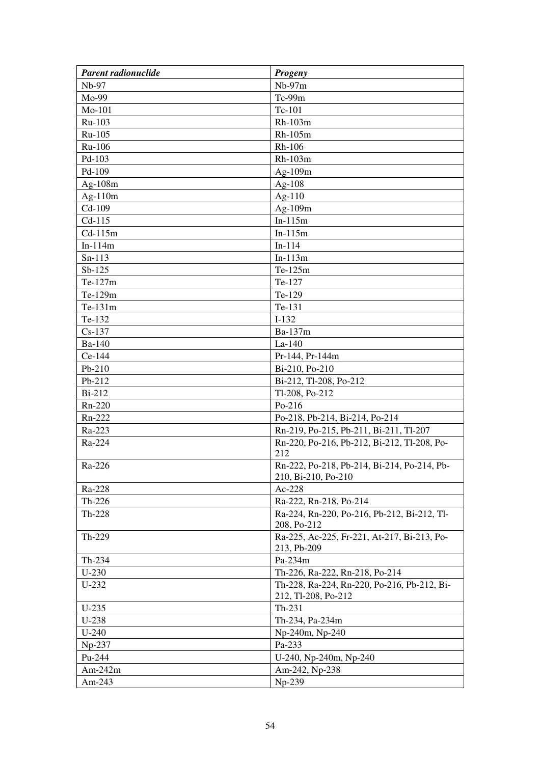| Parent radionuclide | <b>Progeny</b>                                                     |
|---------------------|--------------------------------------------------------------------|
| Nb-97               | $Nb-97m$                                                           |
| Mo-99               | Tc-99m                                                             |
| Mo-101              | Tc-101                                                             |
| Ru-103              | Rh-103m                                                            |
| Ru-105              | Rh-105m                                                            |
| Ru-106              | Rh-106                                                             |
| Pd-103              | Rh-103m                                                            |
| Pd-109              | $Ag-109m$                                                          |
| Ag-108m             | Ag- $108$                                                          |
| Ag- $110m$          | Ag- $110$                                                          |
| $Cd-109$            | Ag-109m                                                            |
| $Cd-115$            | $In-115m$                                                          |
| $Cd-115m$           | $In-115m$                                                          |
| $In-114m$           | $In-114$                                                           |
| $Sn-113$            | $In-113m$                                                          |
| $Sb-125$            | Te-125m                                                            |
| Te-127m             | Te-127                                                             |
| Te-129m             | Te-129                                                             |
| Te-131m             | Te-131                                                             |
| Te-132              | $I-132$                                                            |
| $Cs-137$            | Ba-137m                                                            |
| Ba-140              | La-140                                                             |
| Ce-144              | Pr-144, Pr-144m                                                    |
| Pb-210              | Bi-210, Po-210                                                     |
| Pb-212              | Bi-212, Tl-208, Po-212                                             |
| Bi-212              | Tl-208, Po-212                                                     |
| Rn-220              | Po-216                                                             |
| Rn-222              | Po-218, Pb-214, Bi-214, Po-214                                     |
| Ra-223              | Rn-219, Po-215, Pb-211, Bi-211, Tl-207                             |
| Ra-224              | Rn-220, Po-216, Pb-212, Bi-212, Tl-208, Po-<br>212                 |
| Ra-226              | Rn-222, Po-218, Pb-214, Bi-214, Po-214, Pb-<br>210, Bi-210, Po-210 |
| Ra-228              | Ac-228                                                             |
| $Th-226$            | Ra-222, Rn-218, Po-214                                             |
| Th-228              | Ra-224, Rn-220, Po-216, Pb-212, Bi-212, Tl-<br>208, Po-212         |
| Th-229              | Ra-225, Ac-225, Fr-221, At-217, Bi-213, Po-<br>213, Pb-209         |
| Th-234              | Pa-234m                                                            |
| $U-230$             | Th-226, Ra-222, Rn-218, Po-214                                     |
| $U-232$             | Th-228, Ra-224, Rn-220, Po-216, Pb-212, Bi-<br>212, Tl-208, Po-212 |
| $U-235$             | Th-231                                                             |
| $U-238$             | Th-234, Pa-234m                                                    |
| $U-240$             | Np-240m, Np-240                                                    |
| Np-237              | Pa-233                                                             |
| Pu-244              | U-240, Np-240m, Np-240                                             |
| Am- $242m$          | Am-242, Np-238                                                     |
| Am-243              | Np-239                                                             |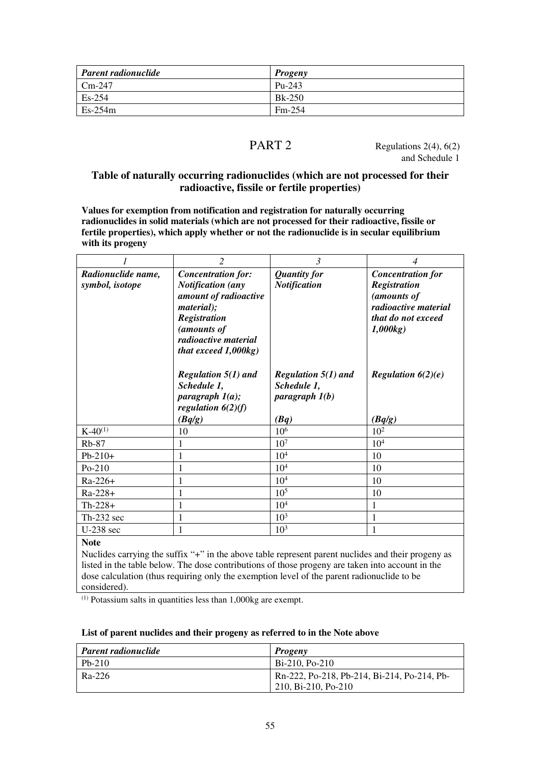| <b>Parent radionuclide</b> | <b>Progeny</b> |
|----------------------------|----------------|
| $Cm-247$                   | $Pu-243$       |
| $Es-254$                   | $Bk-250$       |
| $Es-254m$                  | $Fm-254$       |

PART 2 Regulations  $2(4)$ ,  $6(2)$ and Schedule 1

# **Table of naturally occurring radionuclides (which are not processed for their radioactive, fissile or fertile properties)**

**Values for exemption from notification and registration for naturally occurring radionuclides in solid materials (which are not processed for their radioactive, fissile or fertile properties), which apply whether or not the radionuclide is in secular equilibrium with its progeny** 

|                    | $\overline{2}$                      | 3                     | 4                        |
|--------------------|-------------------------------------|-----------------------|--------------------------|
| Radionuclide name, | <b>Concentration for:</b>           | <b>Quantity for</b>   | <b>Concentration for</b> |
| symbol, isotope    | <b>Notification</b> (any            | <b>Notification</b>   | Registration             |
|                    | amount of radioactive               |                       | (amounts of              |
|                    | <i>material</i> );                  |                       | radioactive material     |
|                    | Registration                        |                       | that do not exceed       |
|                    | (amounts of<br>radioactive material |                       | 1,000kg                  |
|                    | that exceed $1,000kg$ )             |                       |                          |
|                    |                                     |                       |                          |
|                    | Regulation $5(1)$ and               | Regulation $5(1)$ and | Regulation $6(2)(e)$     |
|                    | Schedule 1,                         | Schedule 1,           |                          |
|                    | paragraph $1(a)$ ;                  | paragraph $l(b)$      |                          |
|                    | regulation $6(2)(f)$                |                       |                          |
|                    | (Bq/g)                              | (Bq)                  | (Bq/g)                   |
| $K-40^{(1)}$       | 10                                  | 10 <sup>6</sup>       | $10^{2}$                 |
| $Rb-87$            | 1                                   | 10 <sup>7</sup>       | $10^{4}$                 |
| $Pb-210+$          | 1                                   | 10 <sup>4</sup>       | 10                       |
| Po-210             | 1                                   | 10 <sup>4</sup>       | 10                       |
| $Ra-226+$          | 1                                   | 10 <sup>4</sup>       | 10                       |
| Ra-228+            | 1                                   | $10^{5}$              | 10                       |
| $Th-228+$          | 1                                   | 10 <sup>4</sup>       | 1                        |
| $Th-232$ sec       | 1                                   | $10^{3}$              | 1                        |
| U-238 sec          | 1                                   | $10^{3}$              | $\mathbf{1}$             |
|                    |                                     |                       |                          |

Nuclides carrying the suffix "+" in the above table represent parent nuclides and their progeny as listed in the table below. The dose contributions of those progeny are taken into account in the dose calculation (thus requiring only the exemption level of the parent radionuclide to be considered).

 $(1)$  Potassium salts in quantities less than 1,000kg are exempt.

## **List of parent nuclides and their progeny as referred to in the Note above**

| <b>Parent radionuclide</b> | Progeny                                                              |
|----------------------------|----------------------------------------------------------------------|
| $Pb-210$                   | $Bi-210$ , Po-210                                                    |
| Ra-226                     | Rn-222, Po-218, Pb-214, Bi-214, Po-214, Pb-<br>$210, Bi-210, Po-210$ |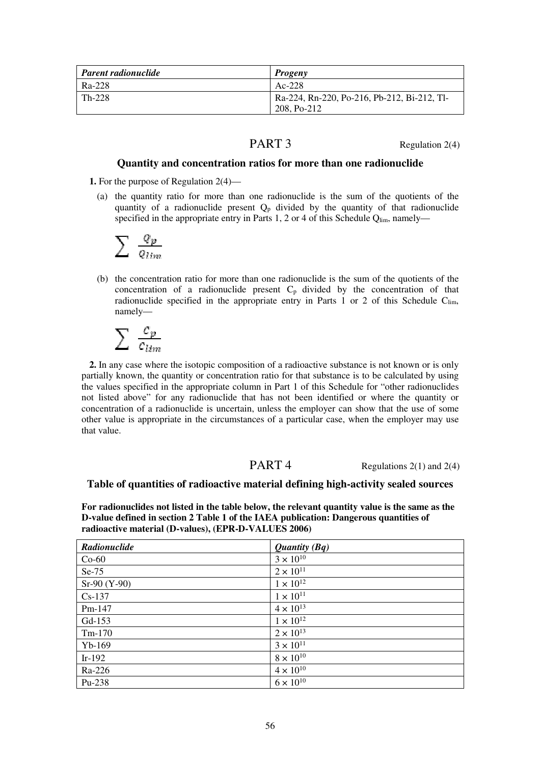| <b>Parent radionuclide</b> | <b>Progeny</b>                              |
|----------------------------|---------------------------------------------|
| Ra-228                     | $Ac-228$                                    |
| Th-228                     | Ra-224, Rn-220, Po-216, Pb-212, Bi-212, Tl- |
|                            | 208, Po-212                                 |

PART 3 Regulation 2(4)

## **Quantity and concentration ratios for more than one radionuclide**

**1.** For the purpose of Regulation 2(4)—

(a) the quantity ratio for more than one radionuclide is the sum of the quotients of the quantity of a radionuclide present  $Q_p$  divided by the quantity of that radionuclide specified in the appropriate entry in Parts 1, 2 or 4 of this Schedule  $Q_{\text{lim}}$ , namely—

$$
\sum\,\tfrac{\varrho_{p}}{\varrho_{lim}}
$$

(b) the concentration ratio for more than one radionuclide is the sum of the quotients of the concentration of a radionuclide present  $C_p$  divided by the concentration of that radionuclide specified in the appropriate entry in Parts 1 or 2 of this Schedule  $C_{lim}$ , namely—

$$
\sum\ {c_p\over c_{lim}}
$$

**2.** In any case where the isotopic composition of a radioactive substance is not known or is only partially known, the quantity or concentration ratio for that substance is to be calculated by using the values specified in the appropriate column in Part 1 of this Schedule for "other radionuclides not listed above" for any radionuclide that has not been identified or where the quantity or concentration of a radionuclide is uncertain, unless the employer can show that the use of some other value is appropriate in the circumstances of a particular case, when the employer may use that value.

PART 4 Regulations 2(1) and 2(4)

#### **Table of quantities of radioactive material defining high-activity sealed sources**

**For radionuclides not listed in the table below, the relevant quantity value is the same as the D-value defined in section 2 Table 1 of the IAEA publication: Dangerous quantities of radioactive material (D-values), (EPR-D-VALUES 2006)** 

| Radionuclide   | <i>Quantity</i> $(Bq)$ |
|----------------|------------------------|
| $Co-60$        | $3 \times 10^{10}$     |
| $Se-75$        | $2 \times 10^{11}$     |
| $Sr-90 (Y-90)$ | $1 \times 10^{12}$     |
| $Cs-137$       | $1 \times 10^{11}$     |
| Pm-147         | $4 \times 10^{13}$     |
| Gd-153         | $1 \times 10^{12}$     |
| $Tm-170$       | $2 \times 10^{13}$     |
| $Yb-169$       | $3 \times 10^{11}$     |
| $Ir-192$       | $8 \times 10^{10}$     |
| Ra-226         | $4 \times 10^{10}$     |
| Pu-238         | $6 \times 10^{10}$     |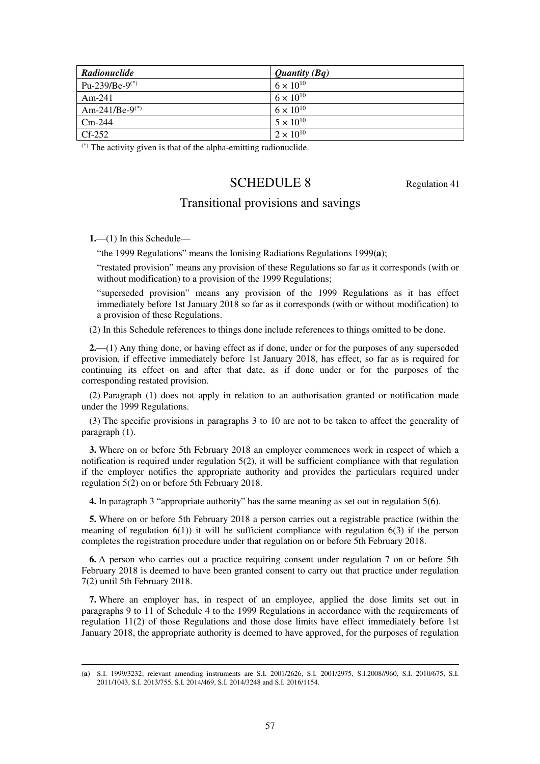| Radionuclide               | <i>Quantity</i> $(Bq)$ |
|----------------------------|------------------------|
| Pu-239/Be-9 <sup>(*)</sup> | $6 \times 10^{10}$     |
| $Am-241$                   | $6 \times 10^{10}$     |
| Am-241/Be-9(*)             | $6 \times 10^{10}$     |
| $Cm-244$                   | $5 \times 10^{10}$     |
| $Cf-252$                   | $2 \times 10^{10}$     |

 $(*)$  The activity given is that of the alpha-emitting radionuclide.

# SCHEDULE 8 Regulation 41

# Transitional provisions and savings

**1.**—(1) In this Schedule—

-

"the 1999 Regulations" means the Ionising Radiations Regulations 1999(**a**);

"restated provision" means any provision of these Regulations so far as it corresponds (with or without modification) to a provision of the 1999 Regulations;

"superseded provision" means any provision of the 1999 Regulations as it has effect immediately before 1st January 2018 so far as it corresponds (with or without modification) to a provision of these Regulations.

(2) In this Schedule references to things done include references to things omitted to be done.

**2.**—(1) Any thing done, or having effect as if done, under or for the purposes of any superseded provision, if effective immediately before 1st January 2018, has effect, so far as is required for continuing its effect on and after that date, as if done under or for the purposes of the corresponding restated provision.

(2) Paragraph (1) does not apply in relation to an authorisation granted or notification made under the 1999 Regulations.

(3) The specific provisions in paragraphs 3 to 10 are not to be taken to affect the generality of paragraph (1).

**3.** Where on or before 5th February 2018 an employer commences work in respect of which a notification is required under regulation  $5(2)$ , it will be sufficient compliance with that regulation if the employer notifies the appropriate authority and provides the particulars required under regulation 5(2) on or before 5th February 2018.

**4.** In paragraph 3 "appropriate authority" has the same meaning as set out in regulation 5(6).

**5.** Where on or before 5th February 2018 a person carries out a registrable practice (within the meaning of regulation  $6(1)$ ) it will be sufficient compliance with regulation  $6(3)$  if the person completes the registration procedure under that regulation on or before 5th February 2018.

**6.** A person who carries out a practice requiring consent under regulation 7 on or before 5th February 2018 is deemed to have been granted consent to carry out that practice under regulation 7(2) until 5th February 2018.

**7.** Where an employer has, in respect of an employee, applied the dose limits set out in paragraphs 9 to 11 of Schedule 4 to the 1999 Regulations in accordance with the requirements of regulation 11(2) of those Regulations and those dose limits have effect immediately before 1st January 2018, the appropriate authority is deemed to have approved, for the purposes of regulation

<sup>(</sup>**a**) S.I. 1999/3232; relevant amending instruments are S.I. 2001/2626, S.I. 2001/2975, S.I.2008//960, S.I. 2010/675, S.I. 2011/1043, S.I. 2013/755, S.I. 2014/469, S.I. 2014/3248 and S.I. 2016/1154.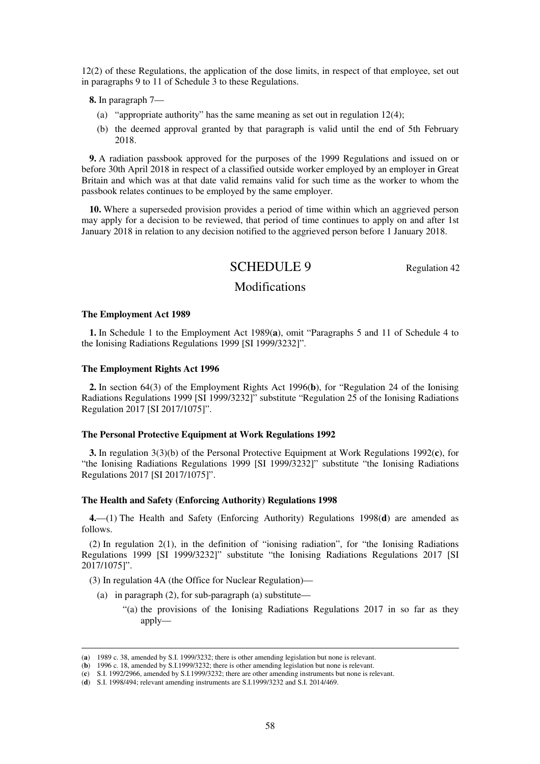12(2) of these Regulations, the application of the dose limits, in respect of that employee, set out in paragraphs 9 to 11 of Schedule 3 to these Regulations.

**8.** In paragraph 7—

- (a) "appropriate authority" has the same meaning as set out in regulation 12(4);
- (b) the deemed approval granted by that paragraph is valid until the end of 5th February 2018.

**9.** A radiation passbook approved for the purposes of the 1999 Regulations and issued on or before 30th April 2018 in respect of a classified outside worker employed by an employer in Great Britain and which was at that date valid remains valid for such time as the worker to whom the passbook relates continues to be employed by the same employer.

**10.** Where a superseded provision provides a period of time within which an aggrieved person may apply for a decision to be reviewed, that period of time continues to apply on and after 1st January 2018 in relation to any decision notified to the aggrieved person before 1 January 2018.

# SCHEDULE 9 Regulation 42

## Modifications

#### **The Employment Act 1989**

-

**1.** In Schedule 1 to the Employment Act 1989(**a**), omit "Paragraphs 5 and 11 of Schedule 4 to the Ionising Radiations Regulations 1999 [SI 1999/3232]".

#### **The Employment Rights Act 1996**

**2.** In section 64(3) of the Employment Rights Act 1996(**b**), for "Regulation 24 of the Ionising Radiations Regulations 1999 [SI 1999/3232]" substitute "Regulation 25 of the Ionising Radiations Regulation 2017 [SI 2017/1075]".

#### **The Personal Protective Equipment at Work Regulations 1992**

**3.** In regulation 3(3)(b) of the Personal Protective Equipment at Work Regulations 1992(**c**), for "the Ionising Radiations Regulations 1999 [SI 1999/3232]" substitute "the Ionising Radiations Regulations 2017 [SI 2017/1075]".

#### **The Health and Safety (Enforcing Authority) Regulations 1998**

**4.**—(1) The Health and Safety (Enforcing Authority) Regulations 1998(**d**) are amended as follows.

(2) In regulation 2(1), in the definition of "ionising radiation", for "the Ionising Radiations Regulations 1999 [SI 1999/3232]" substitute "the Ionising Radiations Regulations 2017 [SI 2017/1075]".

(3) In regulation 4A (the Office for Nuclear Regulation)—

- (a) in paragraph  $(2)$ , for sub-paragraph  $(a)$  substitute—
	- "(a) the provisions of the Ionising Radiations Regulations 2017 in so far as they apply—

<sup>(</sup>**a**) 1989 c. 38, amended by S.I. 1999/3232; there is other amending legislation but none is relevant.

<sup>(</sup>**b**) 1996 c. 18, amended by S.I.1999/3232; there is other amending legislation but none is relevant.

<sup>(</sup>**c**) S.I. 1992/2966, amended by S.I.1999/3232; there are other amending instruments but none is relevant.

<sup>(</sup>**d**) S.I. 1998/494; relevant amending instruments are S.I.1999/3232 and S.I. 2014/469.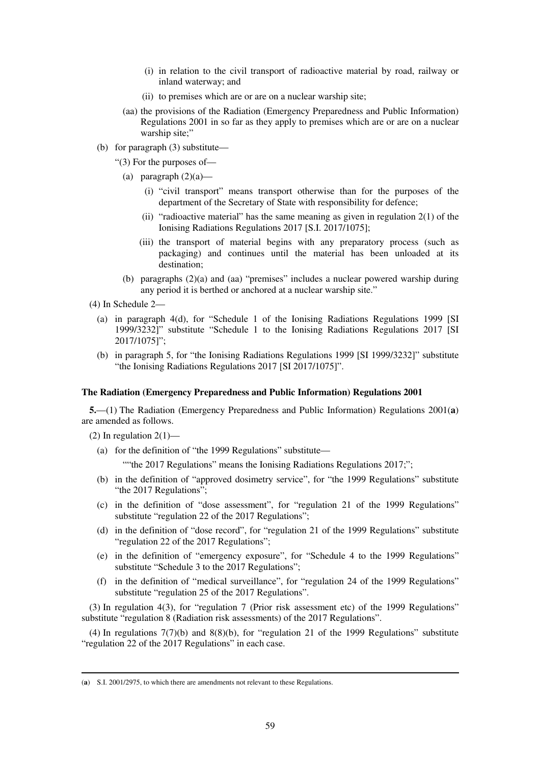- (i) in relation to the civil transport of radioactive material by road, railway or inland waterway; and
- (ii) to premises which are or are on a nuclear warship site;
- (aa) the provisions of the Radiation (Emergency Preparedness and Public Information) Regulations 2001 in so far as they apply to premises which are or are on a nuclear warship site;"
- (b) for paragraph (3) substitute—
	- "(3) For the purposes of—
		- (a) paragraph  $(2)(a)$ 
			- (i) "civil transport" means transport otherwise than for the purposes of the department of the Secretary of State with responsibility for defence;
			- (ii) "radioactive material" has the same meaning as given in regulation 2(1) of the Ionising Radiations Regulations 2017 [S.I. 2017/1075];
			- (iii) the transport of material begins with any preparatory process (such as packaging) and continues until the material has been unloaded at its destination;
		- (b) paragraphs (2)(a) and (aa) "premises" includes a nuclear powered warship during any period it is berthed or anchored at a nuclear warship site."
- (4) In Schedule 2—
	- (a) in paragraph 4(d), for "Schedule 1 of the Ionising Radiations Regulations 1999 [SI 1999/3232]" substitute "Schedule 1 to the Ionising Radiations Regulations 2017 [SI 2017/1075]";
	- (b) in paragraph 5, for "the Ionising Radiations Regulations 1999 [SI 1999/3232]" substitute "the Ionising Radiations Regulations 2017 [SI 2017/1075]".

#### **The Radiation (Emergency Preparedness and Public Information) Regulations 2001**

**5.**—(1) The Radiation (Emergency Preparedness and Public Information) Regulations 2001(**a**) are amended as follows.

(2) In regulation  $2(1)$ —

-

(a) for the definition of "the 1999 Regulations" substitute—

""the 2017 Regulations" means the Ionising Radiations Regulations 2017;";

- (b) in the definition of "approved dosimetry service", for "the 1999 Regulations" substitute "the 2017 Regulations";
- (c) in the definition of "dose assessment", for "regulation 21 of the 1999 Regulations" substitute "regulation 22 of the 2017 Regulations";
- (d) in the definition of "dose record", for "regulation 21 of the 1999 Regulations" substitute "regulation 22 of the 2017 Regulations";
- (e) in the definition of "emergency exposure", for "Schedule 4 to the 1999 Regulations" substitute "Schedule 3 to the 2017 Regulations";
- (f) in the definition of "medical surveillance", for "regulation 24 of the 1999 Regulations" substitute "regulation 25 of the 2017 Regulations".

(3) In regulation 4(3), for "regulation 7 (Prior risk assessment etc) of the 1999 Regulations" substitute "regulation 8 (Radiation risk assessments) of the 2017 Regulations".

(4) In regulations 7(7)(b) and 8(8)(b), for "regulation 21 of the 1999 Regulations" substitute "regulation 22 of the 2017 Regulations" in each case.

<sup>(</sup>**a**) S.I. 2001/2975, to which there are amendments not relevant to these Regulations.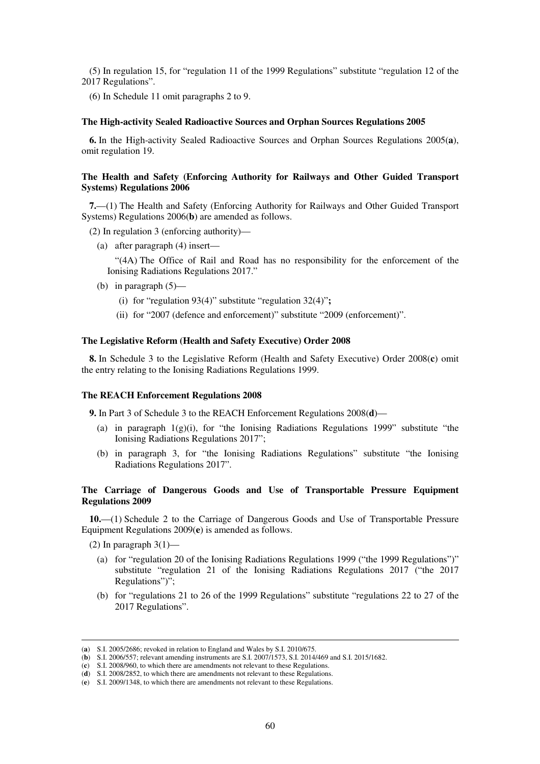(5) In regulation 15, for "regulation 11 of the 1999 Regulations" substitute "regulation 12 of the 2017 Regulations".

(6) In Schedule 11 omit paragraphs 2 to 9.

#### **The High-activity Sealed Radioactive Sources and Orphan Sources Regulations 2005**

**6.** In the High-activity Sealed Radioactive Sources and Orphan Sources Regulations 2005(**a**), omit regulation 19.

#### **The Health and Safety (Enforcing Authority for Railways and Other Guided Transport Systems) Regulations 2006**

**7.**—(1) The Health and Safety (Enforcing Authority for Railways and Other Guided Transport Systems) Regulations 2006(**b**) are amended as follows.

(2) In regulation 3 (enforcing authority)—

(a) after paragraph (4) insert—

"(4A) The Office of Rail and Road has no responsibility for the enforcement of the Ionising Radiations Regulations 2017."

- (b) in paragraph  $(5)$ 
	- (i) for "regulation 93(4)" substitute "regulation 32(4)"**;**
	- (ii) for "2007 (defence and enforcement)" substitute "2009 (enforcement)".

#### **The Legislative Reform (Health and Safety Executive) Order 2008**

**8.** In Schedule 3 to the Legislative Reform (Health and Safety Executive) Order 2008(**c**) omit the entry relating to the Ionising Radiations Regulations 1999.

#### **The REACH Enforcement Regulations 2008**

**9.** In Part 3 of Schedule 3 to the REACH Enforcement Regulations 2008(**d**)—

- (a) in paragraph 1(g)(i), for "the Ionising Radiations Regulations 1999" substitute "the Ionising Radiations Regulations 2017";
- (b) in paragraph 3, for "the Ionising Radiations Regulations" substitute "the Ionising Radiations Regulations 2017".

#### **The Carriage of Dangerous Goods and Use of Transportable Pressure Equipment Regulations 2009**

**10.**—(1) Schedule 2 to the Carriage of Dangerous Goods and Use of Transportable Pressure Equipment Regulations 2009(**e**) is amended as follows.

(2) In paragraph  $3(1)$ —

- (a) for "regulation 20 of the Ionising Radiations Regulations 1999 ("the 1999 Regulations")" substitute "regulation 21 of the Ionising Radiations Regulations 2017 ("the 2017 Regulations")";
- (b) for "regulations 21 to 26 of the 1999 Regulations" substitute "regulations 22 to 27 of the 2017 Regulations".

<sup>(</sup>**a**) S.I. 2005/2686; revoked in relation to England and Wales by S.I. 2010/675.

<sup>(</sup>**b**) S.I. 2006/557; relevant amending instruments are S.I. 2007/1573, S.I. 2014/469 and S.I. 2015/1682.

<sup>(</sup>**c**) S.I. 2008/960, to which there are amendments not relevant to these Regulations.

<sup>(</sup>**d**) S.I. 2008/2852, to which there are amendments not relevant to these Regulations.

<sup>(</sup>**e**) S.I. 2009/1348, to which there are amendments not relevant to these Regulations.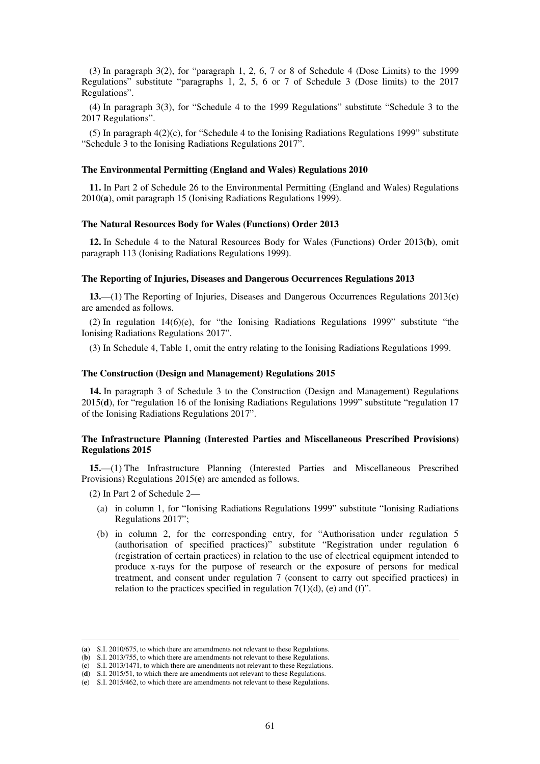(3) In paragraph 3(2), for "paragraph 1, 2, 6, 7 or 8 of Schedule 4 (Dose Limits) to the 1999 Regulations" substitute "paragraphs 1, 2, 5, 6 or 7 of Schedule 3 (Dose limits) to the 2017 Regulations".

(4) In paragraph 3(3), for "Schedule 4 to the 1999 Regulations" substitute "Schedule 3 to the 2017 Regulations".

(5) In paragraph 4(2)(c), for "Schedule 4 to the Ionising Radiations Regulations 1999" substitute "Schedule 3 to the Ionising Radiations Regulations 2017".

#### **The Environmental Permitting (England and Wales) Regulations 2010**

**11.** In Part 2 of Schedule 26 to the Environmental Permitting (England and Wales) Regulations 2010(**a**), omit paragraph 15 (Ionising Radiations Regulations 1999).

#### **The Natural Resources Body for Wales (Functions) Order 2013**

**12.** In Schedule 4 to the Natural Resources Body for Wales (Functions) Order 2013(**b**), omit paragraph 113 (Ionising Radiations Regulations 1999).

#### **The Reporting of Injuries, Diseases and Dangerous Occurrences Regulations 2013**

**13.**—(1) The Reporting of Injuries, Diseases and Dangerous Occurrences Regulations 2013(**c**) are amended as follows.

(2) In regulation 14(6)(e), for "the Ionising Radiations Regulations 1999" substitute "the Ionising Radiations Regulations 2017".

(3) In Schedule 4, Table 1, omit the entry relating to the Ionising Radiations Regulations 1999.

#### **The Construction (Design and Management) Regulations 2015**

**14.** In paragraph 3 of Schedule 3 to the Construction (Design and Management) Regulations 2015(**d**), for "regulation 16 of the Ionising Radiations Regulations 1999" substitute "regulation 17 of the Ionising Radiations Regulations 2017".

#### **The Infrastructure Planning (Interested Parties and Miscellaneous Prescribed Provisions) Regulations 2015**

**15.**—(1) The Infrastructure Planning (Interested Parties and Miscellaneous Prescribed Provisions) Regulations 2015(**e**) are amended as follows.

(2) In Part 2 of Schedule 2—

- (a) in column 1, for "Ionising Radiations Regulations 1999" substitute "Ionising Radiations Regulations 2017";
- (b) in column 2, for the corresponding entry, for "Authorisation under regulation 5 (authorisation of specified practices)" substitute "Registration under regulation 6 (registration of certain practices) in relation to the use of electrical equipment intended to produce x-rays for the purpose of research or the exposure of persons for medical treatment, and consent under regulation 7 (consent to carry out specified practices) in relation to the practices specified in regulation  $7(1)(d)$ , (e) and (f)".

<sup>(</sup>**a**) S.I. 2010/675, to which there are amendments not relevant to these Regulations.

<sup>(</sup>**b**) S.I. 2013/755, to which there are amendments not relevant to these Regulations.

<sup>(</sup>**c**) S.I. 2013/1471, to which there are amendments not relevant to these Regulations.

<sup>(</sup>**d**) S.I. 2015/51, to which there are amendments not relevant to these Regulations.

<sup>(</sup>**e**) S.I. 2015/462, to which there are amendments not relevant to these Regulations.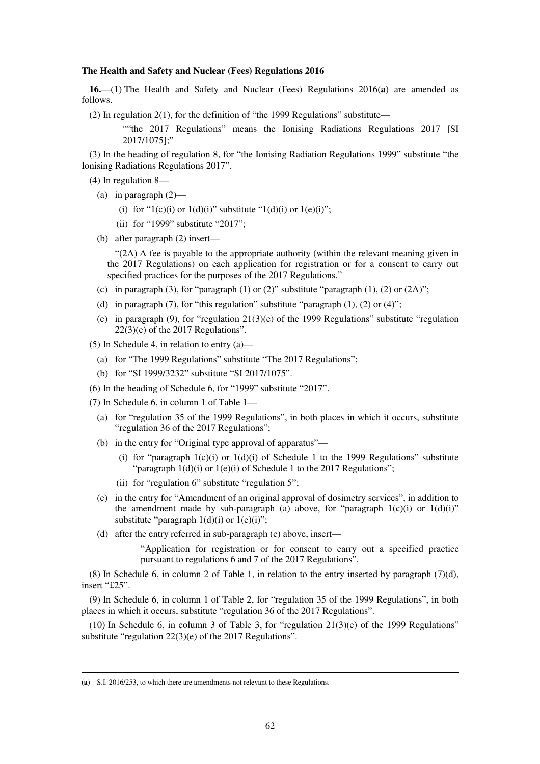#### **The Health and Safety and Nuclear (Fees) Regulations 2016**

**16.**—(1) The Health and Safety and Nuclear (Fees) Regulations 2016(**a**) are amended as follows.

(2) In regulation 2(1), for the definition of "the 1999 Regulations" substitute—

""the 2017 Regulations" means the Ionising Radiations Regulations 2017 [SI 2017/1075];"

(3) In the heading of regulation 8, for "the Ionising Radiation Regulations 1999" substitute "the Ionising Radiations Regulations 2017".

(4) In regulation 8—

- (a) in paragraph (2)—
	- (i) for "1(c)(i) or 1(d)(i)" substitute "1(d)(i) or 1(e)(i)";
	- (ii) for "1999" substitute "2017";
- (b) after paragraph (2) insert—

"(2A) A fee is payable to the appropriate authority (within the relevant meaning given in the 2017 Regulations) on each application for registration or for a consent to carry out specified practices for the purposes of the 2017 Regulations."

- (c) in paragraph (3), for "paragraph (1) or (2)" substitute "paragraph (1), (2) or (2A)";
- (d) in paragraph (7), for "this regulation" substitute "paragraph  $(1)$ ,  $(2)$  or  $(4)$ ";
- (e) in paragraph (9), for "regulation  $21(3)$ (e) of the 1999 Regulations" substitute "regulation"  $22(3)(e)$  of the 2017 Regulations".
- (5) In Schedule 4, in relation to entry (a)—
	- (a) for "The 1999 Regulations" substitute "The 2017 Regulations";
	- (b) for "SI 1999/3232" substitute "SI 2017/1075".
- (6) In the heading of Schedule 6, for "1999" substitute "2017".
- (7) In Schedule 6, in column 1 of Table 1—
	- (a) for "regulation 35 of the 1999 Regulations", in both places in which it occurs, substitute "regulation 36 of the 2017 Regulations";
	- (b) in the entry for "Original type approval of apparatus"—
		- (i) for "paragraph  $1(c)(i)$  or  $1(d)(i)$  of Schedule 1 to the 1999 Regulations" substitute "paragraph  $1(d)(i)$  or  $1(e)(i)$  of Schedule 1 to the 2017 Regulations";
		- (ii) for "regulation 6" substitute "regulation 5";
	- (c) in the entry for "Amendment of an original approval of dosimetry services", in addition to the amendment made by sub-paragraph (a) above, for "paragraph  $1(c)(i)$  or  $1(d)(i)$ " substitute "paragraph  $1(d)(i)$  or  $1(e)(i)$ ";
	- (d) after the entry referred in sub-paragraph (c) above, insert—

"Application for registration or for consent to carry out a specified practice pursuant to regulations 6 and 7 of the 2017 Regulations".

(8) In Schedule 6, in column 2 of Table 1, in relation to the entry inserted by paragraph (7)(d), insert "£25".

(9) In Schedule 6, in column 1 of Table 2, for "regulation 35 of the 1999 Regulations", in both places in which it occurs, substitute "regulation 36 of the 2017 Regulations".

(10) In Schedule 6, in column 3 of Table 3, for "regulation  $21(3)(e)$  of the 1999 Regulations" substitute "regulation 22(3)(e) of the 2017 Regulations".

<sup>(</sup>**a**) S.I. 2016/253, to which there are amendments not relevant to these Regulations.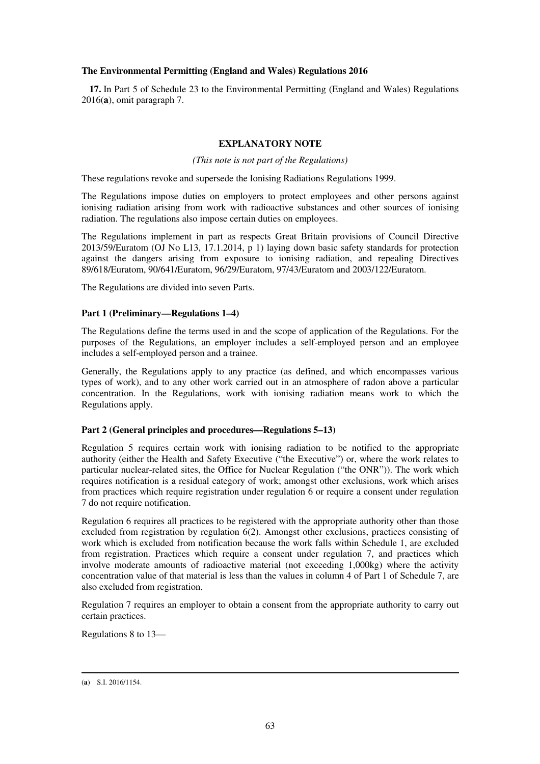### **The Environmental Permitting (England and Wales) Regulations 2016**

**17.** In Part 5 of Schedule 23 to the Environmental Permitting (England and Wales) Regulations 2016(**a**), omit paragraph 7.

### **EXPLANATORY NOTE**

*(This note is not part of the Regulations)* 

These regulations revoke and supersede the Ionising Radiations Regulations 1999.

The Regulations impose duties on employers to protect employees and other persons against ionising radiation arising from work with radioactive substances and other sources of ionising radiation. The regulations also impose certain duties on employees.

The Regulations implement in part as respects Great Britain provisions of Council Directive 2013/59/Euratom (OJ No L13, 17.1.2014, p 1) laying down basic safety standards for protection against the dangers arising from exposure to ionising radiation, and repealing Directives 89/618/Euratom, 90/641/Euratom, 96/29/Euratom, 97/43/Euratom and 2003/122/Euratom.

The Regulations are divided into seven Parts.

### **Part 1 (Preliminary—Regulations 1–4)**

The Regulations define the terms used in and the scope of application of the Regulations. For the purposes of the Regulations, an employer includes a self-employed person and an employee includes a self-employed person and a trainee.

Generally, the Regulations apply to any practice (as defined, and which encompasses various types of work), and to any other work carried out in an atmosphere of radon above a particular concentration. In the Regulations, work with ionising radiation means work to which the Regulations apply.

#### **Part 2 (General principles and procedures—Regulations 5–13)**

Regulation 5 requires certain work with ionising radiation to be notified to the appropriate authority (either the Health and Safety Executive ("the Executive") or, where the work relates to particular nuclear-related sites, the Office for Nuclear Regulation ("the ONR")). The work which requires notification is a residual category of work; amongst other exclusions, work which arises from practices which require registration under regulation 6 or require a consent under regulation 7 do not require notification.

Regulation 6 requires all practices to be registered with the appropriate authority other than those excluded from registration by regulation 6(2). Amongst other exclusions, practices consisting of work which is excluded from notification because the work falls within Schedule 1, are excluded from registration. Practices which require a consent under regulation 7, and practices which involve moderate amounts of radioactive material (not exceeding 1,000kg) where the activity concentration value of that material is less than the values in column 4 of Part 1 of Schedule 7, are also excluded from registration.

Regulation 7 requires an employer to obtain a consent from the appropriate authority to carry out certain practices.

Regulations 8 to 13—

<sup>-</sup>(**a**) S.I. 2016/1154.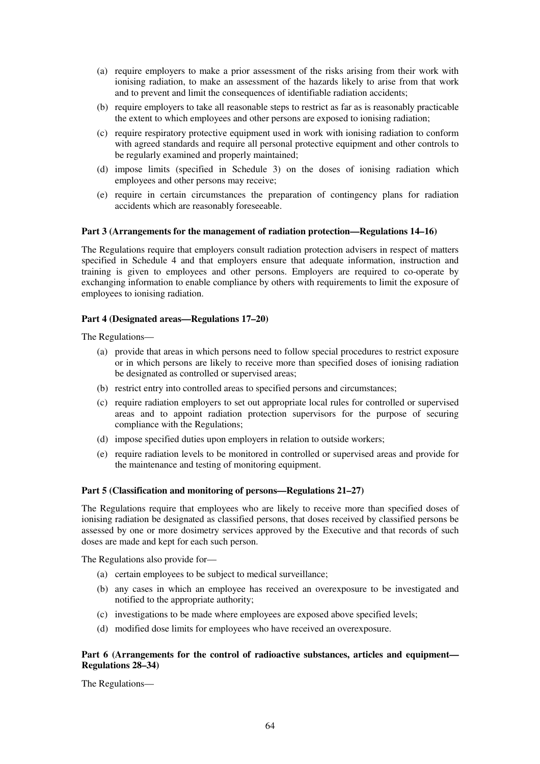- (a) require employers to make a prior assessment of the risks arising from their work with ionising radiation, to make an assessment of the hazards likely to arise from that work and to prevent and limit the consequences of identifiable radiation accidents;
- (b) require employers to take all reasonable steps to restrict as far as is reasonably practicable the extent to which employees and other persons are exposed to ionising radiation;
- (c) require respiratory protective equipment used in work with ionising radiation to conform with agreed standards and require all personal protective equipment and other controls to be regularly examined and properly maintained;
- (d) impose limits (specified in Schedule 3) on the doses of ionising radiation which employees and other persons may receive;
- (e) require in certain circumstances the preparation of contingency plans for radiation accidents which are reasonably foreseeable.

#### **Part 3 (Arrangements for the management of radiation protection—Regulations 14–16)**

The Regulations require that employers consult radiation protection advisers in respect of matters specified in Schedule 4 and that employers ensure that adequate information, instruction and training is given to employees and other persons. Employers are required to co-operate by exchanging information to enable compliance by others with requirements to limit the exposure of employees to ionising radiation.

#### **Part 4 (Designated areas—Regulations 17–20)**

The Regulations—

- (a) provide that areas in which persons need to follow special procedures to restrict exposure or in which persons are likely to receive more than specified doses of ionising radiation be designated as controlled or supervised areas;
- (b) restrict entry into controlled areas to specified persons and circumstances;
- (c) require radiation employers to set out appropriate local rules for controlled or supervised areas and to appoint radiation protection supervisors for the purpose of securing compliance with the Regulations;
- (d) impose specified duties upon employers in relation to outside workers;
- (e) require radiation levels to be monitored in controlled or supervised areas and provide for the maintenance and testing of monitoring equipment.

#### **Part 5 (Classification and monitoring of persons—Regulations 21–27)**

The Regulations require that employees who are likely to receive more than specified doses of ionising radiation be designated as classified persons, that doses received by classified persons be assessed by one or more dosimetry services approved by the Executive and that records of such doses are made and kept for each such person.

The Regulations also provide for—

- (a) certain employees to be subject to medical surveillance;
- (b) any cases in which an employee has received an overexposure to be investigated and notified to the appropriate authority;
- (c) investigations to be made where employees are exposed above specified levels;
- (d) modified dose limits for employees who have received an overexposure.

#### **Part 6 (Arrangements for the control of radioactive substances, articles and equipment— Regulations 28–34)**

The Regulations—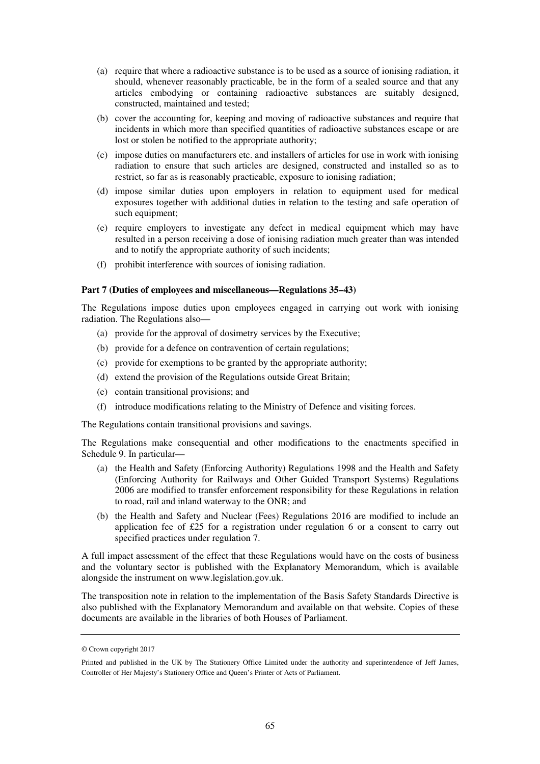- (a) require that where a radioactive substance is to be used as a source of ionising radiation, it should, whenever reasonably practicable, be in the form of a sealed source and that any articles embodying or containing radioactive substances are suitably designed, constructed, maintained and tested;
- (b) cover the accounting for, keeping and moving of radioactive substances and require that incidents in which more than specified quantities of radioactive substances escape or are lost or stolen be notified to the appropriate authority;
- (c) impose duties on manufacturers etc. and installers of articles for use in work with ionising radiation to ensure that such articles are designed, constructed and installed so as to restrict, so far as is reasonably practicable, exposure to ionising radiation;
- (d) impose similar duties upon employers in relation to equipment used for medical exposures together with additional duties in relation to the testing and safe operation of such equipment;
- (e) require employers to investigate any defect in medical equipment which may have resulted in a person receiving a dose of ionising radiation much greater than was intended and to notify the appropriate authority of such incidents;
- (f) prohibit interference with sources of ionising radiation.

#### **Part 7 (Duties of employees and miscellaneous—Regulations 35–43)**

The Regulations impose duties upon employees engaged in carrying out work with ionising radiation. The Regulations also—

- (a) provide for the approval of dosimetry services by the Executive;
- (b) provide for a defence on contravention of certain regulations;
- (c) provide for exemptions to be granted by the appropriate authority;
- (d) extend the provision of the Regulations outside Great Britain;
- (e) contain transitional provisions; and
- (f) introduce modifications relating to the Ministry of Defence and visiting forces.

The Regulations contain transitional provisions and savings.

The Regulations make consequential and other modifications to the enactments specified in Schedule 9. In particular—

- (a) the Health and Safety (Enforcing Authority) Regulations 1998 and the Health and Safety (Enforcing Authority for Railways and Other Guided Transport Systems) Regulations 2006 are modified to transfer enforcement responsibility for these Regulations in relation to road, rail and inland waterway to the ONR; and
- (b) the Health and Safety and Nuclear (Fees) Regulations 2016 are modified to include an application fee of £25 for a registration under regulation 6 or a consent to carry out specified practices under regulation 7.

A full impact assessment of the effect that these Regulations would have on the costs of business and the voluntary sector is published with the Explanatory Memorandum, which is available alongside the instrument on www.legislation.gov.uk.

The transposition note in relation to the implementation of the Basis Safety Standards Directive is also published with the Explanatory Memorandum and available on that website. Copies of these documents are available in the libraries of both Houses of Parliament.

<sup>©</sup> Crown copyright 2017

Printed and published in the UK by The Stationery Office Limited under the authority and superintendence of Jeff James, Controller of Her Majesty's Stationery Office and Queen's Printer of Acts of Parliament.